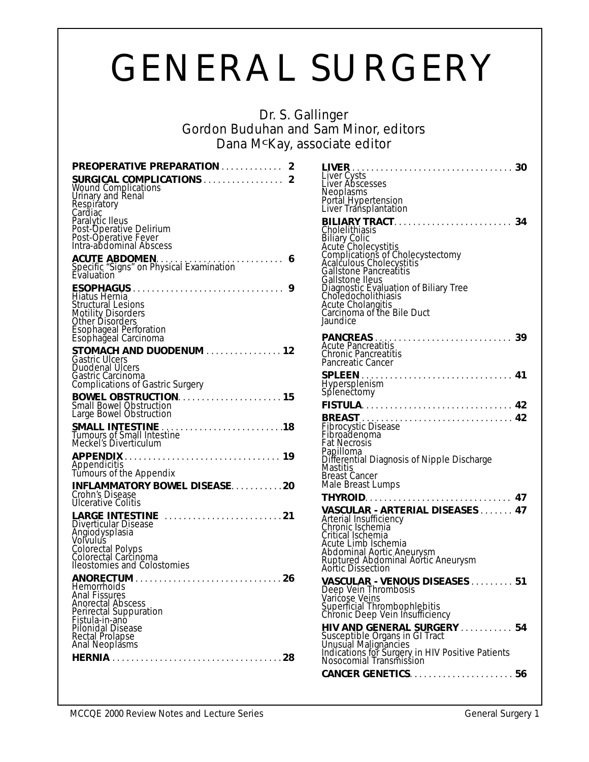# GENERAL SURGERY

Dr. S. Gallinger Gordon Buduhan and Sam Minor, editors Dana McKay, associate editor

| <b>PREOPERATIVE PREPARATION</b> 2                                                                                                                           |                                                                                                                                                                                                                          |  |
|-------------------------------------------------------------------------------------------------------------------------------------------------------------|--------------------------------------------------------------------------------------------------------------------------------------------------------------------------------------------------------------------------|--|
| <b>SURGICAL COMPLICATIONS 2</b><br><b>Wound Complications</b><br>Urinary and Renal<br>Respiratory<br>Cardiac                                                | Liver Cysts<br>Liver Abscesses<br>Neoplasms<br>Portal Hypertension<br>Liver Transplantation                                                                                                                              |  |
| <b>Paralytic Ileus</b><br>Post-Operative Delirium<br>Post-Operative Fever<br>Intra-abdominal Abscess                                                        | Cholelithiasis<br><b>Biliary Colic</b>                                                                                                                                                                                   |  |
| <b>ACUTE ABDOMEN.</b><br>Specific "Signs" on Physical Examination<br>Evaluation                                                                             | Acute Cholecystitis<br>Complications of Cholecystectomy<br>Acalculous Cholecystitis<br>Gallstone Pancreatitis<br><b>Gallstone Ileus</b>                                                                                  |  |
| Hiatus Hernia<br><b>Structural Lesions</b><br><b>Motility Disorders</b><br>Other Disorders<br><b>Esophageal Perforation<br/>Esophageal Carcinoma</b>        | Diagnostic Evaluation of Biliary Tree<br>Choledocholithiasis<br><b>Acute Cholangitis</b><br>Carcinoma of the Bile Duct<br>Jaundice                                                                                       |  |
| <b>STOMACH AND DUODENUM</b> 12<br><b>Gastric Ulcers</b><br>Duodenal Ulcers<br>Gastric Carcinoma                                                             | <b>Acute Pancreatitis</b><br><b>Chronic Pancreatitis</b><br><b>Pancreatic Cancer</b>                                                                                                                                     |  |
| <b>Complications of Gastric Surgery</b><br><b>Small Bowel Obstruction</b><br>Large Bowel Obstruction                                                        | Hypersplenism<br>Splenectomy                                                                                                                                                                                             |  |
| <b>Tumours of Small Intestine</b><br>Meckel's Diverticulum                                                                                                  | <b>BREAST</b><br>Fibrocystic Disease<br>Fibroadenoma<br><b>Fat Necrosis</b>                                                                                                                                              |  |
| Appendicitis<br>Tumours of the Appendix                                                                                                                     | Papilloma<br>Differential Diagnosis of Nipple Discharge<br><b>Mastitis</b><br><b>Breast Cancer</b>                                                                                                                       |  |
| <b>INFLAMMATORY BOWEL DISEASE20</b><br>Crohn's Disease                                                                                                      | Male Breast Lumps                                                                                                                                                                                                        |  |
| Ulcerative Colitis<br>Diverticular Disease<br>Angiodysplasia<br>Volvulus<br>Colorectal Polyps<br>Colorectal Carcinoma<br><b>Ileostomies and Colostomies</b> | <b>VASCULAR - ARTERIAL DISEASES 47</b><br>Arterial Insufficiency<br>Chronic Ischemia<br>Critical Ischemia<br>Acute Limb Ischemia<br>Abdominal Aortic Aneurysm<br>Ruptured Abdominal Aortic Aneurysm<br>Aortic Dissection |  |
| Hemorrhoids<br><b>Anal Fissures</b><br><b>Anorectal Abscess</b><br>Perirectal Suppuration<br>Fistula-in-ano                                                 | VASCULAR - VENOUS DISEASES 51<br>Deep Vein Thrombosis<br>Varicose Veins<br>Superficial Thrombophlebitis<br>Chronic Deep Vein Insufficiency                                                                               |  |
| <b>Pilonidal Disease</b><br>Rectal Prolapse<br>Anal Neoplasms                                                                                               | <b>HIV AND GENERAL SURGERY</b> 54<br>Susceptible Organs in GI Tract<br>Unusual Malignancies<br><b>Indications for Surgery in HIV Positive Patients<br/>Nosocomial Transmission</b>                                       |  |
|                                                                                                                                                             |                                                                                                                                                                                                                          |  |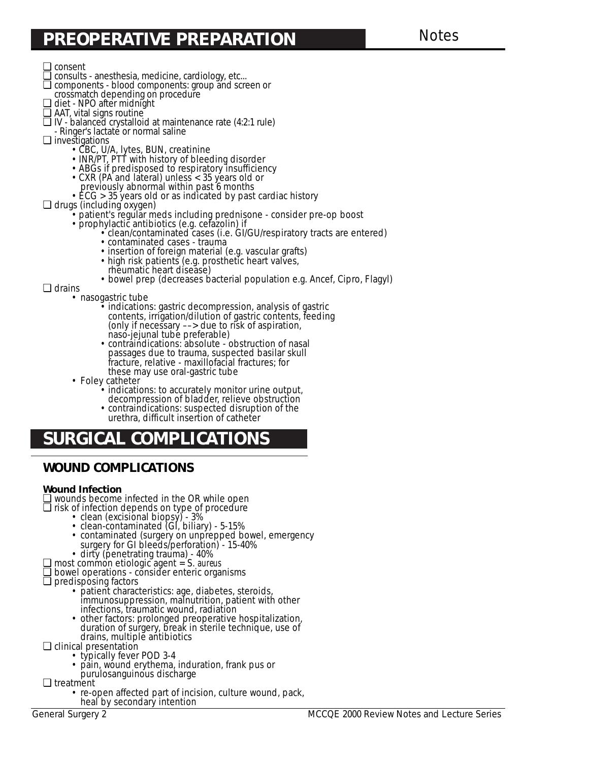## **PREOPERATIVE PREPARATION** Notes

- 
- □ consent<br>□ consults anesthesia, medicine, cardiology, etc...
- □ components blood components: group and screen or crossmatch depending on procedure
- 
- 
- 
- **□** diet NPO after midnight<br>□ AAT, vital signs routine<br>□ IV balanced crystalloid at maintenance rate (4:2:1 rule)<br>- Ringer's lactate or normal saline
- 
- 
- □ investigations<br>• CBC, U/A, lytes, BUN, creatinine
	- INR/PT, PTT with history of bleeding disorder
	- ABGs if predisposed to respiratory insufficiency<br>• CXR (PA and lateral) unless < 35 years old or
	-
	-
- 
- previously abnormal within past  $\bullet$  months<br>  $\bullet$  ECG > 35 years old or as indicated by past cardiac history<br>  $\Box$  drugs (including oxygen)<br>  $\bullet$  patient's regular meds including prednisone consider pre-op boost<br>  $\bullet$  p
	-
	- prophylactic antibiotics (e.g. cefazolin) if clean/contaminated cases (i.e. GI/GU/respiratory tracts are entered)
		- contaminated cases trauma
		- insertion of foreign material (e.g. vascular grafts)
		- high risk patients (e.g. prosthetic heart valves,
		- rheumatic heart disease)
- bowel prep (decreases bacterial population e.g. Ancef, Cipro, Flagyl) <br>• nasogastric tube

- - $\bullet$  indications: gastric decompression, analysis of gastric contents, irrigation/dilution of gastric contents, feeding (only if necessary ––> due to risk of aspiration, naso-jejunal tube preferable)
	- contraindications: absolute obstruction of nasal passages due to trauma, suspected basilar skull fracture, relative - maxillofacial fractures; for
	-
	- these may use oral-gastric tube<br>• Foley catheter<br>• indications: to accurately monitor urine output, decompression of bladder, relieve obstruction
		- contraindications: suspected disruption of the
			- urethra, difficult insertion of catheter

## **SURGICAL COMPLICATIONS**

### **WOUND COMPLICATIONS**

**Wound Infection**<br>□ wounds become infected in the OR while open

- $\Box$  risk of infection depends on type of procedure clean (excisional biopsy)  $3\%$ 
	-
	-
- clean-contaminated (GI, biliary) 5-15%<br>• contaminated (surgery on unprepped bowel, emergency • comparing the unpreparation) - 15-40% • dirty (penetrating trauma) - 40% → dirty (penetrating trauma) - 40% <br>
□ most common etiologic agent = S. *aureus*<br>
□ bowel operations - consider enteric organisms
	-
	-
- 
- ❏ bowel operations consider enteric organisms ❏ predisposing factors patient characteristics: age, diabetes, steroids, immunosuppression, malnutrition, patient with other
	- infections, traumatic wound, radiation<br>• other factors: prolonged preoperative hospitalization, duration of surgery, break in sterile technique, use of drains, multiple antibiotics
- 
- **□** clinical presentation typically fever POD 3-4
- p̃ain, wŏund erythema, induration, frank pus or purulosanguinous discharge <br>□ treatment
	-
- - re-open affected part of incision, culture wound, pack, heal by secondary intention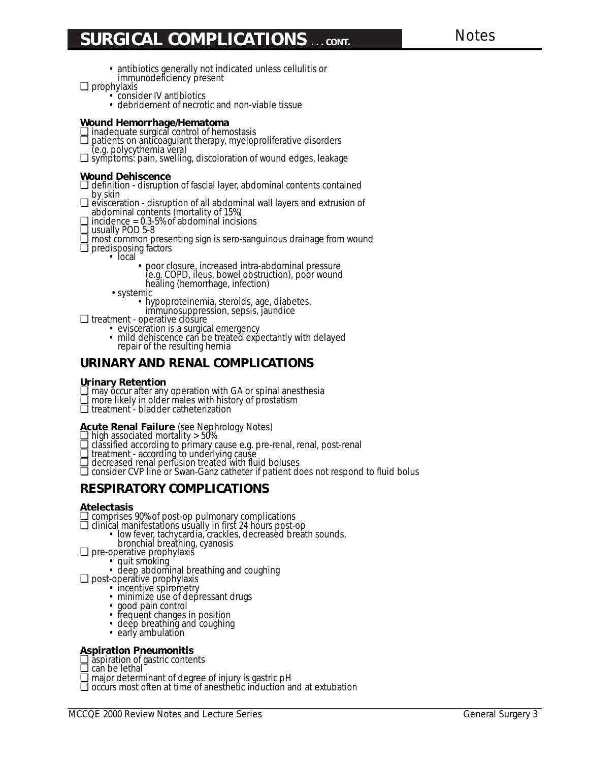## **SURGICAL COMPLICATIONS** ... CONT. Notes

- antibiotics generally not indicated unless cellulitis or immunodeficiency present ❏ prophylaxis consider IV antibiotics
	-
- -
	- debridement of necrotic and non-viable tissue

- **Wound Hemorrhage/Hematoma**
- ❏ inadequate surgical control of hemostasis ❏ patients on anticoagulant therapy, myeloproliferative disorders
- 
- $\Box$  symptoms: pain, swelling, discoloration of wound edges, leakage

#### **Wound Dehiscence**

- ❏ definition disruption of fascial layer, abdominal contents contained
- $\Box$  evisceration disruption of all abdominal wall layers and extrusion of abdominal contents (mortality of 15%)
- $□$  incidence = 0.3-5% of abdominal incisions<br> $□$  usually POD 5-8
- 
- ❏ usually POD 5-8 ❏ most common presenting sign is sero-sanguinous drainage from wound ❏ predisposing factors local
	- - - poor closure, increased intra-abdominal pressure (e.g. COPD, ileus, bowel obstruction), poor wound
			-
			- systemic<br>• hypoproteinemia, steroids, age, diabetes,<br>immunosuppression, sepsis, jaundice
				-
- $\Box$  treatment operative closure<br>• evisceration is a surgical emergency
	-
	- mild dehiscence can be treated expectantly with delayed repair of the resulting hernia

### **URINARY AND RENAL COMPLICATIONS**

#### **Urinary Retention**

- ❏ may occur after any operation with GA or spinal anesthesia ❏ more likely in older males with history of prostatism ❏ treatment bladder catheterization
- 
- 

- 
- 
- 
- 
- Acute Renal Failure (see Nephrology Notes)<br>  $\square$  high associated mortality > 50%<br>  $\square$  classified according to primary cause e.g. pre-renal, renal, post-renal<br>  $\square$  treatment according to underlying cause<br>  $\square$  decrease

### **RESPIRATORY COMPLICATIONS**

Atelectasis<br>□ comprises 90% of post-op pulmonary complications

- <p>□ clinical manifestations usually in first 24 hours post-op</p>\n<ul>\n<li>low fever, tachycardia, crackles, decreased breath sounds, bronchial breathing, cyanosis</li>\n<li>pre-operatore properlylaxis</li>\n<li>quit smoking</li>\n</ul>
	- -
- deep abdominal breathing and coughing <br>
 incentive spirometry incentive spirometry
	-
	-
	- minimize use of depressant drugs
	- good pain control
	- frequent changes in position
	- deep breathing and coughing
	- early ambulation

#### **Aspiration Pneumonitis**

- 
- ❏ aspiration of gastric contents ❏ can be lethal
- $\Box$  occurs most often at time of anesthetic induction and at extubation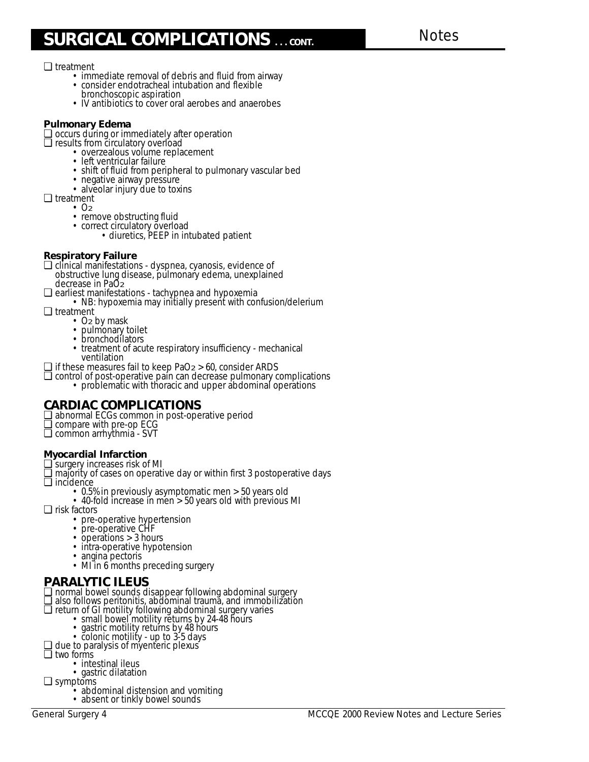## **SURGICAL COMPLICATIONS** ... CONT. Notes

#### ❏ treatment

- immediate removal of debris and fluid from airway
- consider endotracheal intubation and flexible
- 
- IV antibiotics to cover oral aerobes and anaerobes

#### **Pulmonary Edema**

❏ occurs during or immediately after operation ❏ results from circulatory overload • overzealous volume replacement

- - overzealous volume replacement<br>• left ventricular failure
	-
	- shift of fluid from peripheral to pulmonary vascular bed
	- negative airway pressure
- alveolar injury due to toxins
	- - $\cdot$  O<sub>2</sub>
		- remove obstructing fluid<br>• correct circulatory overload
			- diuretics, PEEP in intubated patient

#### **Respiratory Failure**

- ❏ clinical manifestations dyspnea, cyanosis, evidence of obstructive lung disease, pulmonary edema, unexplained decrease in PaO<sub>2</sub><br> $\Box$  earliest manifestations - tachypnea and hypoxemia
- 
- NB: hypoxemia may initially present with confusion/delerium <br>■ treatment O2 by mask
- - O2 by mask pulmonary toilet
	-
	- bronchodilators
	- treatment of acute respiratory insufficiency mechanical ventilation
- $\Box$  if these measures fail to keep PaO<sub>2</sub> > 60, consider ARDS
- ❏ control of post-operative pain can decrease pulmonary complications problematic with thoracic and upper abdominal operations
	-

### **CARDIAC COMPLICATIONS**

- ❏ abnormal ECGs common in post-operative period ❏ compare with pre-op ECG ❏ common arrhythmia SVT
- 
- 

#### **Myocardial Infarction**

- 
- ❏ surgery increases risk of MI ❏ majority of cases on operative day or within first 3 postoperative days ❏ incidence
	- 0.5% in previously asymptomatic men > 50 years old
- 40-fold increase in men > 50 years old with previous MI ❏ risk factors
- - pre-operative hypertension
	- pre-operative CHF
	- operations > 3 hours
	- intra-operative hypotension
	- angina pectoris
	- MI in 6 months preceding surgery

### **PARALYTIC ILEUS**

<p>□ normal bowel sounds disappear following abdominal surgery</p>\n<p>□ also follows peritonitis, abdominal trauma, and immobilization</p>\n<p>□ return of GI motility following abdominal surgery varies</p>\n<ul>\n<li>small bowel motility returns by 24-48 hours</li>\n</ul>

- -
	- gastric motility returns by 48 hours<br>• colonic motility up to 3-5 days
- 
- □ due to paralysis of myenteric plexus<br>□ two forms
	- - intestinal ileus<br>• gastric dilatation
	-
- **□** symptoms abdominal distension and vomiting
	- absent or tinkly bowel sounds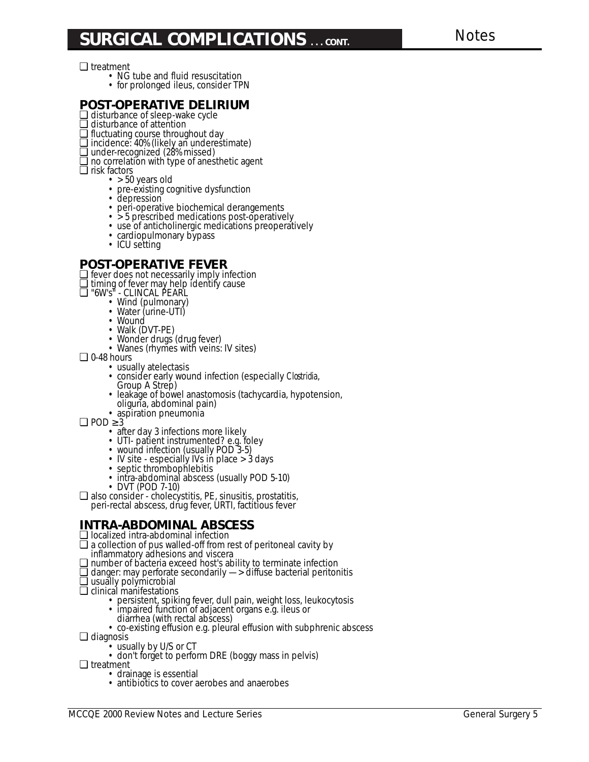## **SURGICAL COMPLICATIONS** ... CONT. Notes

#### ❏ treatment

- NG tube and fluid resuscitation
- for prolonged ileus, consider TPN

#### **POST-OPERATIVE DELIRIUM**

- ❏ disturbance of sleep-wake cycle ❏ disturbance of attention
- 
- 
- 
- ❏ fluctuating course throughout day ❏ incidence: 40% (likely an underestimate) ❏ under-recognized (28% missed) ❏ no correlation with type of anesthetic agent ❏ risk factors
- - > 50 years old
		- pre-existing cognitive dysfunction
		- depression
		- peri-operative biochemical derangements
		- $\geq$  5 prescribed medications post-operatively
		- use of anticholinergic medications preoperatively
		- cardiopulmonary bypass
		- **ICU** setting

- **POST-OPERATIVE FEVER**  $\Box$  fever does not necessarily imply infection
- ❏ fever does not necessarily imply infection ❏ timing of fever may help identify cause ❏ "6W's" CLINCAL PEARL
- - Wind (pulmonary)
	- Water (urine-UTI)
	- Wound
	- Walk (DVT-PE)
	- Wonder drugs (drug fever)
- Wanes (rhymes with veins: IV sites)  $\Box$  0-48 hours
- - usually atelectasis<br>• consider early wound infection (especially *Clostridia*,
	- consider early wound infection (especially *Clostridia*, Group A Strep) leakage of bowel anastomosis (tachycardia, hypotension, oliguria, abdominal pain)
- aspiration pneumonia<br> $\Box$  POD  $\geq 3$
- - after day 3 infections more likely
	- UTI- patient instrumented? e.g. foley
	- wound infection (usually POD 3-5)
	- IV site especially IVs in place > 3 days
	- septic thrombophlebitis
	- intra-abdominal abscess (usually POD 5-10)
	- DVT (POD 7-10)
- ❏ also consider cholecystitis, PE, sinusitis, prostatitis, peri-rectal abscess, drug fever, URTI, factitious fever

### **INTRA-ABDOMINAL ABSCESS**

- ❏ localized intra-abdominal infection
- ❏ a collection of pus walled-off from rest of peritoneal cavity by
- 
- inflammatory adhesions and viscera ❏ number of bacteria exceed host's ability to terminate infection ❏ danger: may perforate secondarily —> diffuse bacterial peritonitis ❏ usually polymicrobial ❏ clinical manifestations
- 
- 
- - persistent, spiking fever, dull pain, weight loss, leukocytosis<br>• impaired function of adiacent organs e.g. ileus or
	- impaired function of adjacent organs e.g. ileus or diarrhea (with rectal abscess)
- co-existing effusion e.g. pleural effusion with subphrenic abscess ❏ diagnosis usually by U/S or CT
- -
- don't forget to perform DRE (boggy mass in pelvis) ❏ treatment
- - drainage is essential
	- antibiotics to cover aerobes and anaerobes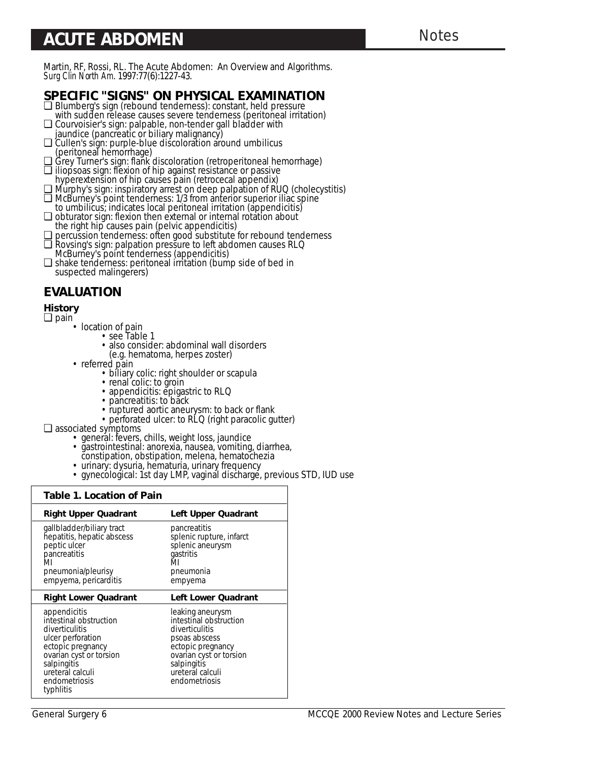## **ACUTE ABDOMEN**

Notes

Martin, RF, Rossi, RL. The Acute Abdomen: An Overview and Algorithms. *Surg Clin North Am*. 1997:77(6):1227-43.

### **SPECIFIC "SIGNS" ON PHYSICAL EXAMINATION**

- ❏ Blumberg's sign (rebound tenderness): constant, held pressure with sudden release causes severe tenderness (peritoneal irritation) ❏ Courvoisier's sign: palpable, non-tender gall bladder with
- jaundice (pancreatic or biliary malignancy) ❏ Cullen's sign: purple-blue discoloration around umbilicus
- 
- 
- (peritoneal hemorrhage) ❏ Grey Turner's sign: flank discoloration (retroperitoneal hemorrhage) ❏ iliopsoas sign: flexion of hip against resistance or passive
- hyperextension of hip causes pain (retrocecal appendix)<br>□ Murphy's sign: inspiratory arrest on deep palpation of RUQ (cholecystitis)<br>□ McBurney's point tenderness: 1/3 from anterior superior iliac spine
- 
- to umbilicus; indicates local peritoneal irritation (appendicitis) ❏ obturator sign: flexion then external or internal rotation about <p>□ obturator sign: flexion then external or internal rotation about the right hip causes pain (pelvic appendixs)</p>\n<p>□ percussion tenderness: often good substitute for rebound tenderness</p>\n<p>□ Rovsing's sign: palpation pressure to left abdomen causes RLQ McBurney's point tenderness (appendictits)</p>
- 
- 
- 
- $\Box$  shake tenderness: peritoneal irritation (bump side of bed in suspected malingerers)

### **EVALUATION**

## **History**<br>**4** pain

- - location of pain<br>• see Table 1
		- - also consider: abdominal wall disorders
				-
		-
	- referred pain biliary colic: right shoulder or scapula
		- renal colic: to groin
		- appendicitis: epigastric to RLQ
		- pancreatitis: to back
		-
		- ruptured aortic aneurysm: to back or flank
- 
- □ associated symptoms<br>• general: fevers, chills, weight loss, jaundice<br>• gastrointestinal: anorexia, nausea, yomiting.
	- gastrointestinal: anorexia, nausea, vomiting, diarrhea, constipation, obstipation, melena, hematochezia urinary: dysuria, hematuria, urinary frequency
	-
	-
	- gynecological: 1st day LMP, vaginal discharge, previous STD, IUD use

| <b>Table 1. Location of Pain</b>                                                                                                                                                               |                                                                                                                                                                                   |  |
|------------------------------------------------------------------------------------------------------------------------------------------------------------------------------------------------|-----------------------------------------------------------------------------------------------------------------------------------------------------------------------------------|--|
| <b>Right Upper Quadrant</b>                                                                                                                                                                    | Left Upper Quadrant                                                                                                                                                               |  |
| gallbladder/biliary tract<br>hepatitis, hepatic abscess<br>peptic ulcer<br>pancreatitis<br>МI<br>pneumonia/pleurisy<br>empyema, pericarditis                                                   | pancreatitis<br>splenic rupture, infarct<br>splenic aneurysm<br>gastritis<br>MI<br>pneumonia<br>empyema                                                                           |  |
| <b>Right Lower Quadrant</b>                                                                                                                                                                    | <b>Left Lower Quadrant</b>                                                                                                                                                        |  |
| appendicitis<br>intestinal obstruction<br>diverticulitis<br>ulcer perforation<br>ectopic pregnancy<br>ovarian cyst or torsion<br>salpingitis<br>ureteral calculi<br>endometriosis<br>typhlitis | leaking aneurysm<br>intestinal obstruction<br>diverticulitis<br>psoas abscess<br>ectopic pregnancy<br>ovarian cyst or torsion<br>salpingitis<br>ureteral calculi<br>endometriosis |  |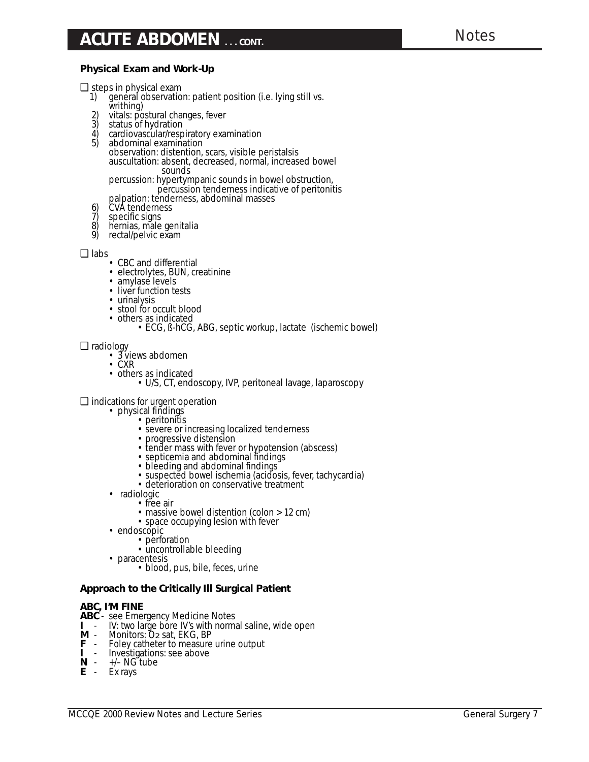## **ACUTE ABDOMEN . . . CONT.**

#### **Physical Exam and Work-Up**

❏ steps in physical exam

- 1) general observation: patient position (i.e. lying still vs.<br>
2) vitals: postural changes, fever<br>
3) status of hydration
- 
- 3) status of hydration<br>4) cardiovascular/resp
- 4) cardiovascular/respiratory examination
- abdominal examination
	- observation: distention, scars, visible peristalsis auscultation: absent, decreased, normal, increased bowel

sounds<br>percussion: hypertympanic sounds in bowel obstruction, percussion: tenderness indicative of peritonitis<br>
f) cVA tenderness, abdominal masses<br>
f) cVA tenderness<br>
7) specific signs

- 
- 
- 7) specific signs
- 8) hernias, male genitalia<br>9) rectal/pelvic exam
- rectal/pelvic exam
- ❏ labs
	- CBC and differential
	- electrolytes, BUN, creatinine
	- amylase levels
	- liver function tests
	- urinalysis
	- stool for occult blood
	- others as indicated
		- ECG, ß-hCG, ABG, septic workup, lactate (ischemic bowel)

- ❏ radiology 3 views abdomen
	- CXR
	- others as indicated
		- U/S, CT, endoscopy, IVP, peritoneal lavage, laparoscopy

❏ indications for urgent operation • physical findings

- - peritonitis
		- severe or increasing localized tenderness
		- progressive distension
		- tender mass with fever or hypotension (abscess)
		- septicemia and abdominal findings
		- bleeding and abdominal findings
		- suspected bowel ischemia (acidosis, fever, tachycardia)
		- deterioration on conservative treatment
- radiologic free air
	- massive bowel distention (colon > 12 cm)
- space occupying lesion with fever<br>• endoscopic<br>• perforation
- -
	- uncontrollable bleeding
	-
- paracentesis blood, pus, bile, feces, urine

#### **Approach to the Critically Ill Surgical Patient**

- ABC, **FM FINE**<br>ABC see Emergency Medicine Notes
- **ABC We two large bore IV's with normal saline, wide open M** Monitors: O2 sat, EKG, BP<br> **F** Foley catheter to measure urine output
- 
- **<sup>F</sup>** Foley catheter to measure urine output **<sup>I</sup>** Investigations: see above **<sup>N</sup>** +/– NG tube
- 
- 
- **E** Ex rays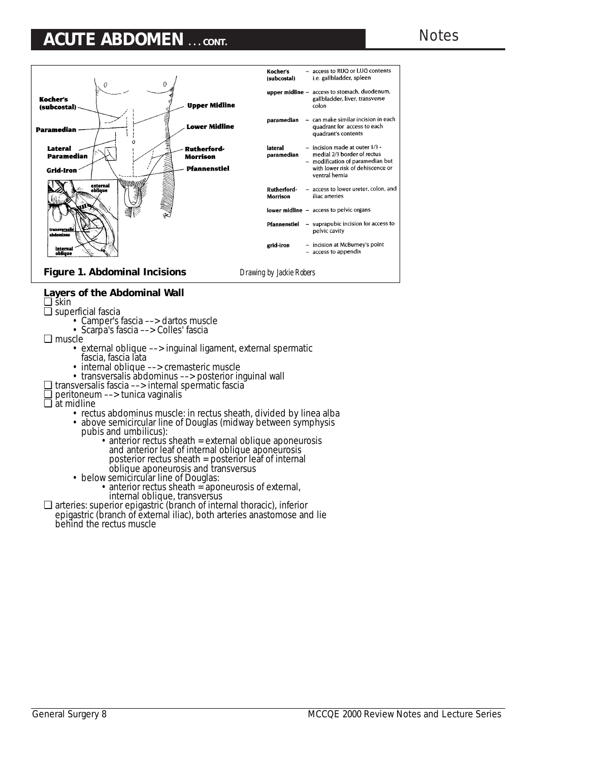## **ACUTE ABDOMEN . . . CONT.**

![](_page_7_Figure_2.jpeg)

## **Layers of the Abdominal Wall**

- □ skin<br>□ superficial fascia
	- Camper's fascia ––> dartos muscle
- Scarpa's fascia ––> Colles' fascia ❏ muscle

- external oblique ––> inguinal ligament, external spermatic fascia, fascia lata
- 
- internal oblique ––> cremasteric muscle<br>• transversalis abdominus ––> posterior inguinal wall
- transversalis abdominus ––> posterior inguinal wall ❏ transversalis fascia ––> internal spermatic fascia ❏ peritoneum ––> tunica vaginalis ❏ at midline
	-

- rectus abdominus muscle: in rectus sheath, divided by linea alba
- above semicircular line of Douglas (midway between symphysis pubis and umbilicus): anterior rectus sheath = external oblique aponeurosis
	- and anterior leaf of internal oblique aponeurosis
		- posterior rectus sheath = posterior leaf of internal
	-
- 
- below semicircular line of Douglas:<br>• anterior rectus sheath = aponeurosis of external,<br>internal oblique, transversus
- □ arteries: superior epigastric (branch of internal thoracic), inferior epigastric (branch of external iliac), both arteries anastomose and lie behind the rectus muscle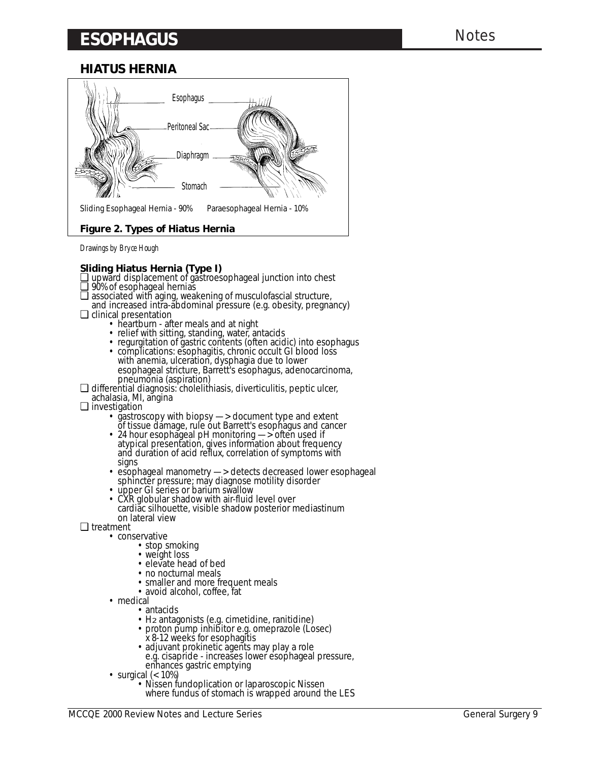## **ESOPHAGUS**

#### **HIATUS HERNIA**

![](_page_8_Figure_3.jpeg)

*Drawings by Bryce Hough*

#### **Sliding Hiatus Hernia (Type I)**

- ❏ upward displacement of gastroesophageal junction into chest ❏ 90% of esophageal hernias ❏ associated with aging, weakening of musculofascial structure,
- 
- 
- and increased intra-abdominal pressure (e.g. obesity, pregnancy) ❏ clinical presentation heartburn after meals and at night
	-
	- relief with sitting, standing, water, antacids
	- regurgitation of gastric contents (often acidic) into esophagus
	- complications: esophagitis, chronic occult GI blood loss with anemia, ulceration, dysphagia due to lower esophageal stricture, Barrett's esophagus, adenocarcinoma,
- □ differential diagnosis: cholelithiasis, diverticulitis, peptic ulcer,
- 
- 
- achalasia, MI, angina<br>
<br> **C** investigation<br>
 gastroscopy with biopsy —> document type and extent<br>
of tissue damage, rule out Barrett's esophagus and cancer<br>
 24 hour esophageal pH monitoring —> often used if<br>
atypical pr
	- and duration of acid reflux, correlation of symptoms with
	- signs esophageal manometry —> detects decreased lower esophageal sphincter pressure; may diagnose motility disorder upper GI series or barium swallow
	-
	- CXR globular shadow with air-fluid level over cardiac silhouette, visible shadow posterior mediastinum on lateral view
- ❏ treatment
	- conservative
		- stop smoking
		- weight loss
		- elevate head of bed
		- no nocturnal meals
		- smaller and more frequent meals
		- avoid alcohol, coffee, fat
	- medical • antacids
		-
		- H2 antagonists (e.g. cimetidine, ranitidine) proton pump inhibitor e.g. omeprazole (Losec)
			- x 8-12 weeks for esophagitis
		- adjuvant prokinetic agents may play a role
	- e.g. cisapride increases lower esophageal pressure, enhances gastric emptying • surgical (< 10%) • Nissen fundoplication or laparoscopic Nissen
	- -
		- where fundus of stomach is wrapped around the LES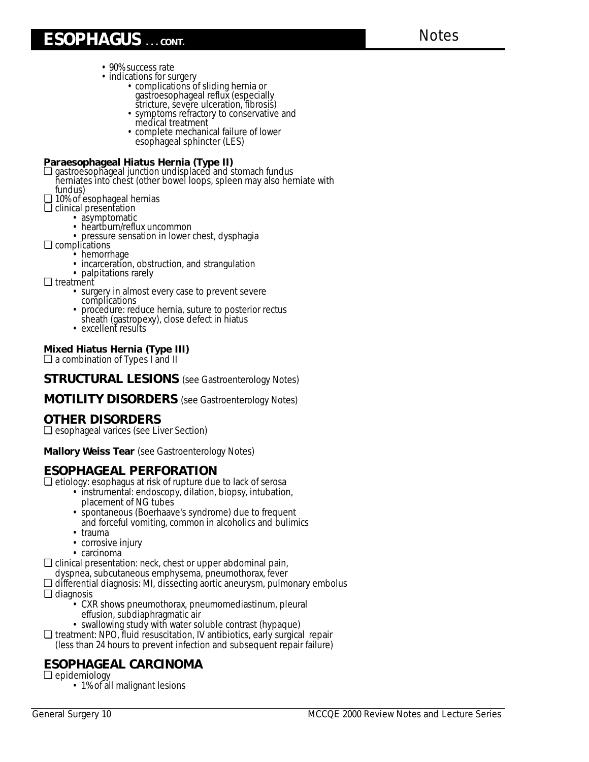## **ESOPHAGUS** ... cont. **Notes**

- 
- 90% success rate<br>• indications for surgery
	- complications of sliding hernia or gastroesophageal reflux (especially stricture, severe ulceration, fibrosis)
	- symptoms refractory to conservative and medical treatment
	- complete mechanical failure of lower esophageal sphincter (LES)

#### **Paraesophageal Hiatus Hernia (Type II)**

- ❏ gastroesophageal junction undisplaced and stomach fundus herniates into chest (other bowel loops, spleen may also herniate with fundus)
- ❏ 10% of esophageal hernias ❏ clinical presentation
	- - asymptomatic
			- heartburn/reflux uncommon
- pressure sensation in lower chest, dysphagia <br>
 hemorrhage
- -
	- incarceration, obstruction, and strangulation
	-
- 
- palpitations rarely<br>
□ treatment<br>
 surgery in almost every case to prevent severe
	- procedure: reduce hernia, suture to posterior rectus<br>• procedure: reduce hernia, suture to posterior rectus<br>• excellent results
	-
	-

### **Mixed Hiatus Hernia (Type III)**

❏ a combination of Types I and II

**STRUCTURAL LESIONS** (see Gastroenterology Notes)

**MOTILITY DISORDERS** (see Gastroenterology Notes)

### **OTHER DISORDERS**

❏ esophageal varices (see Liver Section)

**Mallory Weiss Tear** (see Gastroenterology Notes)

### **ESOPHAGEAL PERFORATION**

❏ etiology: esophagus at risk of rupture due to lack of serosa

- instrumental: endoscopy, dilation, biopsy, intubation, placement of NG tubes
- spontaneous (Boerhaave's syndrome) due to frequent and forceful vomiting, common in alcoholics and bulimics
- trauma
- corrosive injury
- carcinoma
- ❏ clinical presentation: neck, chest or upper abdominal pain,
- dyspnea, subcutaneous emphysema, pneumothorax, fever
- ❏ differential diagnosis: MI, dissecting aortic aneurysm, pulmonary embolus
- ❏ diagnosis
	- CXR shows pneumothorax, pneumomediastinum, pleural effusion, subdiaphragmatic air
	- swallowing study with water soluble contrast (hypaque)
- ❏ treatment: NPO, fluid resuscitation, IV antibiotics, early surgical repair (less than 24 hours to prevent infection and subsequent repair failure)

### **ESOPHAGEAL CARCINOMA**

❏ epidemiology

• 1% of all malignant lesions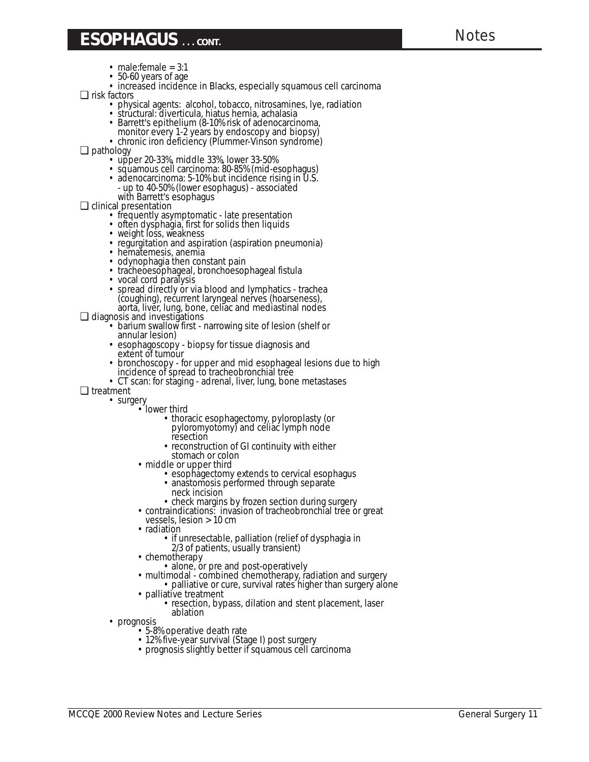## **ESOPHAGUS . . . CONT.**

Notes

- male:female = 3:1
- 50-60 years of age
- increased incidence in Blacks, especially squamous cell carcinoma ❏ risk factors
	- physical agents: alcohol, tobacco, nitrosamines, lye, radiation
	- structural: diverticula, hiatus hernia, achalasia
	-
- Barrett's epithelium (1-2 years by endoscopy and biopsy)<br>• chronic iron deficiency (Plummer-Vinson syndrome)<br>• upper 20-33%, middle 33%, lower 33-50%
- -
	- squamous cell carcinoma: 80-85% (mid-esophagus)
	- adenocarcinoma: 5-10% but incidence rising in U.S. up to 40-50% (lower esophagus) associated
	-
- 
- with Barrett's esophagus<br>□ clinical presentation<br>• frequently asymptomatic late presentation
	- often dysphagia, first for solids then liquids
	- weight loss, weakness
	- regurgitation and aspiration (aspiration pneumonia)
	- hematemesis, anemia
	- odynophagia then constant pain
	- tracheoesophageal, bronchoesophageal fistula
	- vocal cord paralysis
	- spread directly or via blood and lymphatics trachea (coughing), recurrent laryngeal nerves (hoarseness),
- 
- aorta, liver, lung, bone, celiac and mediastinal nodes ❏ diagnosis and investigations barium swallow first narrowing site of lesion (shelf or annular lesion)
	- esophagoscopy biopsy for tissue diagnosis and extent of tumour
- bronchoscopy for upper and mid esophageal lesions due to high incidence of spread to tracheobronchial tree<br>• CT scan: for staging adrenal, liver, lung, bone metastases <br>  $\Box$  treatment surgery
	-
- - - lower third
			- thoracic esophagectomy, pyloroplasty (or pyloromyotomy) and celiac lymph node resection
			- reconstruction of GI continuity with either
		- stomach or colon<br>• middle or upper third
			- esophagectomy extends to cervical esophagus
			- anastomosis performed through separate
			- neck incision
			-
		- check margins by frozen section during surgery contraindications: invasion of tracheobronchial tree or great
		- vessels, lesion > 10 cm
		- radiation
			- if unresectable, palliation (relief of dysphagia in
			-
		-
		-
		- chemotherapy<br>• alone, or pre and post-operatively<br>• multimodal combined chemotherapy, radiation and surgery<br>• palliative or cure, survival rates higher than surgery alone<br>• palliative treatment<br>• resection, bypass, dil
			- - ablation
	-
	- prognosis<br>• 5-8% operative death rate
		- 12% five-year survival (Stage I) post surgery
		- prognosis slightly better if squamous cell carcinoma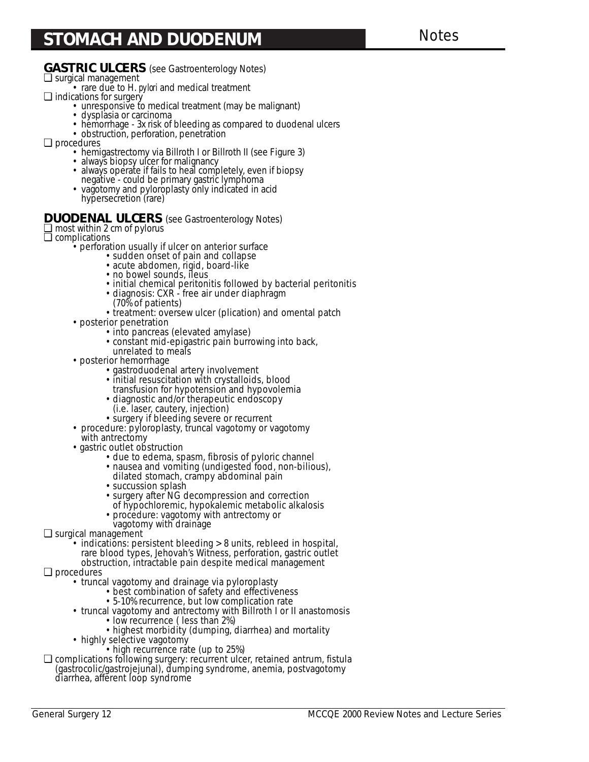## **STOMACH AND DUODENUM** Notes

# **GASTRIC ULCERS** (see Gastroenterology Notes) <br>□ surgical management<br>• rare due to H. *pylori* and medical treatment<br>□ indications for surgery

- 
- - unresponsive to medical treatment (may be malignant)
	- dysplasia or carcinoma
	- hemorrhage 3x risk of bleeding as compared to duodenal ulcers<br>• obstruction, perforation, penetration
	-
- 
- obstruction, perforation, penetration<br>□ procedures<br>• hemigastrectomy via Billroth I or Billroth II (see Figure 3)
	- always biopsy ulcer for malignancy
	- always operate if fails to heal completely, even if biopsy negative could be primary gastric lymphoma vagotomy and pyloroplasty only indicated in acid hypersecretion (rare)
	-

# **DUODENAL ULCERS** (see Gastroenterology Notes)<br>□ most within 2 cm of pylorus<br>□ complications • perforation usually if ulcer on anterior surface

- 
- - - sudden onset of pain and collapse<br>• acute abdomen, rigid, board-like
		-
		- no bowel sounds, ileus
		- initial chemical peritonitis followed by bacterial peritonitis
		- diagnosis: CXR free air under diaphragm (70% of patients)
		- treatment: oversew ulcer (plication) and omental patch
		- posterior penetration
			- into pancreas (elevated amylase)
			- constant mid-epigastric pain burrowing into back,
			- unrelated to meals
		- posterior hemorrhage
			- gastroduodenal artery involvement
			- initial resuscitation with crystalloids, blood transfusion for hypotension and hypovolemia
			- diagnostic and/or therapeutic endoscopy
			- (i.e. laser, cautery, injection)<br>• surgery if bleeding severe or recurrent
		- procedure: pyloroplasty, truncal vagotomy or vagotomy with antrectomy
		- gastric outlet obstruction
			- due to edema, spasm, fibrosis of pyloric channel
			- nausea and vomiting (undigested food, non-bilious),
			- dilated stomach, crampy abdominal pain
			- succussion splash
			- surgery after NG decompression and correction of hypochloremic, hypokalemic metabolic alkalosis
			-
			- procedure: vagotomy with antrectomy or
- $\Box$  surgical management
- indications: persistent bleeding > 8 units, rebleed in hospital, rare blood types, Jehovah's Witness, perforation, gastric outlet obstruction, intractable pain despite medical management ❏ procedures
- - truncal vagotomy and drainage via pyloroplasty
		-
		- best combination of safety and effectiveness<br>• 5-10% recurrence, but low complication rate
	- truncal vagotomy and antrectomy with Billroth I or II anastomosis
		- low recurrence ( less than 2%)
		- highest morbidity (dumping, diarrhea) and mortality
	-
	- highly selective vagotomy<br>• high recurrence rate (up to 25%)
- $\Box$  complications following surgery: recurrent ulcer, retained antrum, fistula (gastrocolic/gastrojejunal), dumping syndrome, anemia, postvagotomy diarrhea, afferent loop syndrome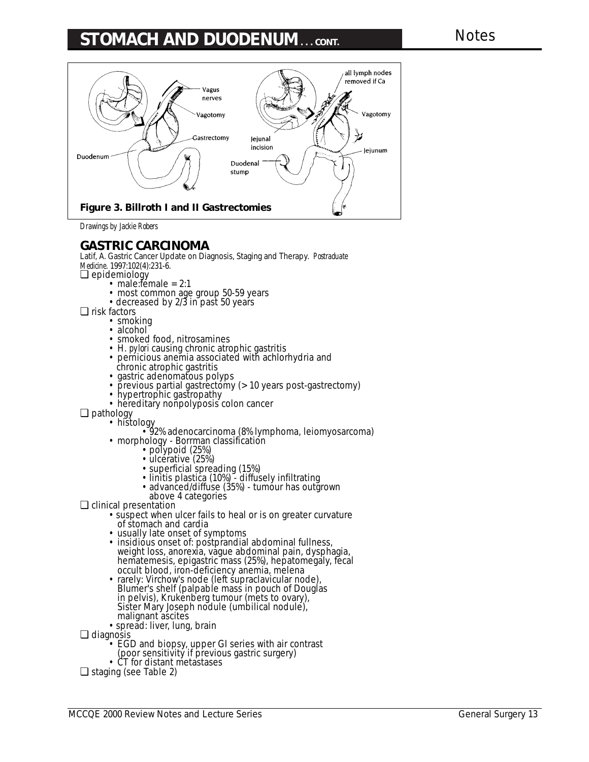## **STOMACH AND DUODENUM** ... cont. **Notes**

![](_page_12_Figure_2.jpeg)

*Drawings by Jackie Robers*

### **GASTRIC CARCINOMA**

Latif, A. Gastric Cancer Update on Diagnosis, Staging and Therapy. *Postraduate Medicine*. 1997:102(4):231-6.

- $\Box$  epidemiology<br>• male:female = 2:1
	-
	- most common age group 50-59 years
- decreased by  $2/3$  in past 50 years  $\Box$  risk factors
	- - smoking
		- alcohol
		-
		- smoked food, nitrosamines<br>• H. *pylori* causing chronic atrophic gastritis
		- pernicious anemia associated with achlorhydria and chronic atrophic gastritis
		- gastric adenomatous polyps
		- previous partial gastrectomy  $($  > 10 years post-gastrectomy)
		-
		- hypertrophic gastropathy<br>• hereditary nonpolyposis colon cancer
- 
- 
- □ pathology<br>• histology<br>• 92% adenocarcinoma (8% lymphoma, leiomyosarcoma)<br>• morphology Borrman classification<br>• polypoid (25%)
	- -
		- ulcerative (25%)
		- superficial spreading (15%)
		- linitis plastica (10%) diffusely infiltrating
		- advanced/diffuse (35%) tumour has outgrown<br>above 4 categories
		-
- 
- $\Box$  clinical presentation suspect when ulcer fails to heal or is on greater curvature of stomach and cardia
	- usually late onset of symptoms
	- insidious onset of: postprandial abdominal fullness, weight loss, anorexia, vague abdominal pain, dysphagia, hematemesis, epigastric mass (25%), hepatomegaly, fecal occult blood, iron-deficiency anemia, melena
	- rarely: Virchow's node (left supraclavicular node), Blumer's shelf (palpable mass in pouch of Douglas in pelvis), Krukenberg tumour (mets to ovary), Sister Mary Joseph nodule (umbilical nodule),
	- malignant ascites<br>• spread: liver, lung, brain
- 
- □ diagnosis EGD and biopsy, upper GI series with air contrast
	- (poor sensitivity if previous gastric surgery)
	- CT for distant metastases
- ❏ staging (see Table 2)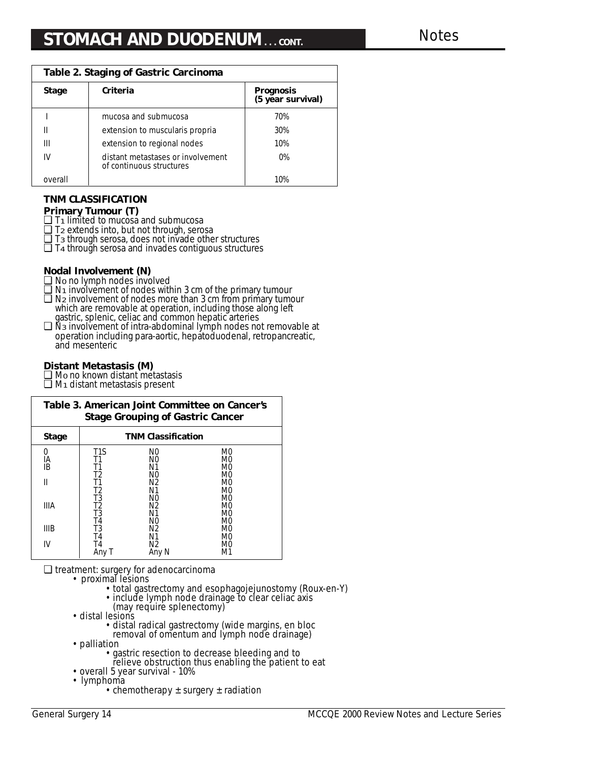## **STOMACH AND DUODENUM** ... cont. **Notes**

| <b>Table 2. Staging of Gastric Carcinoma</b> |                                                               |                                       |
|----------------------------------------------|---------------------------------------------------------------|---------------------------------------|
| <b>Stage</b>                                 | Criteria                                                      | <b>Prognosis</b><br>(5 year survival) |
|                                              | mucosa and submucosa                                          | 70%                                   |
|                                              | extension to muscularis propria                               | 30%                                   |
|                                              | extension to regional nodes                                   | 10%                                   |
|                                              | distant metastases or involvement<br>of continuous structures | $0\%$                                 |
| overall                                      |                                                               | 10%                                   |

#### **TNM CLASSIFICATION**

#### **Primary Tumour (T)**

- $\Box$  T<sub>1</sub> limited to mucosa and submucosa<br> $\Box$  T<sub>2</sub> extends into, but not through, serosa
- 
- ❏ T2 extends into, but not through, serosa ❏ T3 through serosa, does not invade other structures ❏ T4 through serosa and invades contiguous structures
- 

- 
- **Nodal Involvement (N)**<br>
□ No no lymph nodes involved<br>
□ N<sub>1</sub> involvement of nodes within 3 cm of the primary tumour ❏ N0 no lymph nodes involved ❏ N1 involvement of nodes within 3 cm of the primary tumour ❏ N2 involvement of nodes more than 3 cm from primary tumour which are removable at operation, including those along left
- 
- gastric, splenic, celiac and common hepatic arteries ❏ N3 involvement of intra-abdominal lymph nodes not removable at operation including para-aortic, hepatoduodenal, retropancreatic, operation including para-aortic, hepatoduodenal, retropancreatic, and mesenteric

#### **Distant Metastasis (M)**

- ❏ M0 no known distant metastasis
- ❏ M1 distant metastasis present

| Table 3. American Joint Committee on Cancer's<br><b>Stage Grouping of Gastric Cancer</b> |                  |                           |                |
|------------------------------------------------------------------------------------------|------------------|---------------------------|----------------|
| <b>Stage</b>                                                                             |                  | <b>TNM Classification</b> |                |
| 0                                                                                        | T <sub>1</sub> S | N0                        | M0             |
| IA                                                                                       | T1               | N0                        | M0             |
| IB                                                                                       | T1               | N1                        | M0             |
|                                                                                          | T <sub>2</sub>   | N <sub>0</sub>            | M0             |
| Π                                                                                        | T1               | N <sub>2</sub>            | M0             |
|                                                                                          | T <sub>2</sub>   | N <sub>1</sub>            | M <sub>0</sub> |
|                                                                                          | T3               | N <sub>0</sub>            | M0             |
| ШA                                                                                       | T <sub>2</sub>   | N <sub>2</sub>            | M0             |
|                                                                                          | T3               | N <sub>1</sub>            | M <sub>0</sub> |
|                                                                                          | T4               | N0                        | M0             |
| <b>THB</b>                                                                               | T3               | N <sub>2</sub>            | M0             |
|                                                                                          | T4               | N1                        | M0             |
| IV                                                                                       | T4               | N <sub>2</sub>            | M0             |
|                                                                                          | Any T            | Any N                     | M1             |

 $\Box$  treatment: surgery for adenocarcinoma • proximal lesions

- total gastrectomy and esophagojejunostomy (Roux-en-Y) include lymph node drainage to clear celiac axis
- 
- (may require splenectomy) distal lesions
- - distal radical gastrectomy (wide margins, en bloc
	-
- 
- palliation<br>• gastric resection to decrease bleeding and to
- relieve obstruction thus enabling the patient to eat<br>• overall 5 year survival 10%<br>• lymphoma
- - chemotherapy  $\pm$  surgery  $\pm$  radiation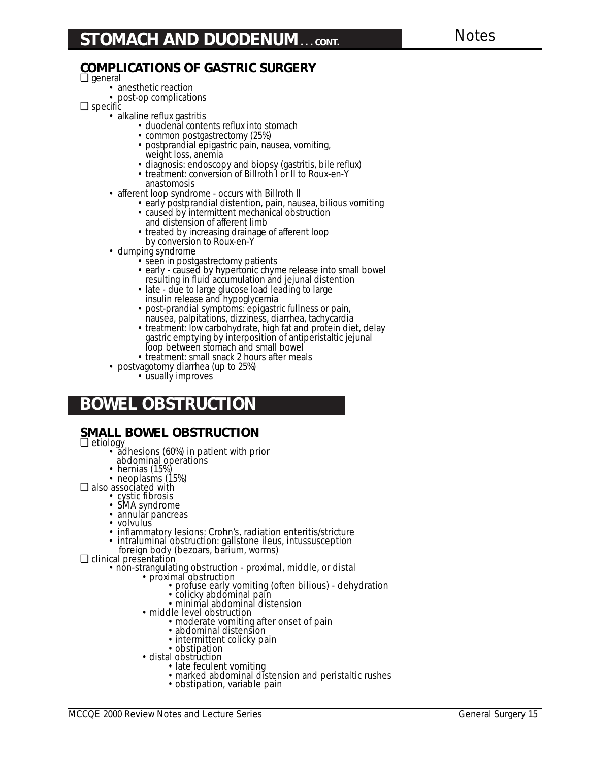## **COMPLICATIONS OF GASTRIC SURGERY**

- anesthetic reaction
- post-op complications ❏ specific
- - alkaline reflux gastritis
		- duodenal contents reflux into stomach
		- common postgastrectomy (25%)
		- postprandial epigastric pain, nausea, vomiting, weight loss, anemia
		- diagnosis: endoscopy and biopsy (gastritis, bile reflux)
		- treatment: conversion of Billroth I or II to Roux-en-Y anastomosis
	- afferent loop syndrome occurs with Billroth II
		- early postprandial distention, pain, nausea, bilious vomiting
		- caused by intermittent mechanical obstruction and distension of afferent limb
		- treated by increasing drainage of afferent loop
		- by conversion to Roux-en-Y
	- dumping syndrome
		- seen in postgastrectomy patients
		- early caused by hypertonic chyme release into small bowel resulting in fluid accumulation and jejunal distention
		- late due to large glucose load leading to large insulin release and hypoglycemia
		- post-prandial symptoms: epigastric fullness or pain, nausea, palpitations, dizziness, diarrhea, tachycardia
		- treatment: low carbohydrate, high fat and protein diet, delay gastric emptying by interposition of antiperistaltic jejunal loop between stomach and small bowel
		- treatment: small snack 2 hours after meals
	- postvagotomy diarrhea (up to 25%)
		- usually improves

## **BOWEL OBSTRUCTION**

## **SMALL BOWEL OBSTRUCTION**

- ❏ etiology adhesions (60%) in patient with prior
	- abdominal operations
	- hernias  $(15%)$ <br>• neoplasms  $(15%)$
	-
- $\Box$  also associated with
	- cystic fibrosis
	- SMA syndrome
	- annular pancreas
	- volvulus
	-
	- inflammatory lesions: Crohn's, radiation enteritis/stricture
- 
- foreign body (bezoars, barium, worms)<br>
□ clinical presentation<br>
 non-strangulating obstruction proximal, middle, or distal<br>
 proximal obstruction<br>
 profuse early vomiting (often bilious) dehydration<br>
 profuse earl
	- -
		- colicky abdominal pain
		- minimal abdominal distension
		- middle level obstruction
			- moderate vomiting after onset of pain
			- abdominal distension
			- intermittent colicky pain<br>• obstipation
			-
		- distal obstruction
			- late feculent vomiting
				- marked abdominal distension and peristaltic rushes
				- obstipation, variable pain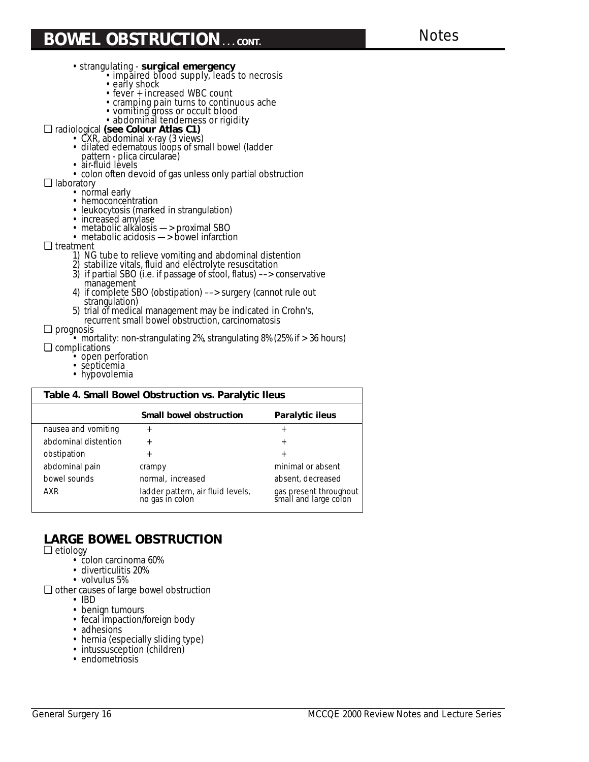- strangulating **surgical emergency** impaired blood supply, leads to necrosis
	- early shock
	- fever + increased WBC count
	- cramping pain turns to continuous ache
	- vomiting gross or occult blood<br>• abdominal tenderness or rigidity
	-

## □ radiological **(see Colour Atlas C1)** • CXR, abdominal x-ray (3 views)

- dilated edematous loops of small bowel (ladder pattern plica circularae) air-fluid levels
- -

• colon often devoid of gas unless only partial obstruction ❏ laboratory • normal early

- -
	- hemoconcentration
	- leukocytosis (marked in strangulation)
	- increased amylase
	- metabolic alkalosis —> proximal SBO
	- metabolic acidosis  $\rightarrow$  bowel infarction
- ❏ treatment
	- 1) NG tube to relieve vomiting and abdominal distention
	- stabilize vitals, fluid and electrolyte resuscitation
	- 3) if partial SBO (i.e. if passage of stool, flatus) ––> conservative
- 4) if complete SBO (obstipation) ––> surgery (cannot rule out strangulation)<br>5) trial of medical management may be indicated in Crohn's, recurrent small bowel obstruction, carcinomatosis<br> $\Box$  prognosis
	-
	-
- 
- mortality: non-strangulating 2%, strangulating 8% (25% if > 36 hours)<br>
 open perforation<br>
 open perforation
	-
	- septicemia
	- hypovolemia

#### **Table 4. Small Bowel Obstruction vs. Paralytic Ileus**

|                      | <b>Small bowel obstruction</b>                       | <b>Paralytic ileus</b>                          |
|----------------------|------------------------------------------------------|-------------------------------------------------|
| nausea and vomiting  | $\overline{+}$                                       | $\,{}^+$                                        |
| abdominal distention |                                                      | $\overline{+}$                                  |
| obstipation          | $\div$                                               | $\overline{+}$                                  |
| abdominal pain       | crampy                                               | minimal or absent                               |
| bowel sounds         | normal, increased                                    | absent, decreased                               |
| AXR                  | ladder pattern, air fluid levels,<br>no gas in colon | gas present throughout<br>small and large colon |

### **LARGE BOWEL OBSTRUCTION**

❏ etiology

- colon carcinoma 60%
- diverticulitis 20%
- volvulus 5%
- ❏ other causes of large bowel obstruction
	- IBD
	- benign tumours
	- fecal impaction/foreign body
	- adhesions
	- hernia (especially sliding type)
	- intussusception (children)
	- endometriosis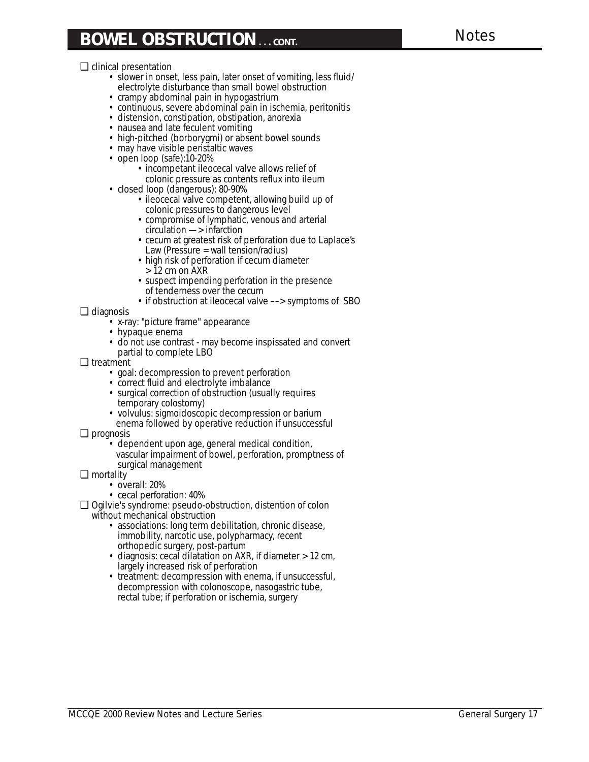## **BOWEL OBSTRUCTION** ... cont. **1999 1001 1001 2003**

#### ❏ clinical presentation

- slower in onset, less pain, later onset of vomiting, less fluid electrolyte disturbance than small bowel obstruction
- crampy abdominal pain in hypogastrium
- continuous, severe abdominal pain in ischemia, peritonitis
- distension, constipation, obstipation, anorexia
- nausea and late feculent vomiting
- high-pitched (borborygmi) or absent bowel sounds
- may have visible peristaltic waves
- open loop (safe):10-20%
	- incompetant ileocecal valve allows relief of colonic pressure as contents reflux into ileum
- closed loop (dangerous): 80-90%
	- ileocecal valve competent, allowing build up of colonic pressures to dangerous level
	- compromise of lymphatic, venous and arterial circulation —> infarction
	- cecum at greatest risk of perforation due to Laplace's
	- Law (Pressure = wall tension/radius) • high risk of perforation if cecum diameter  $>$  12 cm on  $\overline{A}$ XR
	- suspect impending perforation in the presence of tenderness over the cecum
	- if obstruction at ileocecal valve --> symptoms of SBO

#### ❏ diagnosis

- x-ray: "picture frame" appearance
- hypaque enema
- do not use contrast may become inspissated and convert partial to complete LBO
- ❏ treatment
	- goal: decompression to prevent perforation
	- correct fluid and electrolyte imbalance
	- surgical correction of obstruction (usually requires temporary colostomy)
	- volvulus: sigmoidoscopic decompression or barium enema followed by operative reduction if unsuccessful
- ❏ prognosis
	- dependent upon age, general medical condition, vascular impairment of bowel, perforation, promptness of surgical management
- ❏ mortality
	- overall: 20%
		- cecal perforation: 40%
- ❏ Ogilvie's syndrome: pseudo-obstruction, distention of colon without mechanical obstruction
	- associations: long term debilitation, chronic disease, immobility, narcotic use, polypharmacy, recent orthopedic surgery, post-partum
	- diagnosis: cecal dilatation on AXR, if diameter > 12 cm, largely increased risk of perforation
	- treatment: decompression with enema, if unsuccessful, decompression with colonoscope, nasogastric tube, rectal tube; if perforation or ischemia, surgery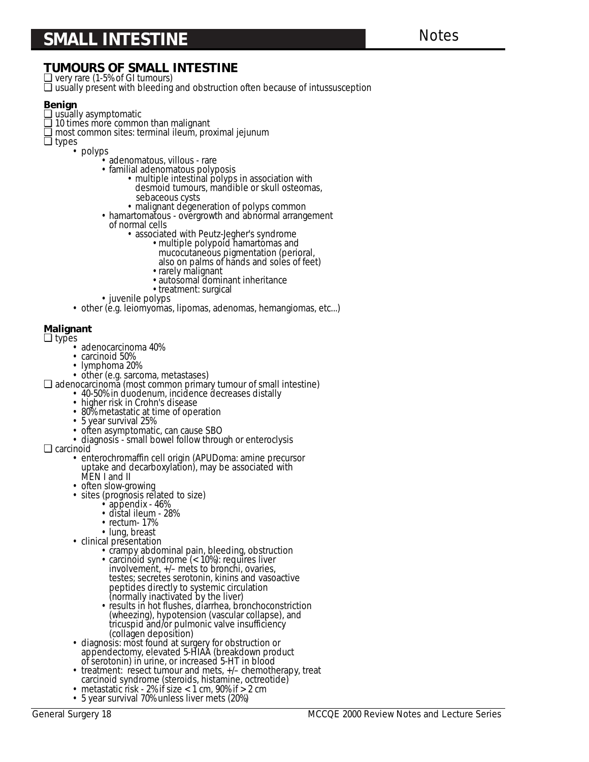## **SMALL INTESTINE** Notes

## **TUMOURS OF SMALL INTESTINE**<br>  $\Box$  very rare (1-5% of GI tumours)

- 
- □ usually present with bleeding and obstruction often because of intussusception

- **Benign**<br> **a** usually asymptomatic
- 
- ❏ usually asymptomatic ❏ 10 times more common than malignant ❏ most common sites: terminal ileum, proximal jejunum ❏ types• polyps• adenomatous, villous rare
	- - -
		- familial adenomatous polyposis multiple intestinal polyps in association with desmoid tumours, mandible or skull osteomas, sebaceous cysts<br>• malignant degeneration of polyps common
			-
		- hamartomatous overgrowth and abnormal arrangement of normal cells
			- - associated with Peutz-Jegher's syndrome multiple polypoid hamartomas and
					- mucocutaneous pigmentation (perioral,
					- also on palms of hands and soles of feet)
					- rarely malignant
					- autosomal dominant inheritance<br>• treatment: surgical
					-
		-
		- juvenile polyps other (e.g. leiomyomas, lipomas, adenomas, hemangiomas, etc...)

## **Malignant**<br> **<u>I</u>** types

- - adenocarcinoma 40%
	- carcinoid 50%
	-
	- lymphoma 20%<br>• other (e.g. sarcoma, metastases)
- other (e.g. sarcoma, metastases) ❏ adenocarcinoma (most common primary tumour of small intestine) 40-50% in duodenum, incidence decreases distally
	-
	- higher risk in Crohn's disease
	- 80% metastatic at time of operation
	- 5 year survival 25%
	- often asymptomatic, can cause SBO
- diagnosis small bowel follow through or enteroclysis ❏ carcinoid
- - enterochromaffin cell origin (APUDoma: amine precursor uptake and decarboxylation), may be associated with MEN I and II
	- often slow-growing
	- sites (prognosis related to size) appendix 46%
		-
		- distal ileum 28%
		-
		- rectum-17%<br>• lung, breast
	-
	- lung, breast clinical presentation crampy abdominal pain, bleeding, obstruction • carcinoid syndrome (< 10%): requires liver involvement, +/– mets to bronchi, ovaries, testes; secretes serotonin, kinins and vasoactive peptides directly to systemic circulation (normally inactivated by the liver)
		- results in hot flushes, diarrhea, bronchoconstriction (wheezing), hypotension (vascular collapse), and tricuspid and/or pulmonic valve insufficiency<br>(collagen deposition)
	- diagnosis: most found at surgery for obstruction or appendectomy, elevated 5-HIAA (breakdown product of serotonin) in urine, or increased 5-HT in blood
	- treatment: resect tumour and mets, +/– chemotherapy, treat carcinoid syndrome (steroids, histamine, octreotide) metastatic risk 2% if size < 1 cm, 90% if > 2 cm
	-
	- 5 year survival 70% unless liver mets (20%)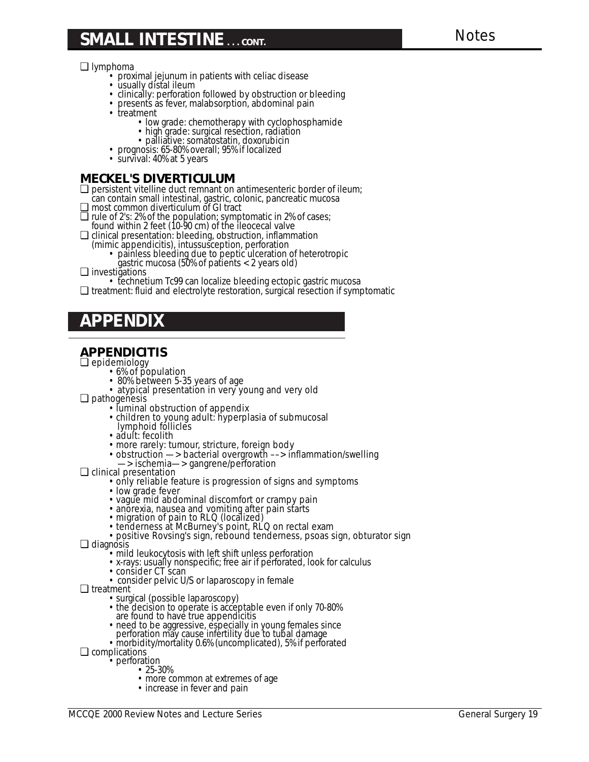## **SMALL INTESTINE** ... . CONT. **EXAMPLE 2008 RODER**

- ❏ lymphoma proximal jejunum in patients with celiac disease
	- usually distal ileum
	- clinically: perforation followed by obstruction or bleeding
	- presents as fever, malabsorption, abdominal pain
	- treatment
		- low grade: chemotherapy with cyclophosphamide
		-
		- high grade: surgical resection, radiation<br>• palliative: somatostatin, doxorubicin
	- prognosis:  $65-80\%$  overall;  $95\%$  if localized
	- survival: 40% at 5 years

### **MECKEL'S DIVERTICULUM**

- ❏ persistent vitelline duct remnant on antimesenteric border of ileum;
- can contain small intestinal, gastric, colonic, pancreatic mucosa ❏ most common diverticulum of GI tract
- 
- ❏ rule of 2's: 2% of the population; symptomatic in 2% of cases; found within 2 feet (10-90 cm) of the ileocecal valve
- ❏ clinical presentation: bleeding, obstruction, inflammation
- painless bleeding due to peptic ulceration of heterotropic<br>gastric mucosa (50% of patients < 2 years old)<br> $\Box$  investigations<br>• technetium Tc99 can localize bleeding ectopic gastric mucosa<br> $\Box$  treatment: fluid and elec
- -
- 

## **APPENDIX**

## **APPENDICITIS**<br><sup>[]</sup> epidemiology

- - 6% of population
	- 80% between 5-35 years of age
- atypical presentation in very young and very old <br>□ pathogenesis luminal obstruction of appendix
- - - children to young adult: hyperplasia of submucosal
		- lymphoid follicles
		- adult: fecolith
		- more rarely: tumour, stricture, foreign body
		- obstruction —> bacterial overgrowth —> inflammation/swelling —> ischemia—> gangrene/perforation
		-
- 
- —> ischemia—> gangrene/perforation ❏ clinical presentation only reliable feature is progression of signs and symptoms
	- low grade fever
	- vague mid abdominal discomfort or crampy pain
	- anorexia, nausea and vomiting after pain starts
	- migration of pain to RLQ (localized)
	- tenderness at McBurney's point, RLQ on rectal exam
- positive Rovsing's sign, rebound tenderness, psoas sign, obturator sign ↓ diagnosis<br>
 mild leukocytosis with left shift unless perforation
- -
	- mild leukocytosis with left shift unless perforation<br>• x-rays: usually nonspecific; free air if perforated, look for calculus
	- consider CT scan
- consider pelvic U/S or laparoscopy in female ❏ treatment
- - surgical (possible laparoscopy)
	- the decision to operate is acceptable even if only 70-80% are found to have true appendicitis
	- need to be aggressive, especially in young females since
	- perforation may cause infertility due to tubal damage
- morbidity/mortality 0.6% (uncomplicated), 5% if perforated <br>
 perforation 25-30%
- - -
		- more common at extremes of age
		- increase in fever and pain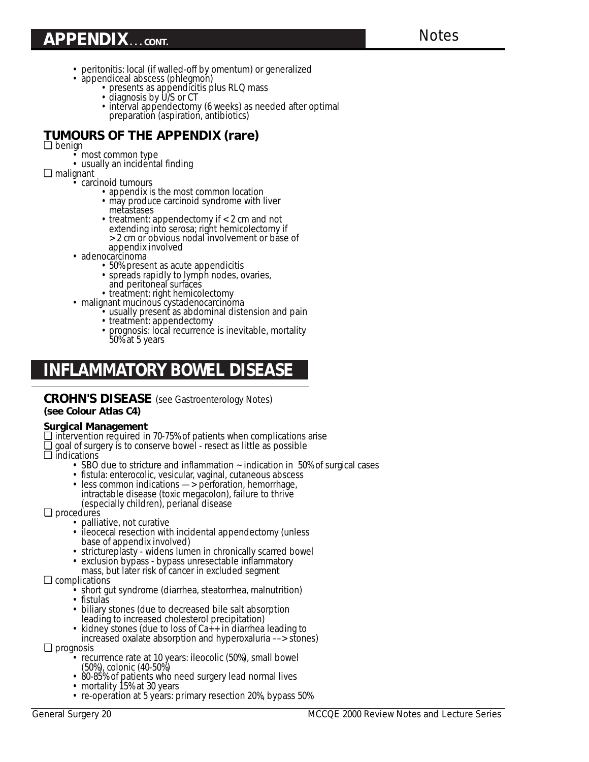## **APPENDIX** Notes **. . . CONT.**

- peritonitis: local (if walled-off by omentum) or generalized<br>• appendiceal abscess (phlegmon)
- 
- appendiceal abscess (phlegmon)<br>• presents as appendicitis plus RLQ mass
	- diagnosis by U/S or CT
	- interval appendectomy (6 weeks) as needed after optimal preparation (aspiration, antibiotics)

### **TUMOURS OF THE APPENDIX (rare)**

#### ❏ benign

- most common type
- usually an incidental finding<br>
□ malignant<br>
 carcinoid tumours
- - - appendix is the most common location • may produce carcinoid syndrome with liver metastases
		- treatment: appendectomy if  $< 2$  cm and not extending into serosa; right hemicolectomy if > 2 cm or obvious nodal involvement or base of
	- appendix involved adenocarcinoma
		- 50% present as acute appendicitis
		- spreads rapidly to lymph nodes, ovaries,
		- and peritoneal surfaces<br>• treatment: right hemicolectomy
		-
	- malignant mucinous cystadenocarcinoma<br>• usually present as abdominal distension and pain
		- treatment: appendectomy
		- prognosis: local recurrence is inevitable, mortality 50% at 5 years

## **INFLAMMATORY BOWEL DISEASE**

#### **CROHN'S DISEASE** (see Gastroenterology Notes) **(see Colour Atlas C4)**

#### **Surgical Management**

❏ intervention required in 70-75% of patients when complications arise ❏ goal of surgery is to conserve bowel - resect as little as possible ❏ indications

- 
- - SBO due to stricture and inflammation ~ indication in 50% of surgical cases
	- fistula: enterocolic, vesicular, vaginal, cutaneous abscess
- less common indications —> perforation, hemorrhage, intractable disease (toxic megacolon), failure to thrive (especially children), perianal disease ❏ procedures
- - palliative, not curative
		- ileocecal resection with incidental appendectomy (unless base of appendix involved)
		- strictureplasty widens lumen in chronically scarred bowel
		- exclusion bypass bypass unresectable inflammatory
- mass, but later risk of cancer in excluded segment ❏ complications
- - short gut syndrome (diarrhea, steatorrhea, malnutrition)
	- fistulas
	- biliary stones (due to decreased bile salt absorption leading to increased cholesterol precipitation)
	- kidney stones (due to loss of  $Ca++$  in diarrhea leading to
- increased oxalate absorption and hyperoxaluria ––> stones) ❏ prognosis
	- recurrence rate at 10 years: ileocolic (50%), small bowel (50%), colonic (40-50%)
	- 80-85% of patients who need surgery lead normal lives
	- mortality 15% at 30 years
	- re-operation at 5 years: primary resection 20%, bypass 50%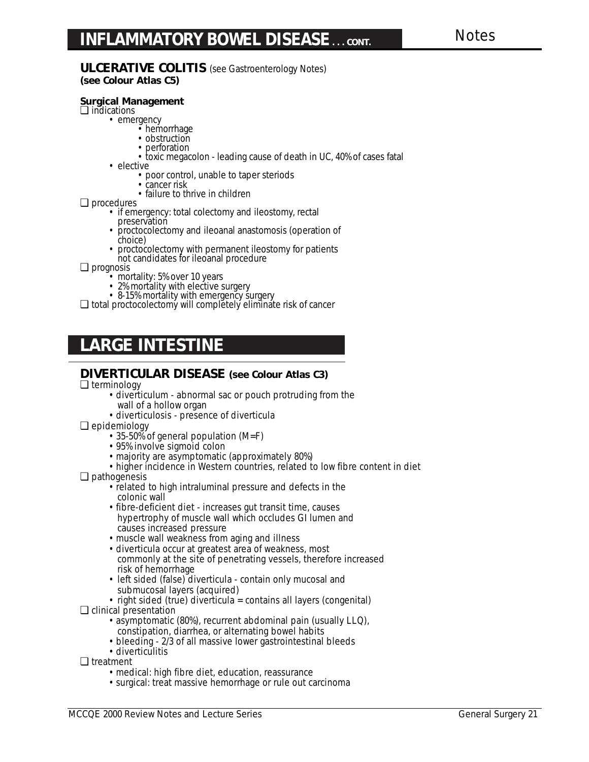## **INFLAMMATORY BOWEL DISEASE...cont.** Notes

#### **ULCERATIVE COLITIS** (see Gastroenterology Notes) **(see Colour Atlas C5)**

#### **Surgical Management**

❏ indications

- emergency<br>• hemorrhage
	-
	- obstruction
	- perforation
- toxic megacolon leading cause of death in UC, 40% of cases fatal elective
- - poor control, unable to taper steriods
- cancer risk • failure to thrive in children
- - if emergency: total colectomy and ileostomy, rectal preservation
	- proctocolectomy and ileoanal anastomosis (operation of choice)
- proctocolectomy with permanent ileostomy for patients<br>not candidates for ileoanal procedure<br> $□$  prognosis<br>• mortality: 5% over 10 years
- -
	- 2% mortality with elective surgery<br>• 8-15% mortality with emergency surgery
	-
- $\Box$  total proctocolectomy will completely eliminate risk of cancer

## **LARGE INTESTINE**

#### **DIVERTICULAR DISEASE (see Colour Atlas C3)**

- ❏ terminology
	- diverticulum abnormal sac or pouch protruding from the wall of a hollow organ
	- diverticulosis presence of diverticula
- ❏ epidemiology
	- 35-50% of general population (M=F)
	- 95% involve sigmoid colon
	- majority are asymptomatic (approximately 80%)
	- higher incidence in Western countries, related to low fibre content in diet
- ❏ pathogenesis
	- related to high intraluminal pressure and defects in the colonic wall
	- fibre-deficient diet increases gut transit time, causes hypertrophy of muscle wall which occludes GI lumen and causes increased pressure
	- muscle wall weakness from aging and illness
	- diverticula occur at greatest area of weakness, most commonly at the site of penetrating vessels, therefore increased risk of hemorrhage
	- left sided (false) diverticula contain only mucosal and submucosal layers (acquired)
	- right sided (true) diverticula = contains all layers (congenital)
- ❏ clinical presentation
	- asymptomatic (80%), recurrent abdominal pain (usually LLQ), constipation, diarrhea, or alternating bowel habits
	- bleeding 2/3 of all massive lower gastrointestinal bleeds
	- diverticulitis
- ❏ treatment
	- medical: high fibre diet, education, reassurance
	- surgical: treat massive hemorrhage or rule out carcinoma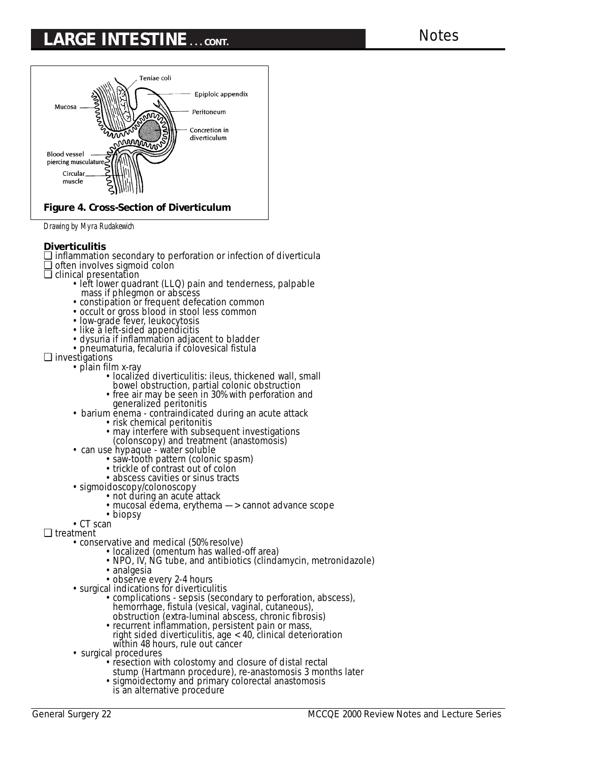## **LARGE INTESTINE** Notes **. . . CONT.**

![](_page_21_Picture_3.jpeg)

*Drawing by Myra Rudakewich*

#### **Diverticulitis**

- ❏ inflammation secondary to perforation or infection of diverticula ❏ often involves sigmoid colon ❏ clinical presentation left lower quadrant (LLQ) pain and tenderness, palpable
- 
- - mass if phlegmon or abscess
	- constipation or frequent defecation common
	- occult or gross blood in stool less common
	- low-grade fever, leukocytosis
	- like a left-sided appendicitis
	- dysuria if inflammation adjacent to bladder
	-
- -
- pneumaturia, fecaluria if colovesical fistula<br>
□ investigations<br>
 plain film x-ray<br>
 localized diverticulitis: ileus, thickened wall, small bowel obstruction, partial colonic obstruction
	- free air may be seen in 30% with perforation and
	-
	- barium enema contraindicated during an acute attack<br>• risk chemical peritonitis
		- may interfere with subsequent investigations
		-
	-
	- (colonscopy) and treatment (anastomosis) can use hypaque water soluble saw-tooth pattern (colonic spasm)
		- trickle of contrast out of colon
		-
	- abscess cavities or sinus tracts<br>• sigmoidoscopy/colonoscopy
		- not during an acute attack
		- mucosal edema, erythema —> cannot advance scope
		-
- CT scan
- ❏ treatment
	- conservative and medical (50% resolve)
		- localized (omentum has walled-off area)
		- NPO, IV, NG tube, and antibiotics (clindamycin, metronidazole)
		-
		-
	- analgesia<br>• observe every 2-4 hours<br>• surgical indications for diverticulitis
		- complications *•* sepsis (secondary to perforation, abscess), hemorrhage, fistula (vesical, vaginal, cutaneous), obstruction (extra-luminal abscess, chronic fibrosis)
		- recurrent inflammation, persistent pain or mass,
		- right sided diverticulitis, age < 40, clinical deterioration within 48 hours, rule out cancer
	-
	- surgical procedures resection with colostomy and closure of distal rectal stump (Hartmann procedure), re-anastomosis 3 months later
		- sigmoidectomy and primary colorectal anastomosis
		- is an alternative procedure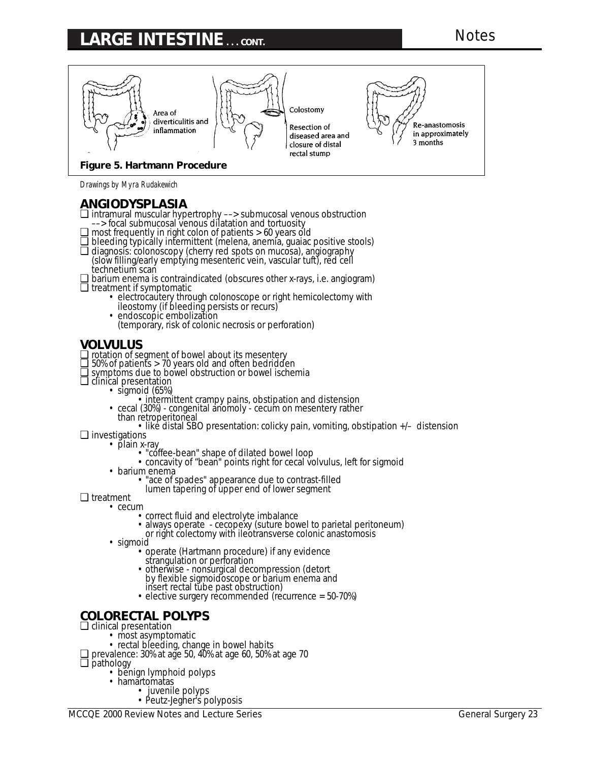## **LARGE INTESTINE** ... . CONT.

![](_page_22_Figure_2.jpeg)

*Drawings by Myra Rudakewich*

### **ANGIODYSPLASIA**

❏ intramural muscular hypertrophy ––> submucosal venous obstruction

- 
- --> focal submucosal venous dilatation and tortuosity<br>□ most frequently in right colon of patients > 60 years old<br>□ bleeding typically intermittent (melena, anemia, guaiac positive stools)<br>□ diagnosis: colonoscopy (cherry
- $\Box$  diagnosts: colonoscopy (cherry red spots on mucosa), angiography (slow filling/early emptying mesenteric vein, vascular tuft), red cell
- technetium scan<br> $\Box$  barium enema is contraindicated (obscures other x-rays, i.e. angiogram)
- 
- □ treatment if symptomatic<br>
 electrocautery through colonoscope or right hemicolectomy with<br>
ileostomy (if bleeding persists or recurs)<br>
 endoscopic embolization<br>
(temporary, risk of colonic necrosis or perforation)
	- -

- **VOLVULUS**<br> $\Box$  rotation of segment of bowel about its mesentery
- 
- -
	- -
		-
		-
- $\label{eq:1} \begin{array}{ll} \hbox{\rlap{$\sqcap$}} \begin{tabular}{l} {\Box} \text{ rotation of segment of bowel about its mesentery} \\ \hline \hline 50\% of patients > 70 years old and often bedridden \\ \hline \hline \end{tabular} \end{array} \begin{minipage}[t]{0.9\linewidth} \begin{tabular}{l} \hline \text{subpoints due to bowel obstruction or bowel ischemia} \\ \hline \text{relization of a connection of lowo} \\ \hline \end{tabular} \end{minipage} \begin{minipage}[t]{0.9\linewidth} \begin{tabular}{l} \hline \text{disjointed representation} \\ \hline \end{tabular} \end{min$
- -
	- "coffee-bean" shape of dilated bowel loop<br>• concavity of "bean" points right for cecal volvulus, left for sigmoid<br>• barium enema
		- - "ace of spades" appearance due to contrast-filled
- lumen tapering of upper end of lower segment ❏ treatment
- - cecum
		- correct fluid and electrolyte imbalance
		- always operate cecopexy (suture bowel to parietal peritoneum)
		- or right colectomy with ileotransverse colonic anastomosis<br>• sigmoid<br>• operate (Hartmann procedure) if any evidence
		- - operate (Hartmann procedure) if any evidence<br>strangulation or perforation
				-
			- otherwise nonsurgical decompression (detort by flexible sigmoidoscope or barium enema and
			- insert rectal tube past obstruction)
			- elective surgery recommended (recurrence = 50-70%)

#### **COLORECTAL POLYPS**

#### ❏ clinical presentation

- most asymptomatic
- 
- rectal bleeding, change in bowel habits<br> **□** prevalence: 30% at age 50, 40% at age 60, 50% at age 70<br>
□ pathology<br>
 benign lymphoid polyps
- -
	- hamartomatas
		- juvenile polyps
		- Peutz-Jegher's polyposis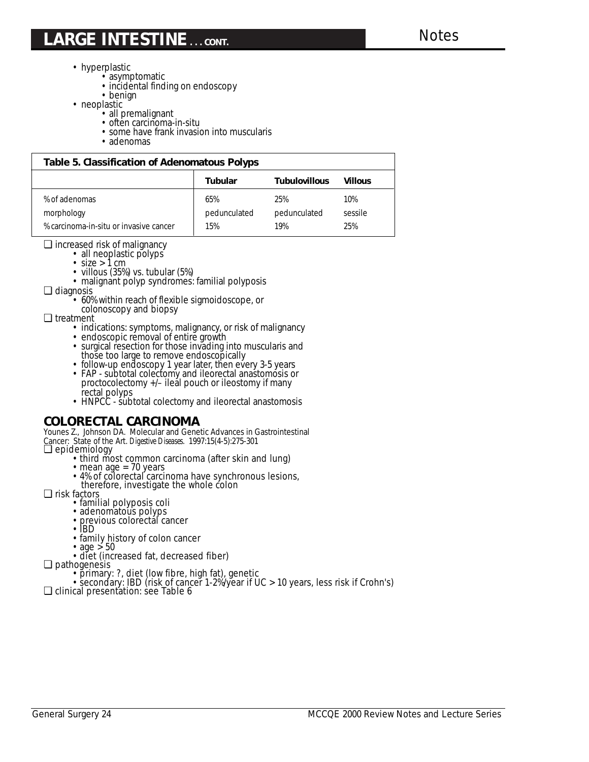- hyperplastic
	- asymptomatic
	- incidental finding on endoscopy
	-
- benign<br>• neoplastic<br>• all premalignant
	-
	- often carcinoma-in-situ
	- some have frank invasion into muscularis
	- adenomas

| <b>Table 5. Classification of Adenomatous Polyps</b>                  |                            |                            |                       |
|-----------------------------------------------------------------------|----------------------------|----------------------------|-----------------------|
|                                                                       | Tubular                    | Tubulovillous              | Villous               |
| % of adenomas<br>morphology<br>% carcinoma-in-situ or invasive cancer | 65%<br>pedunculated<br>15% | 25%<br>pedunculated<br>19% | 10%<br>sessile<br>25% |

❏ increased risk of malignancy • all neoplastic polyps

- 
- size  $> 1$  cm
- 
- villous (35%) vs. tubular (5%)
- 
- malignant polyp syndromes: familial polyposis ❏ diagnosis 60% within reach of flexible sigmoidoscope, or colonoscopy and biopsy ❏ treatment
- - indications: symptoms, malignancy, or risk of malignancy
	- endoscopic removal of entire growth
	- surgical resection for those invading into muscularis and those too large to remove endoscopically follow-up endoscopy 1 year later, then every 3-5 years
	-
	- FAP subtotal colectomy and ileorectal anastomosis or proctocolectomy +/– ileal pouch or ileostomy if many
	- rectal polyps HNPCC subtotal colectomy and ileorectal anastomosis

### **COLORECTAL CARCINOMA**

Younes Z., Johnson DA. Molecular and Genetic Advances in Gastrointestinal Cancer: State of the Art. *Digestive Diseases*. 1997:15(4-5):275-301

- - third most common carcinoma (after skin and lung)
	- mean age = 70 years
- 4% of colorectal carcinoma have synchronous lesions, therefore, investigate the whole colon <br>□ risk factors
	-

- familial polyposis coli
- adenomatous polyps
- previous colorectal cancer
- IBD
- family history of colon cancer
- age  $\geq 50$
- diet (increased fat, decreased fiber) ❏ pathogenesis primary: ?, diet (low fibre, high fat), genetic
	- -
- secondary: IBD (risk of cancer 1-2%/year if UC > 10 years, less risk if Crohn's) ❏ clinical presentation: see Table 6
-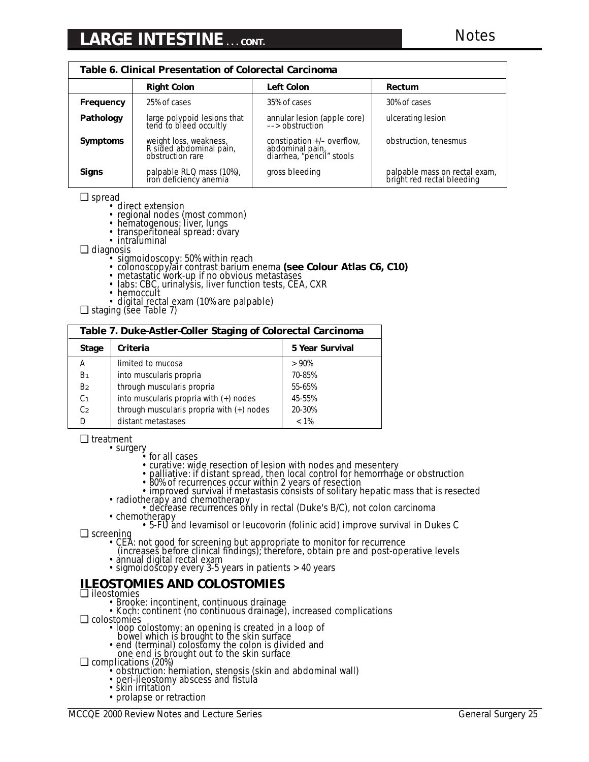## **LARGE INTESTINE** ... cont. **Example 2018 Notes**

| <b>Table 6. Clinical Presentation of Colorectal Carcinoma</b> |                                                                       |                                                                              |                                                             |
|---------------------------------------------------------------|-----------------------------------------------------------------------|------------------------------------------------------------------------------|-------------------------------------------------------------|
|                                                               | <b>Right Colon</b>                                                    | <b>Left Colon</b>                                                            | <b>Rectum</b>                                               |
| Frequency                                                     | 25% of cases                                                          | 35% of cases                                                                 | 30% of cases                                                |
| Pathology                                                     | large polypoid lesions that<br>tend to bleed occultly                 | annular lesion (apple core)<br>$\rightarrow$ obstruction                     | ulcerating lesion                                           |
| Symptoms                                                      | weight loss, weakness,<br>R sided abdominal pain,<br>obstruction rare | constipation $+/-$ overflow,<br>abdominal pain,<br>diarrhea, "pencil" stools | obstruction, tenesmus                                       |
| Signs                                                         | palpable RLQ mass (10%), iron deficiency anemia                       | gross bleeding                                                               | palpable mass on rectal exam,<br>bright red rectal bleeding |

❏ spread• direct extension

• regional nodes (most common)

• hematogenous: liver, lungs

• transperitoneal spread: ovary

• intraluminal  $\Box$  diagnosis

❏ diagnosis • sigmoidoscopy: 50% within reach

• colonoscopy/air contrast barium enema **(see Colour Atlas C6, C10)** • metastatic work-up if no obvious metastases

- 
- labs: CBC, urinalysis, liver function tests, CEA, CXR
- hemoccult

• digital rectal exam (10% are palpable) ❏ staging (see Table 7)

| <b>Stage</b>   | <b>Criteria</b>                           | <b>5 Year Survival</b> |
|----------------|-------------------------------------------|------------------------|
| A              | limited to mucosa                         | $>90\%$                |
| B <sub>1</sub> | into muscularis propria                   | 70-85%                 |
| B <sub>2</sub> | through muscularis propria                | 55-65%                 |
| C <sub>1</sub> | into muscularis propria with $(+)$ nodes  | 45-55%                 |
| C <sub>2</sub> | through muscularis propria with (+) nodes | 20-30%                 |
|                | distant metastases                        | $< 1\%$                |

❏ treatment

- surgery<br>• for all cases<br>• for all cases
	- curative: wide resection of lesion with nodes and mesentery
	- palliative: if distant spread, then local control for hemorrhage or obstruction
	- 80% of recurrences occur within 2 years of resection
	-
	-
- -
- -
- radiotherapy<br>
 decrease recurrences only in rectal (Duke's B/C), not colon carcinoma<br>
 chemotherapy<br>
 5-FU and levamisol or leucovorin (folinic acid) improve survival in Dukes C<br>
 CEA: not good for screening but appr
	- sigmoidoscopy every 3-5 years in patients > 40 years

#### **ILEOSTOMIES AND COLOSTOMIES**

❏ ileostomies

- Brooke: incontinent, continuous drainage
- Koch: continent (no continuous drainage), increased complications ❏ colostomies
- 
- loop colostomy: an opening is created in a loop of<br>bowel which is brought to the skin surface<br>• end (terminal) colostomy the colon is divided and<br>one end is brought out to the skin surface<br> $\square$  complications (20%)<br>• obst
	-
	-
	-
	- - peri-ileostomy abscess and fistula
		- skin irritation
		- prolapse or retraction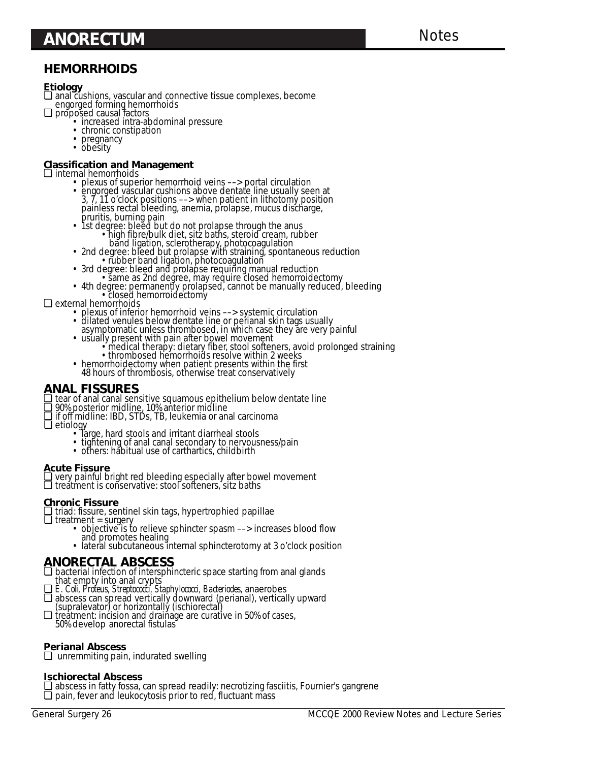### **HEMORRHOIDS**

- **Etiology** ❏ anal cushions, vascular and connective tissue complexes, become
- 
- engorged forming hemorrhoids ❏ proposed causal factors increased intra-abdominal pressure
	- chronic constipation
	- pregnancy
	- obesity

### **Classification and Management**

❏ internal hemorrhoids

- plexus of superior hemorrhoid veins --> portal circulation<br>• engorged vascular cushions above dentate line usually seen at • engorged vascular cushions above dentate line usually seen at 3, 7, 11 o'clock positions ––> when patient in lithotomy position painless rectal bleeding, anemia, prolapse, mucus discharge,
- pruritis, burning pain<br>• 1st degree: bleed but do not prolapse through the anus<br>• high fibre/bulk diet, sitz baths, steroid cream, rubber<br>• and ligation, sclerotherapy, photocoagulation<br>• 2nd degree: bleed but prolapse wit
	-
- 
- 
- Tuber band ligation, photocoagulation<br>• 3rd degree: bleed and prolapse requiring manual reduction<br>• same as 2nd degree, may require closed hemorroidectomy<br>• 4th degree: permanently prolapsed, cannot be manually reduced,

- plexus of inferior hemorrhoid veins --> systemic circulation<br>• dilated venules below dentate line or perianal skin tags usually
- 
- asymptomatic unless thrombosed, in which case they are very painful<br>• usually present with pain after bowel movement
	- medical therapy: dietary fiber, stool softeners, avoid prolonged straining thrombosed hemorrhoids resolve within  $2$  weeks
- hemorrhoidectomy when patient presents within the first 48 hours of thrombosis, otherwise treat conservatively

**ANAL FISSURES**<br>I tear of anal canal sensitive squamous epithelium below dentate line

- 
- ❏ tear of anal canal sensitive squamous epithelium below dentate line ❏ 90% posterior midline, 10% anterior midline ❏ if off midline: IBD, STDs, TB, leukemia or anal carcinoma
- - Large, hard stools and irritant diarrheal stools
	- tightening of anal canal secondary to nervousness/pain
	- others: habitual use of carthartics, childbirth

#### **Acute Fissure**

❏ very painful bright red bleeding especially after bowel movement ❏ treatment is conservative: stool softeners, sitz baths

- Chronic Fissure<br>□ triad: fissure, sentinel skin tags, hypertrophied papillae
- 
- □ treatment = surgery<br>
 objective is to relieve sphincter spasm --> increases blood flow<br>
and promotes healing<br>
 lateral subcutaneous internal sphincterotomy at 3 o'clock position
	-

### **ANORECTAL ABSCESS**

- $\hfill\Box$  bacterial infection of intersphincteric space starting from anal glands  $\_$  that empty into anal crypts that empty into anal crypts ❏ *E. Coli, Proteus, Streptococci, Staphylococci, Bacteriodes,* anaerobes
- 
- ❏ abscess can spread vertically downward (perianal), vertically upward (supralevator) or horizontally (ischiorectal) ❏ treatment: incision and drainage are curative in 50% of cases,
- $\Box$  treatment: incision and drainage are curative in 50% of cases, 50% develop anorectal fistulas

### **Perianal Abscess**

❏ unremmiting pain, indurated swelling

### **Ischiorectal Abscess**

❏ abscess in fatty fossa, can spread readily: necrotizing fasciitis, Fournier's gangrene ❏ pain, fever and leukocytosis prior to red, fluctuant mass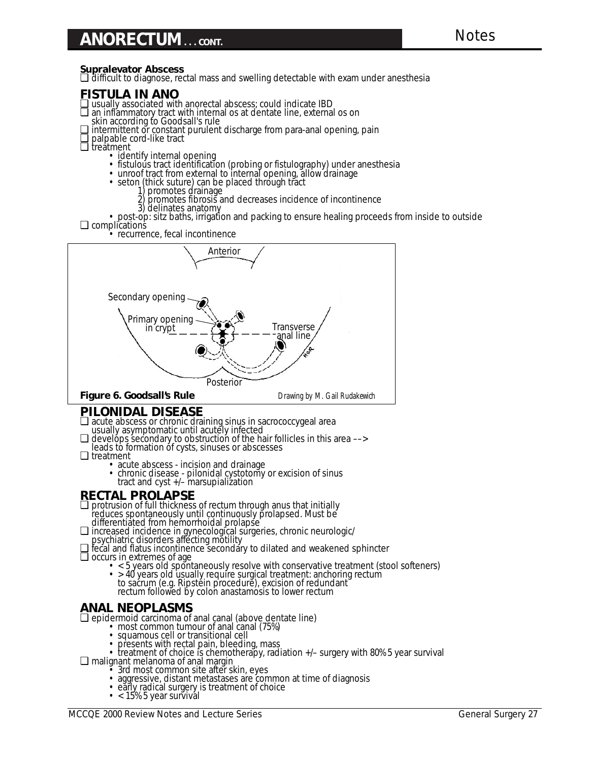❏ difficult to diagnose, rectal mass and swelling detectable with exam under anesthesia

- **FISTULA IN ANO**<br> $\square$  usually associated with anorectal abscess; could indicate IBD
- $\Box$  an inflammatory tract with internal os at dentate line, external os on skin according to Goodsall's rule
	-
- skin according to Goodsall's rule ❏ intermittent or constant purulent discharge from para-anal opening, pain ❏ palpable cord-like tract ❏ treatment
- - - identify internal opening
		- fistulous tract identification (probing or fistulography) under anesthesia
		- unroof tract from external to internal opening, allow drainage
		- seton (thick suture) can be placed through tract 1) promotes drainage
			-
			- 2) promotes fibrosis and decreases incidence of incontinence<br>3) delinates anatomy
			-
- post-op: sitz baths, irrigation and packing to ensure healing proceeds from inside to outside complications recurrence, fecal incontinence
	-

![](_page_26_Figure_19.jpeg)

#### **PILONIDAL DISEASE**

- ❏ acute abscess or chronic draining sinus in sacrococcygeal area
- 
- usually asymptomatic until acutely infected ❏ develops secondary to obstruction of the hair follicles in this area ––> **□** develops secondary to obstruction of the hair follicles in this area --> leads to formation of cysts, sinuses or abscesses <br>□ treatment
- 
- - acute abscess incision and drainage
	- chronic disease pilonidal cystotomy or excision of sinus tract and cyst +/– marsupialization

#### **RECTAL PROLAPSE**

- ❏ protrusion of full thickness of rectum through anus that initially reduces spontaneously until continuously prolapsed. Must be
- differentiated from hemorrhoidal prolapse<br>
□ increased incidence in gynecological surgeries, chronic neurologic/<br>
psychiatric disorders affecting motility
- 
- □ fec̃al and flatus incontinence secondary to dilated and weakened sphincter<br>□ occurs in extremes of age<br>• < 5 years old spontaneously resolve with conservative treatment (stool softeners)
- - $\bullet$  > 40 years old usually require surgical treatment: anchoring rectum to sacrum (e.g. Ripstein procedure), excision of redundant<br>rectum followed by colon anastamosis to lower rectum

### **ANAL NEOPLASMS**

❏ epidermoid carcinoma of anal canal (above dentate line) • most common tumour of anal canal (75%)

- - squamous cell or transitional cell
	- presents with rectal pain, bleeding, mass
- treatment of choice is chemotherapy, radiation +/– surgery with 80% 5 year survival <br>□ malignant melanoma of anal margin<br>• 3rd most common site after skin, eyes
	- -
		- aggressive, distant metastases are common at time of diagnosis
		- early radical surgery is treatment of choice
		- $\bullet$  < 15% 5 year survival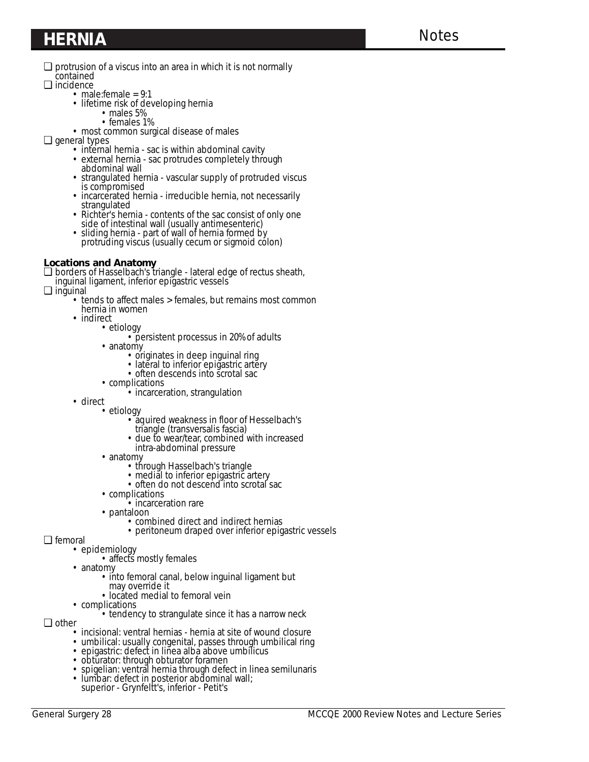## **HERNIA** Notes

- ❏ protrusion of a viscus into an area in which it is not normally contained
- ❏ incidence
	- male: female  $= 9:1$
	- lifetime risk of developing hernia males 5%
		-
		-
	- females 1%<br>• most common surgical disease of males
- 
- □ general types<br>• internal hernia sac is within abdominal cavity
	- external hernia sac protrudes completely through abdominal wall
	-
	- is compromised<br>
	 incarcerated hernia irreducible hernia, not necessarily<br>
	strangulated<br>
	 Richter's hernia contents of the sac consist of only one<br>
	side of intestinal wall (usually antimesenteric)<br>
	 sliding hernia -
	-
	-

#### **Locations and Anatomy**

❏ borders of Hasselbach's triangle - lateral edge of rectus sheath,

- 
- inguinal ligament, inferior epigastric vessels ❏ inguinal tends to affect males > females, but remains most common hernia in women
	-
	- indirect<br>• etiology
		- persistent processus in 20% of adults<br>• anatomy
		- - originates in deep inguinal ring
			- lateral to inferior epigastric artery
			- often descends into scrotal sac
	- complications<br>• incarceration, strangulation<br>• direct<br>• etiology
		-
	- - - aquired weakness in floor of Hesselbach's
			- triangle (transversalis fascia)
			- due to wear/tear, combined with increased
			- intra-abdominal pressure<br>• anatomy
			- - through Hasselbach's triangle
				- medial to inferior epigastric artery
				- often do not descend into scrotal sac
			- complications
			- incarceration rare<br>• pantaloon
			- - combined direct and indirect hernias
- peritoneum draped over inferior epigastric vessels ❏ femoral
- - - affects mostly females
		-
	- anatomy into femoral canal, below inguinal ligament but may override it
		- located medial to femoral vein
	-
- complications tendency to strangulate since it has a narrow neck ❏ other

- incisional: ventral hernias hernia at site of wound closure
- umbilical: usually congenital, passes through umbilical ring
- epigastric: defect in linea alba above umbilicus
- obturator: through obturator foramen
- spigelian: ventral hernia through defect in linea semilunaris
- lumbar: defect in posterior abdominal wall; superior Grynfeltt's, inferior Petit's
-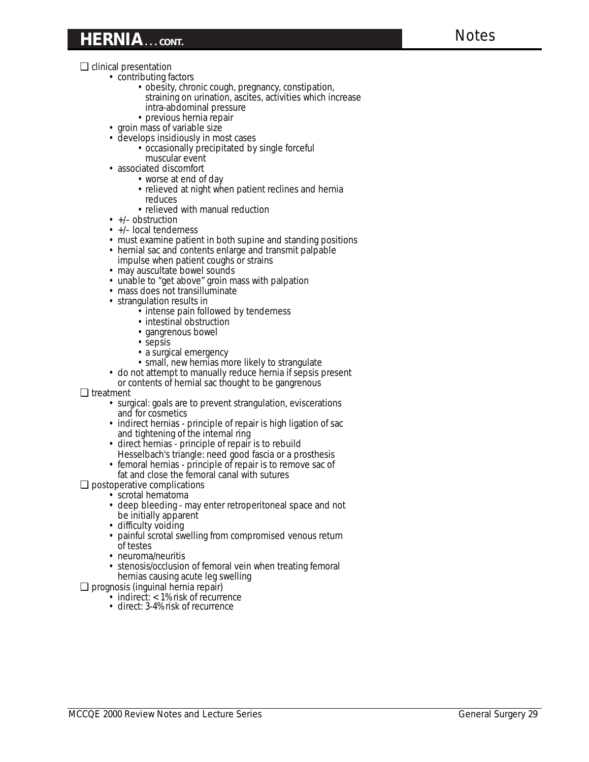## **HERNIA** Notes **. . . CONT.**

❏ clinical presentation

- contributing factors
	- obesity, chronic cough, pregnancy, constipation, straining on urination, ascites, activities which increase intra-abdominal pressure
	- previous hernia repair
	- groin mass of variable size
	- develops insidiously in most cases
		- occasionally precipitated by single forceful muscular event
	- associated discomfort
		- worse at end of day
			- relieved at night when patient reclines and hernia reduces
			- relieved with manual reduction
	- $\bullet$  +/- obstruction
	- $+/-$  local tenderness
	- must examine patient in both supine and standing positions
	- hernial sac and contents enlarge and transmit palpable impulse when patient coughs or strains
- may auscultate bowel sounds
- unable to "get above" groin mass with palpation
- mass does not transilluminate
- strangulation results in
	- intense pain followed by tenderness
	- intestinal obstruction
	- gangrenous bowel
	- sepsis
	- a surgical emergency
	- small, new hernias more likely to strangulate
- do not attempt to manually reduce hernia if sepsis present
	- or contents of hernial sac thought to be gangrenous
- ❏ treatment
	- surgical: goals are to prevent strangulation, eviscerations and for cosmetics
	- indirect hernias principle of repair is high ligation of sac and tightening of the internal ring
	- direct hernias principle of repair is to rebuild Hesselbach's triangle: need good fascia or a prosthesis
	- femoral hernias principle of repair is to remove sac of fat and close the femoral canal with sutures
- ❏ postoperative complications
	- scrotal hematoma
	- deep bleeding may enter retroperitoneal space and not be initially apparent
	- difficulty voiding
	- painful scrotal swelling from compromised venous return of testes
	- neuroma/neuritis
	- stenosis/occlusion of femoral vein when treating femoral hernias causing acute leg swelling
- ❏ prognosis (inguinal hernia repair)
	- indirect: < 1% risk of recurrence
		- direct: 3-4% risk of recurrence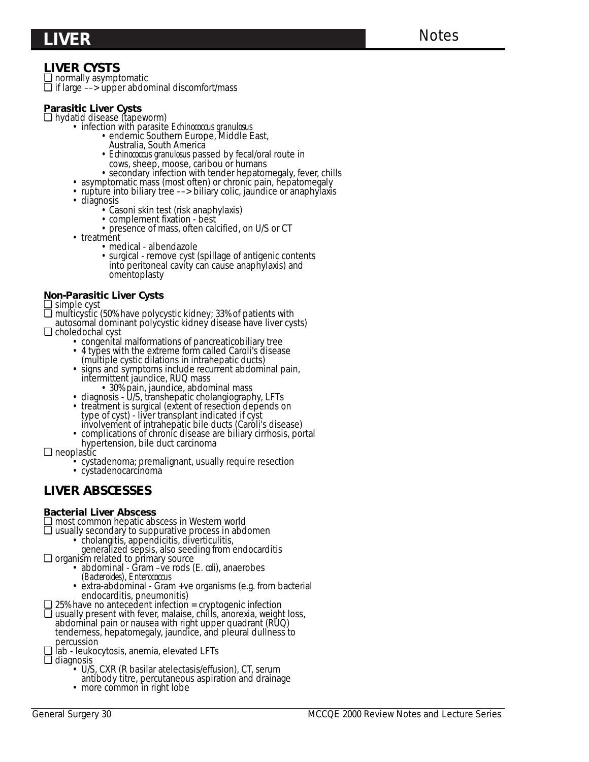**LIVER CYSTS**<br> **Q** normally asymptomatic

 $\Box$  if large  $\sim$  > upper abdominal discomfort/mass

## **Parasitic Liver Cysts**<br>□ hydatid disease (tapeworm)

- - infection with parasite *Echinococcus granulosus* endemic Southern Europe, Middle East,
		- Australia, South America
		- *Echinococcus granulosus* passed by fecal/oral route in<br>cows, sheep, moose, caribou or humans<br>• secondary infection with tender hepatomegaly, fever, chills
		-
	- asymptomatic mass (most often) or chronic pain, hepatomegaly
	- rupture into biliary tree --> biliary colic, jaundice or anaphylaxis<br>• diagnosis
	- - Casoni skin test (risk anaphylaxis)
		- complement fixation best
		- presence of mass, often calcified, on U/S or CT
	- treatment
		- medical albendazole
			- surgical remove cyst (spillage of antigenic contents into peritoneal cavity can cause anaphylaxis) and omentoplasty

#### **Non-Parasitic Liver Cysts**

- 
- ❏ simple cyst ❏ multicystic (50% have polycystic kidney; 33% of patients with autosomal dominant polycystic kidney disease have liver cysts) ❏ choledochal cyst • congenital malformations of pancreaticobiliary tree
- -
	-
	- 4 types with the extreme form called Caroli's disease<br>
	(multiple cystic dilations in intrahepatic ducts)<br>
	 signs and symptoms include recurrent abdominal pain,<br>
	intermittent jaundice, RUQ mass<br>
	 30% pain, jaundice, abd
		-
	-
	- treatment is surgical (extent of resection depends on type of cyst) liver transplant indicated if cyst
- complications of chronic disease are biliary cirrhosis, portal hypertension, bile duct carcinoma ◯ neoplastic cystadenoma; premalignant, usually require resection
- -
	- cystadenocarcinoma

### **LIVER ABSCESSES**

- **Bacterial Liver Abscess**<br>□ most common hepatic abscess in Western world
- -
- $\begin{tabular}{ll} \hline \textbf{u} usually secondary to suppurative process in abdomen \\ \hline \textbf{v} cholangitis, appendixis, diverticulitis, generalized sepsis, also seeding from endocarditis \\ \hline \textbf{u} organism related to primary source \\ \hline \textbf{v} abdominal Gram -ve rods (E. \textit{colh}), anaerobes \\ \hline \end{tabular}$ 
	-
- (*Bacteroides*), *Enterococcus* • extra-abdominal - Gram +ve organisms (e.g. from bacterial endocarditis, pneumonitis)<br> **❑ 25% have no antecedent infection = cryptogenic infection**<br> **❑ usually present with fever, malaise, chills, anorexia, weight loss,**
- 
- abdominal pain or nausea with right upper quadrant (RUQ) tenderness, hepatomegaly, jaundice, and pleural dullness to
- 
- 
- percussion ❏ lab leukocytosis, anemia, elevated LFTs ❏ diagnosis U/S, CXR (R basilar atelectasis/effusion), CT, serum
	- antibody titre, percutaneous aspiration and drainage more common in right lobe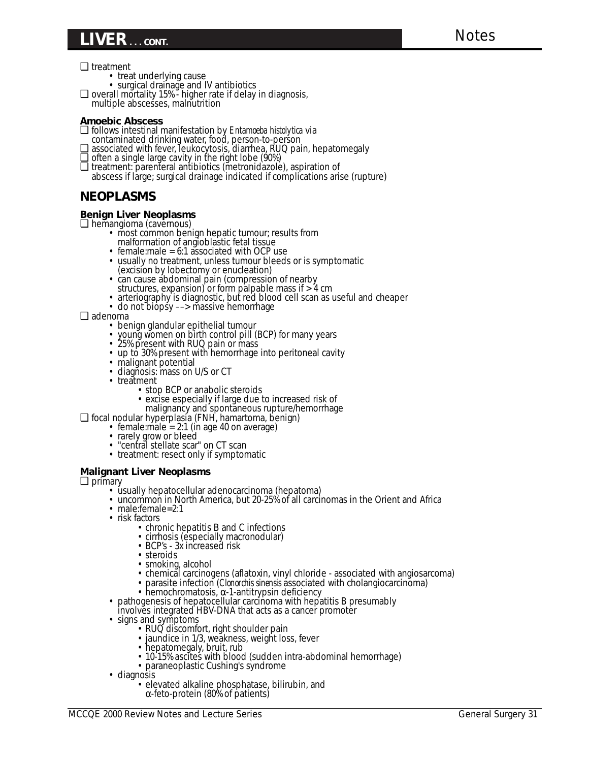## **LIVER** Notes **. . . CONT.**

#### ❏ treatment

- treat underlying cause
- 
- surgical drainage and IV antibiotics <br>□ overall mortality 15% higher rate if delay in diagnosis, multiple abscesses, malnutrition

#### **Amoebic Abscess**

- ❏ follows intestinal manifestation by *Entamoeba histolytica* via
- 
- 
- $\Box$  associated with fever, leukocytosis, diarrhea, RUQ pain, hepatomegaly  $\Box$  often a single large cavity in the right lobe (90%)  $\Box$  treatment: parenteral antibiotics (metronidazole), aspiration of abscess if large; surgical drainage indicated if complications arise (rupture)

### **NEOPLASMS**

#### **Benign Liver Neoplasms**

- ❏ hemangioma (cavernous) most common benign hepatic tumour; results from malforrnation of angioblastic fetal tissue female:male = 6:1 associated with OCP use
	-
	-
	- (excision by lobectomy or enucleation)<br>
	 can cause abdominal pain (compression of nearby<br>
	structures, expansion) or form palpable mass if  $> 4$  cm<br>
	 arteriography is diagnostic, but red blood cell scan as useful and che
	-
- do not biopsy ––> massive hemorrhage ❏ adenoma
- - benign glandular epithelial tumour
	- young women on birth control pill (BCP) for many years
	- $\cdot$  25% present with RUQ pain or mass
	- up to 30% present with hemorrhage into peritoneal cavity
	- malignant potential
	- diagnosis: mass on U/S or CT
	- treatment
		- stop BCP or anabolic steroids
		- excise especially if large due to increased risk of
- **□** focal nodular hyperplasia (FNH, hamartoma, benign) female:male = 2:1 (in age 40 on average)
	- - rarely grow or bleed
		- "central stellate scar" on CT scan
		- treatment: resect only if symptomatic

#### **Malignant Liver Neoplasms**

- ❏ primary usually hepatocellular adenocarcinoma (hepatoma)
	- uncommon in North America, but 20-25% of all carcinomas in the Orient and Africa
	- male:female=2:1
	- risk factors
		- chronic hepatitis B and C infections
		- cirrhosis (especially macronodular)
		- BCP's 3x increased risk
		- steroids
		- smoking, alcohol
		- chemical carcinogens (aflatoxin, vinyl chloride associated with angiosarcoma)<br>• parasite infection (*Clonorchis sinensis* associated with cholangiocarcinoma)
		-
		-
	- hemochromatosis,  $\alpha$ -1-antitrypsin deficiency<br>
	 pathogenesis of hepatocellular carcinoma with hepatitis B presumably<br>
	involves integrated HBV-DNA that acts as a cancer promoter<br>
	 signs and symptoms<br>
	 RUQ discomfort,
		-
	- -
		- jaundice in 1/3, weakness, weight loss, fever
		- hepatomegaly, bruit, rub
		- 10-15% ascites with blood (sudden intra-abdominal hemorrhage)
		-
	-
	- diagnosis elevated alkaline phosphatase, bilirubin, and α-feto-protein (80% of patients)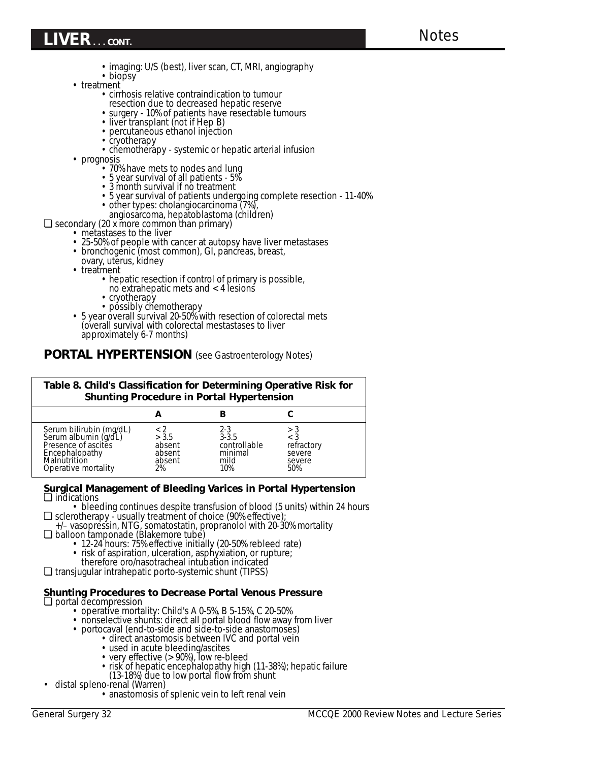## **LIVER** Notes

- imaging: U/S (best), liver scan, CT, MRI, angiography
- biopsy
- treatment • cirrhosis relative contraindication to tumour resection due to decreased hepatic reserve
	- surgery 10% of patients have resectable tumours
	- liver transplant (not if Hep B)
	- percutaneous ethanol injection
	- cryotherapy
- chemotherapy systemic or hepatic arterial infusion<br>• prognosis
- - 70% have mets to nodes and lung
	- 5 year survival of all patients 5%
	- 3 month survival if no treatment
	- 5 year survival of patients undergoing complete resection 11-40%
	- other types: cholangiocarcinoma (7%),
	-
- **□** secondary (20 x more common than primary) metastases to the liver
	- - 25-50% of people with cancer at autopsy have liver metastases
		- bronchogenic (most common), GI, pancreas, breast, ovary, uterus, kidney
		-
		- treatment
			- hepatic resection if control of primary is possible,
			- no extrahepatic mets and < 4 lesions
			- cryotherapy<br>• possibly chemotherapy
			-
		- 5 year overall survival 20-50% with resection of colorectal mets (overall survival with colorectal mestastases to liver approximately 6-7 months)

#### **PORTAL HYPERTENSION** (see Gastroenterology Notes)

#### **Table 8. Child's Classification for Determining Operative Risk for Shunting Procedure in Portal Hypertension A B C**  $Serum\ bilirubin\ (mg/dL) \qquad \qquad < 2 \qquad \qquad 2-3 \qquad \qquad > 3$  $Serum albumin (g/dL)$   $>3.5$   $3-3.5$   $< 3$ Presence of ascites absent controllable refractory<br>
Encephalopathy absent minimal severe Encephalopathy absent minimal severe Malnutrition absent mild severe Operative mortality  $2\%$  10% 50%

#### **Surgical Management of Bleeding Varices in Portal Hypertension**

❏ indications

• bleeding continues despite transfusion of blood (5 units) within 24 hours <br>□ sclerotherapy - usually treatment of choice (90% effective);

- +/– vasopressin, NTG, somatostatin, propranolol with 20-30% mortality ❏ balloon tamponade (Blakemore tube) 12-24 hours: 75% effective initially (20-50% rebleed rate)
	- -
		- risk of aspiration, ulceration, asphyxiation, or rupture; therefore oro/nasotracheal intubation indicated
		-
- ❏ transjugular intrahepatic porto-systemic shunt (TIPSS)

## **Shunting Procedures to Decrease Portal Venous Pressure**

- operative mortality: Child's A 0-5%, B 5-15%, C 20-50%
- nonselective shunts: direct all portal blood flow away from liver
- portocaval (end-to-side and side-to-side anastomoses) direct anastomosis between IVC and portal vein
	-
	- used in acute bleeding/ascites
	- very effective (> 90%), low re-bleed
- risk of hepatic encephalopathy high (11-38%); hepatic failure (13-18%) due to low portal flow from shunt • distal spleno-renal (Warren) • anastomosis of splenic vein to left renal vein
- -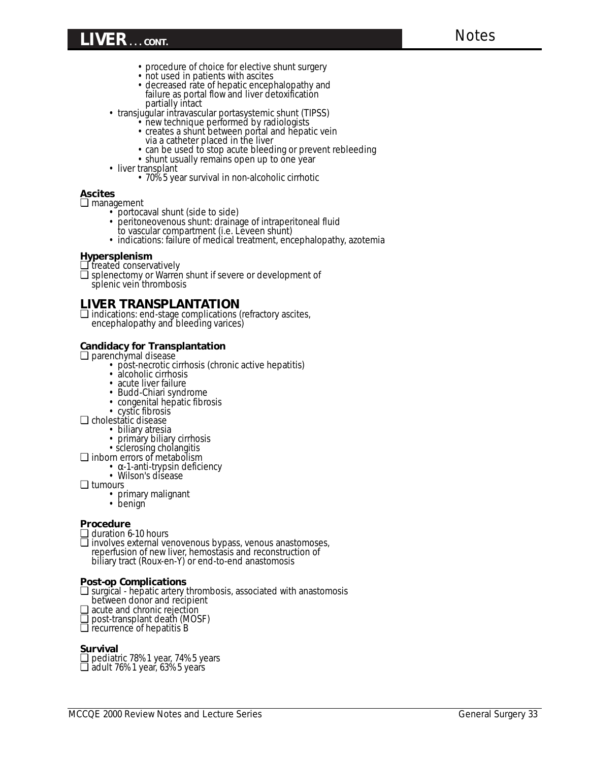## **LIVER** Notes **. . . CONT.**

- procedure of choice for elective shunt surgery
- not used in patients with ascites
- decreased rate of hepatic encephalopathy and failure as portal flow and liver detoxification<br>partially intact
- partially intact transjugular intravascular portasystemic shunt (TIPSS) new technique performed by radiologists
	- creates a shunt between portal and hepatic vein
		- via a catheter placed in the liver
	- can be used to stop acute bleeding or prevent rebleeding<br>• shunt usually remains open up to one year
	-
- 
- liver transplant<br>• 70% 5 year survival in non-alcoholic cirrhotic

- **Ascites**
	-
	- portocaval shunt (side to side)<br>• peritoneovenous shunt: drainage of intraperitoneal fluid
	- to vascular compartment (i.e. Leveen shunt)<br>• indications: failure of medical treatment, encephalopathy, azotemia

#### **Hypersplenism**

- 
- ❏ treated conservatively ❏ splenectomy or Warren shunt if severe or development of splenic vein thrombosis

### **LIVER TRANSPLANTATION**

❏ indications: end-stage complications (refractory ascites, encephalopathy and bleeding varices)

## **Candidacy for Transplantation**

- 
- ❏ parenchymal disease post-necrotic cirrhosis (chronic active hepatitis)
	- alcoholic cirrhosis
	- acute liver failure
	- Budd-Chiari syndrome
	- congenital hepatic fibrosis<br>• cystic fibrosis
	-
- $\Box$  cholestatic disease
	- biliary atresia
	- primary biliary cirrhosis<br>• sclerosing cholangitis
	-
	-
- $\Box$  inborn errors of metabolism<br>•  $\alpha$ -1-anti-trypsin deficiency<br>• Wilson's disease
	-
- ❏ tumours
	- primary malignant
	- benign

#### **Procedure**

- ❏ duration 6-10 hours
- ❏ involves external venovenous bypass, venous anastomoses, reperfusion of new liver, hemostasis and reconstruction of biliary tract (Roux-en-Y) or end-to-end anastomosis

#### **Post-op Complications**

- ❏ surgical hepatic artery thrombosis, associated with anastomosis
- **□** acute and chronic rejection<br>□ post-transplant death (MOSF)<br>□ post-transplant death (MOSF)
- 
- 
- 

#### **Survival**

- ❏ pediatric 78% 1 year, 74% 5 years ❏ adult 76% 1 year, 63% 5 years
-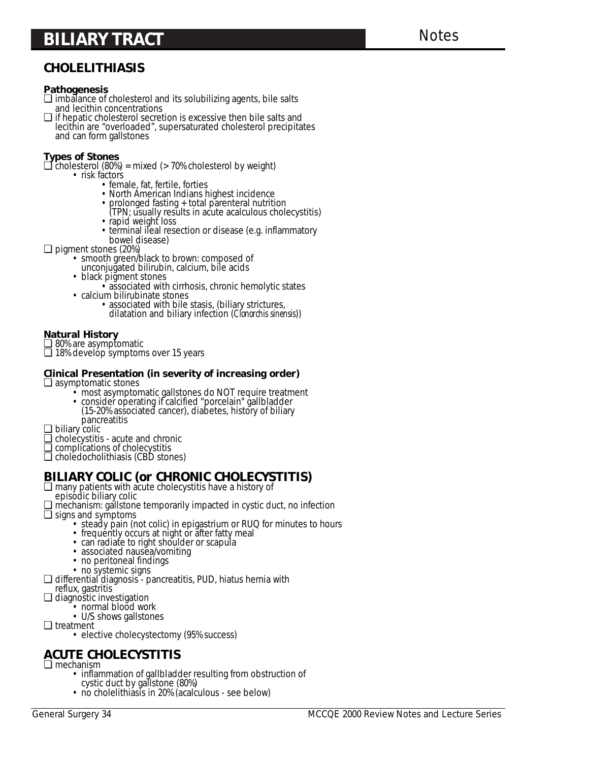## **BILIARY TRACT** Notes

### **CHOLELITHIASIS**

#### **Pathogenesis**

- ❏ imbalance of cholesterol and its solubilizing agents, bile salts and lecithin concentrations
- ❏ if hepatic cholesterol secretion is excessive then bile salts and lecithin are "overloaded", supersaturated cholesterol precipitates and can form gallstones

#### **Types of Stones**

 $\vec{\mathsf{d}}$  cholesterol (80%) = mixed (> 70% cholesterol by weight)<br>• risk factors

- - female, fat, fertile, forties
	- North American Indians highest incidence
	- prolonged fasting + total parenteral nutrition (TPN; usually results in acute acalculous cholecystitis) • rapid weight loss
	-
	- terminal ileal resection or disease (e.g. inflammatory
- bowel disease)<br> $\Box$  pigment stones (20%)
	- -
	- smooth green/black to brown: composed of unconjugated bilirubin, calcium, bile acids black pigment stones associated with cirrhosis, chronic hemolytic states calcium bilirubinate stones
	- - associated with bile stasis, (biliary strictures, dilatation and biliary infection (*Clonorchis sinensis*))

**Natural History**<br> **Q** 80% are asymptomatic

 $\Box$  18% develop symptoms over 15 years

#### **Clinical Presentation (in severity of increasing order)**

- 
- ❏ asymptomatic stones most asymptomatic gallstones do NOT require treatment
	- consider operating if calcified "porcelain" gallbladder (15-20% associated cancer), diabetes, history of biliary
- 
- 
- 
- pancreatitis ❏ biliary colic ❏ cholecystitis acute and chronic ❏ complications of cholecystitis ❏ choledocholithiasis (CBD stones)

### **BILIARY COLIC (or CHRONIC CHOLECYSTITIS)**

- many patients with acute cholecystitis have a history of episodic biliary colic
- 
- episodic biliary colic ❏ mechanism: gallstone temporarily impacted in cystic duct, no infection ❏ signs and symptoms steady pain (not colic) in epigastrium or RUQ for minutes to hours
- -
	- frequently occurs at night or after fatty meal
	- can radiate to right shoulder or scapula
	- associated nausea/vomiting
	- no peritoneal findings
	-
- no systemic signs<br>
□ differential diagnosis pancreatitis, PUD, hiatus hernia with<br>
reflux, gastritis
- 
- □ diagnostic investigation<br>• normal blood work
	-
- U/S shows gallstones ❏ treatment
- - elective cholecystectomy (95% success)

### **ACUTE CHOLECYSTITIS**

- ❏ mechanism
	- inflammation of gallbladder resulting from obstruction of cystic duct by gallstone (80%) no cholelithiasis in 20% (acalculous see below)
	-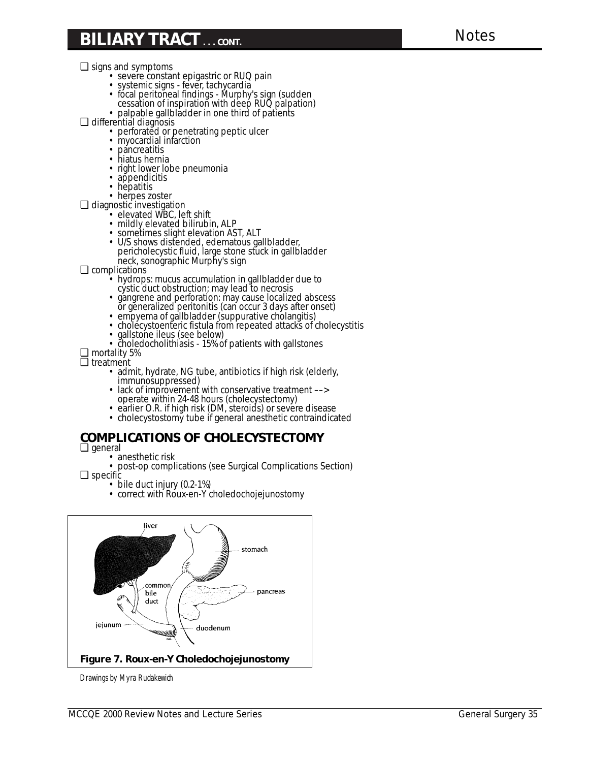## **BILIARY TRACT** ... cont. **EXECUTE:** Notes

- 
- ❏ signs and symptoms severe constant epigastric or RUQ pain
	- systemic signs fever, tachycardia
- focal peritoneal findings Murphy's sign (sudden cessation of inspiration with deep RUQ palpation)<br>• palpable gallbladder in one third of patients ↓ differential diagnosis<br>• perforated or penetrating peptic ulcer
- -
	- myocardial infarction
	- pancreatitis<br>• hiatus herni
	- hiatus hernia
	- right lower lobe pneumonia
	- appendicitis
	- hepatitis<br>• herpes zoster
	-
- □ diagnostic investigation<br>• elevated WBC, left shift
	- mildly elevated bilirubin, ALP
	-
	- sometimes slight elevation AST, ALT<br>• U/S shows distended, edematous gallbladder,
	- pericholecystic fluid, large stone stuck in gallbladder<br>neck, sonographic Murphy's sign
- -
- □ complications<br>• hydrops: mucus accumulation in gallbladder due to<br>cystic duct obstruction; may lead to necrosis<br>• gangrene and perforation: may cause localized abscess<br>or generalized peritonitis (can occur 3 days after
	-
	- cholecystoenteric fistula from repeated attacks of cholecystitis
	- gallstone ileus (see below)
- choledocholithiasis 15% of patients with gallstones ❏ mortality 5% ❏ treatment
- 
- -
	- admit, hydrate, NG tube, antibiotics if high risk (elderly,<br>immunosuppressed)<br>• lack of improvement with conservative treatment --><br>operate within 24-48 hours (cholecystectomy)<br>• earlier O.R. if high risk (DM, steroids)
	-
	- cholecystostomy tube if general anesthetic contraindicated

## **COMPLICATIONS OF CHOLECYSTECTOMY**<br>a <sub>general</sub>

- - anesthetic risk
- post-op complications (see Surgical Complications Section) ❏ specific bile duct injury (0.2-1%)
	- - correct with Roux-en-Y choledochojejunostomy

![](_page_34_Figure_39.jpeg)

*Drawings by Myra Rudakewich*

![](_page_34_Figure_42.jpeg)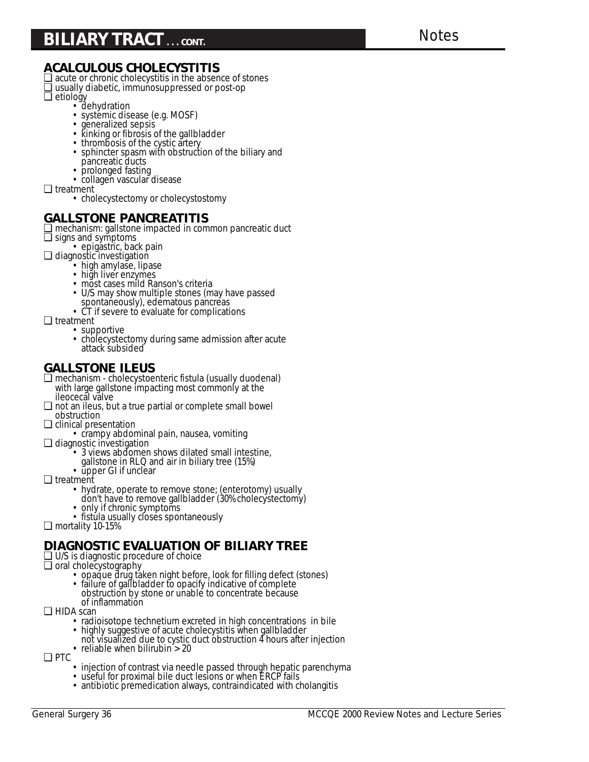## **BILIARY TRACT** Notes **. . . CONT.**

### **ACALCULOUS CHOLECYSTITIS**

- ❏ acute or chronic cholecystitis in the absence of stones ❏ usually diabetic, immunosuppressed or post-op ❏ etiology dehydration
- 
- -
	- systemic disease (e.g. MOSF)
	- generalized sepsis
	- Kinking or fibrosis of the gallbladder
	- thrombosis of the cystic artery
	- sphincter spasm with obstruction of the biliary and pancreatic ducts prolonged fasting
	-
- collagen vascular disease ❏ treatment
- - cholecystectomy or cholecystostomy

### **GALLSTONE PANCREATITIS**

- ❏ mechanism: gallstone impacted in common pancreatic duct ❏ signs and symptoms epigastric, back pain ❏ diagnostic investigation high amylase, lipase
	-
- -
	- high liver enzymes
	-
- most cases mild Ranson's criteria<br>• U/S may show multiple stones (may have passed • U/S multiple spontaneously), edematous pancreas • CT if severe to evaluate for complications <br>□ treatment
	-
- - supportive
	- cholecystectomy during same admission after acute attack subsided

### **GALLSTONE ILEUS**

- ❏ mechanism cholecystoenteric fistula (usually duodenal) with large gallstone impacting most commonly at the ileocecal valve
- ❏ not an ileus, but a true partial or complete small bowel
- obstruction<br> $\Box$  clinical presentation
- ❏ clinical presentation crampy abdominal pain, nausea, vomiting ❏ diagnostic investigation 3 views abdomen shows dilated small intestine,
- -
- gallstone in RLQ and air in biliary tree (15%)<br>● upper GI if unclear<br>□ treatment
- - hydrate, operate to remove stone; (enterotomy) usually don't have to remove gallbladder (30% cholecystectomy) only if chronic symptoms
	-
- fistula usually closes spontaneously ❏ mortality 10-15%
- 

## **DIAGNOSTIC EVALUATION OF BILIARY TREE**<br> $\Box$  U/S is diagnostic procedure of choice

- 
- 
- ❏ U/S is diagnostic procedure of choice ❏ oral cholecystography opaque drug taken night before, look for filling defect (stones)
	- failure of gallbladder to opacify indicative of complete obstruction by stone or unable to concentrate because of inflammation
- ❏ HIDA scan
	- radioisotope technetium excreted in high concentrations in bile<br>• highly suggestive of acute cholecystitis when gallbladder
	-
	- not visualized due to cystic duct obstruction 4 hours after injection reliable when bilirubin  $> 20$
- ❏ PTC
	- injection of contrast via needle passed through hepatic parenchyma
	- useful for proximal bile duct lesions or when ERCP fails
	- antibiotic premedication always, contraindicated with cholangitis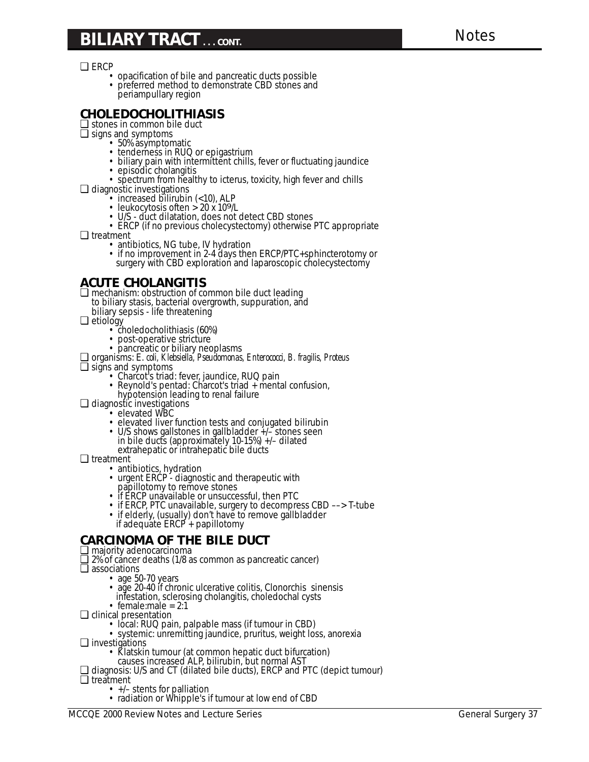## **BILIARY TRACT** ... cont. **EXECUTE:** Notes

#### ❏ ERCP

- opacification of bile and pancreatic ducts possible
- preferred method to demonstrate CBD stones and periampullary region

#### **CHOLEDOCHOLITHIASIS**

❏ stones in common bile duct

- ❏ signs and symptoms 50% asymptomatic
	- - tenderness in RUQ or epigastrium
		- biliary pain with intermittent chills, fever or fluctuating jaundice
		- episodic cholangitis
- spectrum from healthy to icterus, toxicity, high fever and chills **□** diagnostic investigations
- - increased bilirubin (<10), ALP<br>• leukocytosis often > 20 x 109/L
	-
	- U/S duct dilatation, does not detect CBD stones
- ERCP (if no previous cholecystectomy) otherwise PTC appropriate ❏ treatment
	- antibiotics, NG tube, IV hydration
	- if no improvement in 2-4 days then ERCP/PTC+sphincterotomy or surgery with CBD exploration and laparoscopic cholecystectomy

### **ACUTE CHOLANGITIS**

- ❏ mechanism: obstruction of common bile duct leading
	- to biliary stasis, bacterial overgrowth, suppuration, and
- biliary sepsis life threatening ❏ etiology choledocholithiasis (60%)
- -
	-
	- post-operative stricture<br>• pancreatic or biliary neoplasms
- pancreatic or biliary neoplasms ❏ organisms: E. *coli, Klebsiella, Pseudomonas, Enterococci, B. fragilis, Proteus* ❏ signs and symptoms Charcot's triad: fever, jaundice, RUQ pain
- -
- Reynold's pentad: Charcot's triad + mental confusion,<br>hypotension leading to renal failure<br>
□ diagnostic investigations<br>
 elevated WBC
	-
- -
	- elevated liver function tests and conjugated bilirubin
	- U/S shows gallstones in gallbladder  $\frac{y}{r}$  stones seen in bile ducts (approximately 10-15%) +/- dilated
- extrahepatic or intrahepatic bile ducts ❏ treatment
- - - antibiotics, hydration<br>• urgent ERCP diagnostic and therapeutic with
		- papillotomy to remove stones<br>• if ERCP unavailable or unsuccessful, then PTC
	- if ERCP, PTC unavailable, surgery to decompress CBD ––> T-tube
		- if elderly, (usually) don't have to remove gallbladder
		- if adequate  $ERCP +$  papillotomy

## **CARCINOMA OF THE BILE DUCT**

- $\Box$  2% of cancer deaths (1/8 as common as pancreatic cancer)  $\Box$  associations
- - age 50-70 years
		- age 20-40 if chronic ulcerative colitis, Clonorchis sinensis infestation, sclerosing cholangitis, choledochal cysts
- female:male = 2:1<br> $\Box$  clinical presentation
	- local: RUQ pain, palpable mass (if tumour in CBD)
	-
- 
- systemic: unremitting jaundice, pruritus, weight loss, anorexia <br>□ investigations Klatskin tumour (at common hepatic duct bifurcation)<br>causes increased ALP, bilirubin, but normal AST
	-
- ❏ diagnosis: U/S and CT (dilated bile ducts), ERCP and PTC (depict tumour) ❏ treatment
	- $\bullet$  +/- stents for palliation
		- radiation or Whipple's if tumour at low end of CBD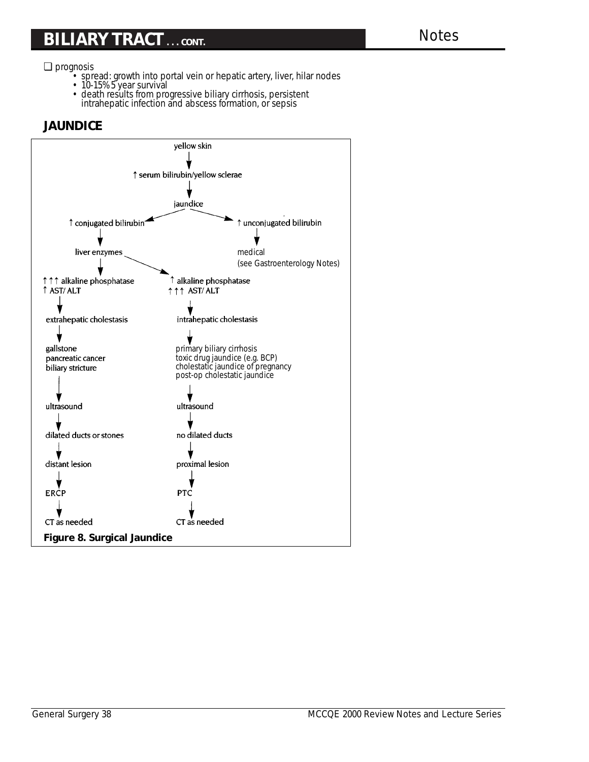## **BILIARY TRACT** ... cont. **EXECUTE:** Notes

- ❏ prognosis spread: growth into portal vein or hepatic artery, liver, hilar nodes
	- 10-15% 5 year survival
	- death results from progressive biliary cirrhosis, persistent intrahepatic infection and abscess formation, or sepsis

### **JAUNDICE**

![](_page_37_Figure_7.jpeg)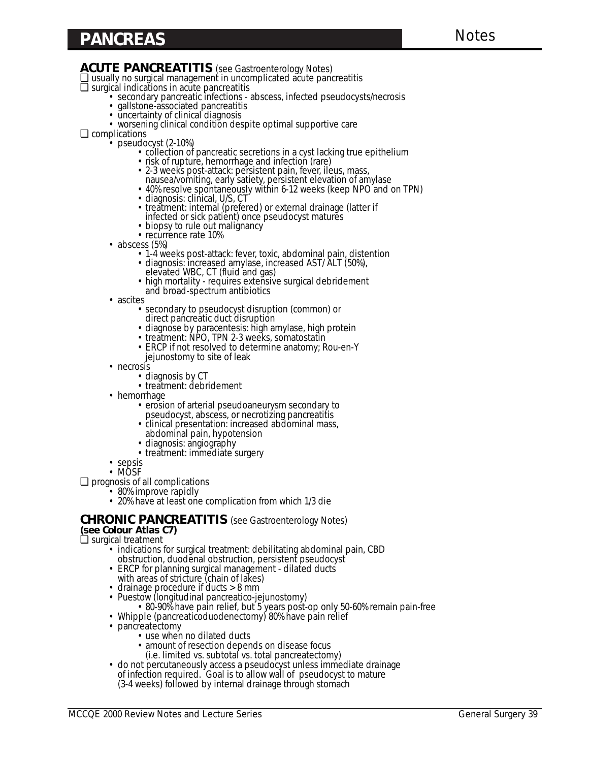- 
- **ACUTE PANCREATITIS** (see Gastroenterology Notes)<br>  $\square$  usually no surgical management in uncomplicated acute pancreatitis<br>  $\square$  surgical indications in acute pancreatitis<br>
 secondary pancreatic infections abscess, infe
	- gallstone-associated pancreatitis
	- uncertainty of clinical diagnosis
	-
- 
- worsening clinical condition despite optimal supportive care<br>□ complications<br>• pseudocyst (2-10%)<br>• collection of pancreatic secretions in a cyst lacking true epithelium
	- risk of rupture, hemorrhage and infection (rare)
	- 2-3 weeks post-attack: persistent pain, fever, ileus, mass,
	- nausea/vomiting, early satiety, persistent elevation of amylase • 40% resolve spontaneously within 6-12 weeks (keep NPO and on TPN)
	- diagnosis: clinical, U/S, CT
	- treatment: internal (prefered) or external drainage (latter if infected or sick patient) once pseudocyst matures
	- biopsy to rule out malignancy
	- recurrence rate 10%
	- abscess (5%)
		- 1-4 weeks post-attack: fever, toxic, abdominal pain, distention
		- diagnosis: increased amylase, increased AST/ ALT (50%),
			- elevated WBC, CT (fluid and gas)
		- high mortality requires extensive surgical debridement
			- and broad-spectrum antibiotics
	- ascites
		- secondary to pseudocyst disruption (common) or
			- direct pancreatic duct disruption
		- diagnose by paracentesis: high amylase, high protein
		- treatment: NPO, TPN 2-3 weeks, somatostatin
		- ERCP if not resolved to determine anatomy; Rou-en-Y jejunostomy to site of leak
	- necrosis
		- diagnosis by CT
		- treatment: debridement
	- hemorrhage
		- erosion of arterial pseudoaneurysm secondary to
			- pseudocyst, abscess, or necrotizing pancreatitis
		- clinical presentation: increased abdominal mass,
			- abdominal pain, hypotension
		- diagnosis: angiography
		- treatment: immediate surgery
	- sepsis
	- MOSF

❏ prognosis of all complications

- 80% improve rapidly
- 20% have at least one complication from which 1/3 die

## **CHRONIC PANCREATITIS** (see Gastroenterology Notes) **(see Colour Atlas C7)**

❏ surgical treatment

- indications for surgical treatment: debilitating abdominal pain, CBD obstruction, duodenal obstruction, persistent pseudocyst
- ERCP for planning surgical management dilated ducts with areas of stricture (chain of lakes)
- drainage procedure if ducts > 8 mm
- Puestow (longitudinal pancreatico-jejunostomy)
	- 80-90% have pain relief, but 5 years post-op only 50-60% remain pain-free
- Whipple (pancreaticoduodenectomy) 80% have pain relief
- pancreatectomy
	- use when no dilated ducts
	- amount of resection depends on disease focus
	- (i.e. limited vs. subtotal vs. total pancreatectomy)
- do not percutaneously access a pseudocyst unless immediate drainage of infection required. Goal is to allow wall of pseudocyst to mature (3-4 weeks) followed by internal drainage through stomach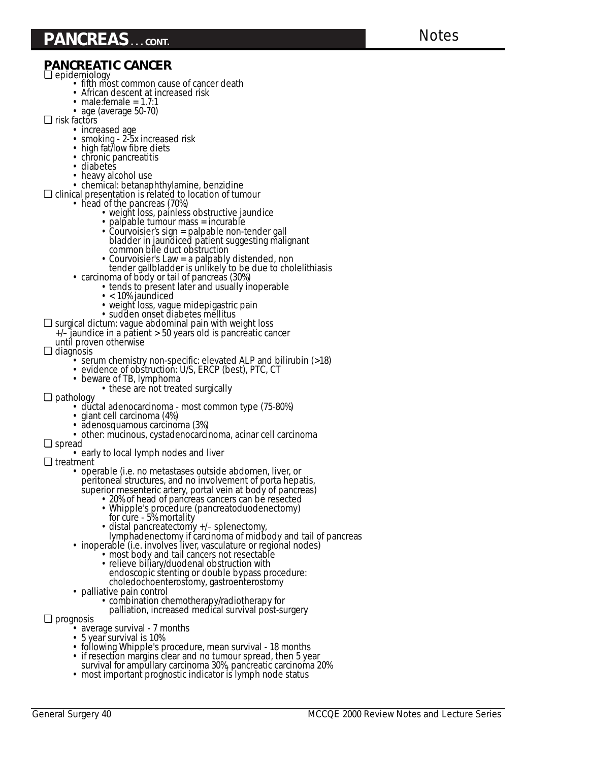## **PANCREATIC CANCER**<br> **Q** epidemiology

- - fifth most common cause of cancer death
	- African descent at increased risk
	- male:female  $= 1.7:1$
- age (average 50-70) ❏ risk factors
	- - increased age
		- smoking 2-5x increased risk
		- high fat/low fibre diets
		- chronic pancreatitis
		- diabetes
		-
		- heavy alcohol use<br>• chemical: betanaphthylamine, benzidine
- □ clinical presentation is related to location of tumour<br>• head of the pancreas (70%)<br>• weight loss, painless obstructive jaundice
	- -
		- palpable tumour mass = incurable
		- Courvoisier's sign = palpable non-tender gall bladder in jaundiced patient suggesting malignant common bile duct obstruction
	- Courvoisier's Law = a palpably distended, non tender gallbladder is unlikely to be due to cholelithiasis • carcinoma of body or tail of pancreas (30%) • tends to present later and usually inoperable
		- -
			- < 10% jaundiced
			- weight loss, vague midepigastric pain
			- sudden onset diabetes mellitus
- ❏ surgical dictum: vague abdominal pain with weight loss  $+/-$  jaundice in a patient  $> 50$  years old is pancreatic cancer until proven otherwise
- 
- until proven otherwise ❏ diagnosis serum chemistry non-specific: elevated ALP and bilirubin (>18)
	- evidence of obstruction: U/S, ERCP (best), PTC, CT<br>• beware of TB, lymphoma
	- -
- 
- these are not treated surgically<br>□ pathology ductal adenocarcinoma most common type (75-80%)
	- giant cell carcinoma (4%)
	- adenosquamous carcinoma (3%)
- other: mucinous, cystadenocarcinoma, acinar cell carcinoma<br>□ spread<br>• early to local lymph nodes and liver<br>□ treatment<br>• operable (i.e. no metastases outside abdomen, liver, or
- -
- - peritoneal structures, and no involvement of porta hepatis, superior mesenteric artery, portal vein at body of pancreas) • 20% of head of pancreas cancers can be resected
		-
		- Whipple's procedure (pancreatoduodenectomy) for cure - 5% mortality
		- distal pancreatectomy +/– splenectomy,
	- lymphadenectomy if carcinoma of midbody and tail of pancreas inoperable (i.e. involves liver, vasculature or regional nodes) most body and tail cancers not resectable
		-
		- relieve biliary/duodenal obstruction with
	- endoscopic stenting or double bypass procedure: choledochoenterostomy, gastroenterostomy • palliative pain control • combination chemotherapy/radiotherapy for
	- -
- palliation, increased medical survival post-surgery ❏ prognosis average survival 7 months
- -
	- 5 year survival is 10%
	- following Whipple's procedure, mean survival 18 months<br>• if resection margins clear and no tumour spread, then 5 year
	-
	- if resection margins clear and no tumour spread, then 5 year survival for ampullary carcinoma 30%, pancreatic carcinoma 20% most important prognostic indicator is lymph node status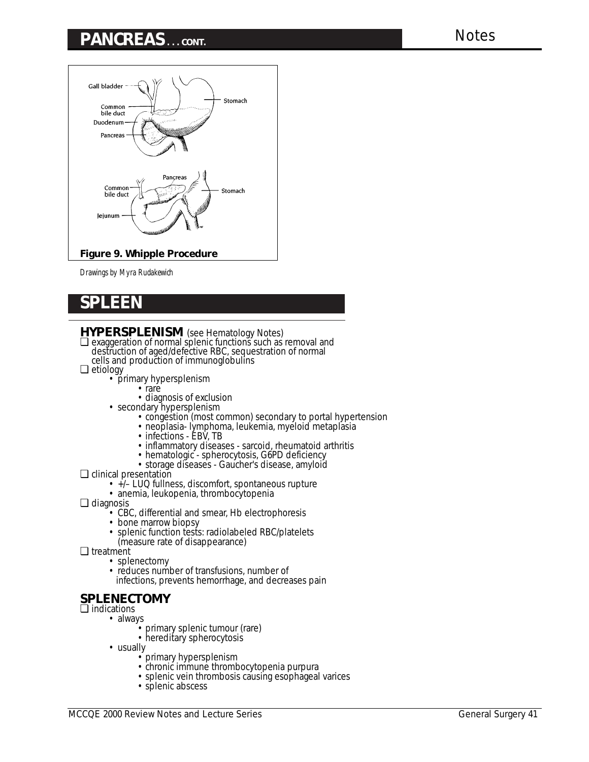## **PANCREAS** ... cont. **Executive CONTEX 2018** Notes

![](_page_40_Picture_2.jpeg)

*Drawings by Myra Rudakewich*

## **SPLEEN**

- **HYPERSPLENISM** (see Hematology Notes)<br>□ exaggeration of normal splenic functions such as removal and destruction of aged/defective RBC, sequestration of normal cells and production of immunoglobulins ❏ etiology • primary hypersplenism
- 
- 
- rare
- diagnosis of exclusion
- secondary hypersplenism
	- congestion (most common) secondary to portal hypertension
	- neoplasia- lymphoma, leukemia, myeloid metaplasia
	- infections EBV, TB
	- inflammatory diseases sarcoid, rheumatoid arthritis
	- hematologic spherocytosis, G6PD deficiency
- storage diseases Gaucher's disease, amyloid ❏ clinical presentation
- - +/– LUQ fullness, discomfort, spontaneous rupture
- anemia, leukopenia, thrombocytopenia ❏ diagnosis
- - CBC, differential and smear, Hb electrophoresis
	- bone marrow biopsy
	- splenic function tests: radiolabeled RBC/platelets
- (measure rate of disappearance) ❏ treatment
- - splenectomy
	- reduces number of transfusions, number of
		- infections, prevents hemorrhage, and decreases pain

#### **SPLENECTOMY**

❏ indications

- always<br>• primary splenic tumour (rare)
	- hereditary spherocytosis
- 
- usually<br>• primary hypersplenism
	- chronic immune thrombocytopenia purpura
	- splenic vein thrombosis causing esophageal varices
	- splenic abscess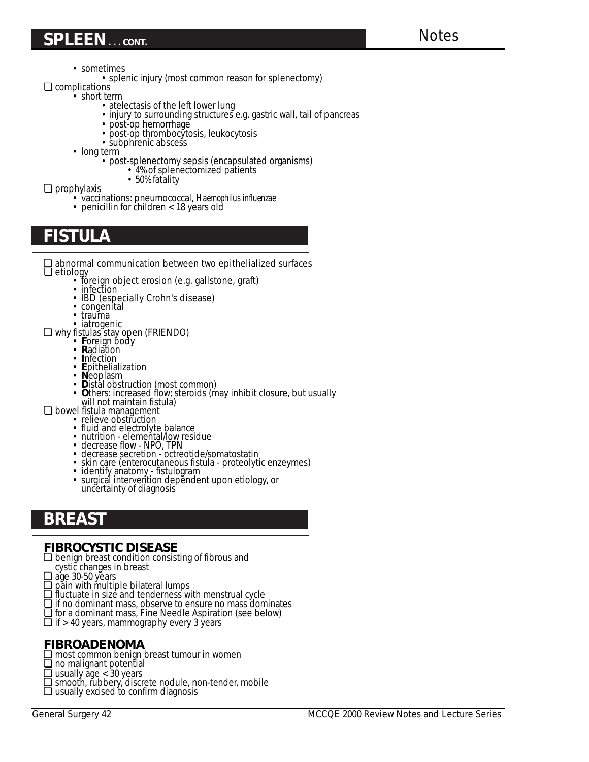## **SPLEEN** ... cont. **1999** Notes

- sometimes
- splenic injury (most common reason for splenectomy)<br>• short term
	- - atelectasis of the left lower lung
		- injury to surrounding structures e.g. gastric wall, tail of pancreas
		- post-op hemorrhage
			- post-op thrombocytosis, leukocytosis<br>• subphrenic abscess
		-
		-
		- long term post-splenectomy sepsis (encapsulated organisms)<br>• 4% of splenectomized patients<br>• 50% fatality
			-
			-
- 
- 50% fatality ❏ prophylaxis vaccinations: pneumococcal, *Haemophilus influenzae* penicillin for children < 18 years old
	-

## **FISTULA**

- ❏ abnormal communication between two epithelialized surfaces ❏ etiology foreign object erosion (e.g. gallstone, graft)
	- - infection
		- IBD (especially Crohn's disease)
		- congenital
		- trauma<br>• iatrogenic
		-
- $\Box$  why fistulas stay open (FRIENDO)
	- **F**oreign body
	- **R**adiation
	- **I**nfection
	- **E**pithelialization
	- **N**eoplasm<br>• **D**istal obstruction (most common)
	- Others: increased flow; steroids (may inhibit closure, but usually will not maintain fistula)
- will not maintain fistula) ❏ bowel fistula management relieve obstruction
	- - fluid and electrolyte balance
		- nutrition elemental/low residue
		- decrease flow NPO, TPN
		- decrease secretion octreotide/somatostatin<br>• skin care (enterocutaneous fistula proteolyti
		- skin care (enterocutaneous fistula proteolytic enzeymes)
		- identify anatomy fistulogram • surgical intervention dependent upon etiology, or uncertainty of diagnosis

## **BREAST**

#### **FIBROCYSTIC DISEASE**

- ❏ benign breast condition consisting of fibrous and
- 
- 
- 
- cystic changes in breast ❏ age 30-50 years ❏ pain with multiple bilateral lumps ❏ fluctuate in size and tenderness with menstrual cycle ❏ if no dominant mass, observe to ensure no mass dominates
- ❏ for a dominant mass, Fine Needle Aspiration (see below) ❏ if > 40 years, mammography every 3 years
- 

- **FIBROADENOMA**<br>  $\square$  most common benign breast tumour in women
- 
- 
- ❏ most common benign breast tumour in women ❏ no malignant potential ❏ usually age < 30 years ❏ smooth, rubbery, discrete nodule, non-tender, mobile ❏ usually excised to confirm diagnosis
-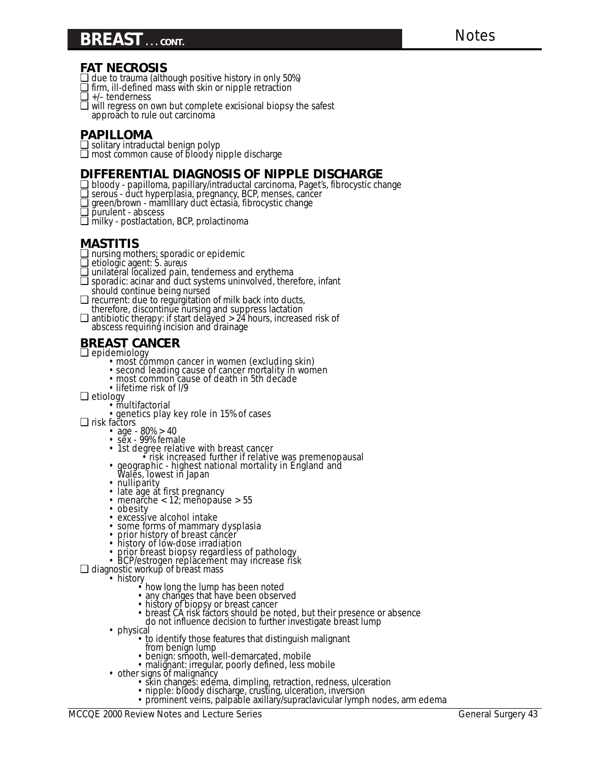## **BREAST** Notes **. . . CONT.**

### **FAT NECROSIS**

- 
- ❏ due to trauma (although positive history in only 50%) ❏ firm, ill-defined mass with skin or nipple retraction ❏ +/– tenderness
- 
- ❏ will regress on own but complete excisional biopsy the safest approach to rule out carcinoma

- **PAPILLOMA**<br> **C** solitary intraductal benign polyp
- $\Box$  most common cause of bloody nipple discharge

#### **DIFFERENTIAL DIAGNOSIS OF NIPPLE DISCHARGE**

- $\Box \text{ bloody papilloma, papillary/intraductal carcinoma, Paget's, fibrocystic change}$ <br> $\Box \text{ serous duct hyperplasia, pregnancy, BCP, menses, cancer}$ <br> $\Box \text{ green/brown manuallyduct ectasia, fibrocystic change}$ <br> $\Box \text{ purulent abscess}$
- 
- 
- 
- 

### **MASTITIS**

- 
- 
- ❏ nursing mothers; sporadic or epidemic ❏ etiologic agent: S. *aureus*
- □ sporadic: acinar and duct systems uninvolved, therefore, infant should continue being nursed
- □ recurrent: due to regurgitation of milk back into ducts,
- therefore, discontinue nursing and suppress lactation ❏ antibiotic therapy: if start delayed > 24 hours, increased risk of abscess requiring incision and drainage

## **BREAST CANCER**<br> **a** epidemiology

- most common cancer in women (excluding skin)
- second leading cause of cancer mortality in women
- most common cause of death in 5th decade
- lifetime risk of  $1/9$ <br> $\Box$  etiology
- - m̃ultifactorial
- genetics play key role in 15% of cases ❏ risk factors
	- - age  $-80\% > 40$
		-
		- sex 99% female<br>• 1st degree relative with breast cancer
		- 1st increased further if relative was premenopausal<br>• geographic highest national mortality in England and<br>Wales, lowest in Japan<br>• nulliparity
		-
		-
		-
		- late age at first pregnancy • menarche < 12; menopause > 55
		-
		- obesity
		- excessive alcohol intake • some forms of mammary dysplasia
		- prior history of breast cancer
		- history of low-dose irradiation
		- prior breast biopsy regardless of pathology
		-
	-
- 
- BCP/estrogen replacement may increase risk ❏ diagnostic workup of breast mass history• how long the lump has been noted
	- any changes that have been observed
	- history of biopsy or breast cancer
	- breast CA risk factors should be noted, but their presence or absence
	- do not influence decision to further investigate breast lump<br>• physical<br>• to identify those features that distinguish malignant
	- -
		- from benign lump
		- benign: smooth, well-demarcated, mobile
		-
	-
	- malignant: irregular, poorly defined, less mobile other signs of malignancy skin changes: edema, dimpling, retraction, redness, ulceration
		- nipple: bloody discharge, crusting, ulceration, inversion
		- prominent veins, palpable axillary/supraclavicular lymph nodes, arm edema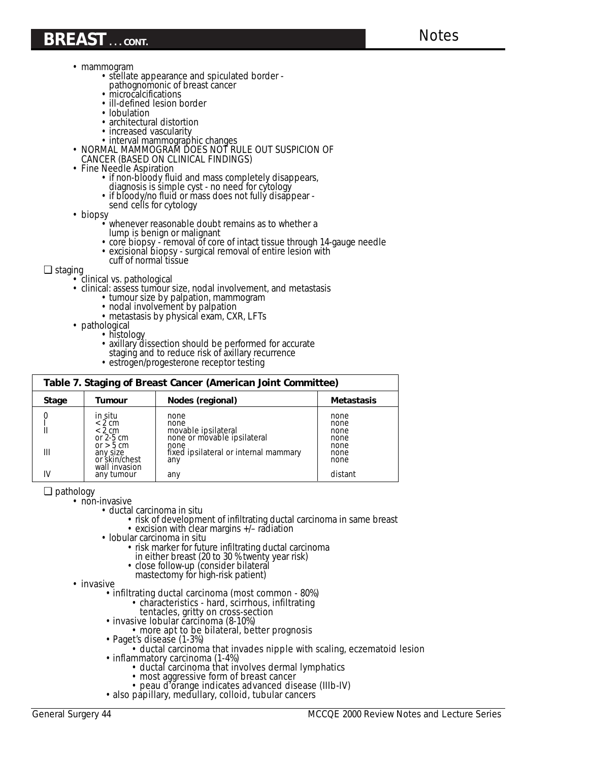## **BREAST** Notes **. . . CONT.**

- mammogram stellate appearance and spiculated border pathognomonic of breast cancer
	- microcalcifications
	- ill-defined lesion border
	- lobulation
	- architectural distortion
	- increased vascularity
	-
- interval mammographic changes NORMAL MAMMOGRAM DOES NOT RULE OUT SUSPICION OF

CANCER (BASED ON CLINICAL FINDINGS)

- - if non-bloody fluid and mass completely disappears,
	- diagnosis is simple cyst no need for cytology
	- if bloody/no fluid or mass does not fully disappear -<br>send cells for cytology
	-
- 
- biopsy<br>• whenever reasonable doubt remains as to whether a lump is benign or malignant
	- core biopsy removal of core of intact tissue through 14-gauge needle
	- excisional biopsy surgical removal of entire lesion with
	- cuff of normal tissue

❏ staging • clinical vs. pathological

- clinical: assess tumour size, nodal involvement, and metastasis
	- tumour size by palpation, mammogram
	- nodal involvement by palpation
- metastasis by physical exam, CXR, LFTs<br>• pathological<br>• histology
	- -
		- axillary dissection should be performed for accurate
		- staging and to reduce risk of axillary recurrence
		- estrogen/progesterone receptor testing

| <b>Table 7. Staging of Breast Cancer (American Joint Committee)</b> |                                                |                                                            |                      |
|---------------------------------------------------------------------|------------------------------------------------|------------------------------------------------------------|----------------------|
| <b>Stage</b>                                                        | Tumour                                         | <b>Nodes (regional)</b>                                    | <b>Metastasis</b>    |
| 0                                                                   | in situ<br>$< 2 \text{ cm}$                    | none<br>none                                               | none<br>none         |
|                                                                     | $< 2 \text{ cm}$<br>or $2-5$ cm<br>or $> 5$ cm | movable ipsilateral<br>none or movable ipsilateral<br>none | none<br>none<br>none |
| Ш                                                                   | any size<br>or skin/chest                      | fixed ipsilateral or internal mammary<br>any               | none<br>none         |
| IV                                                                  | wall invasion<br>any tumour                    | any                                                        | distant              |

❏ pathology

• non-invasive

• ductal carcinoma in situ

- risk of development of infiltrating ductal carcinoma in same breast
- excision with clear margins +/- radiation<br>• lobular carcinoma in situ
- - risk marker for future infiltrating ductal carcinoma
	- in either breast (20 to 30 % twenty year risk)
	- close follow-up (consider bilateral
	- mastectomy for high-risk patient)

- invasive<br>• infiltrating ductal carcinoma (most common 80%)
	- characteristics hard, scirrhous, infiltrating
	-
	-
	- tentacles, gritty on cross-section<br>• invasive lobular carcinoma (8-10%)<br>• more apt to be bilateral, better prognosis
	-
	- Paget's disease (1-3%)<br>• ductal carcinoma that invades nipple with scaling, eczematoid lesion<br>• inflammatory carcinoma (1-4%)<br>• ductal carcinoma that involves dermal lymphatics
	- -
		- most aggressive form of breast cancer
	- peau d'orange indicates advanced disease (IIIb-IV) also papillary, medullary, colloid, tubular cancers
		-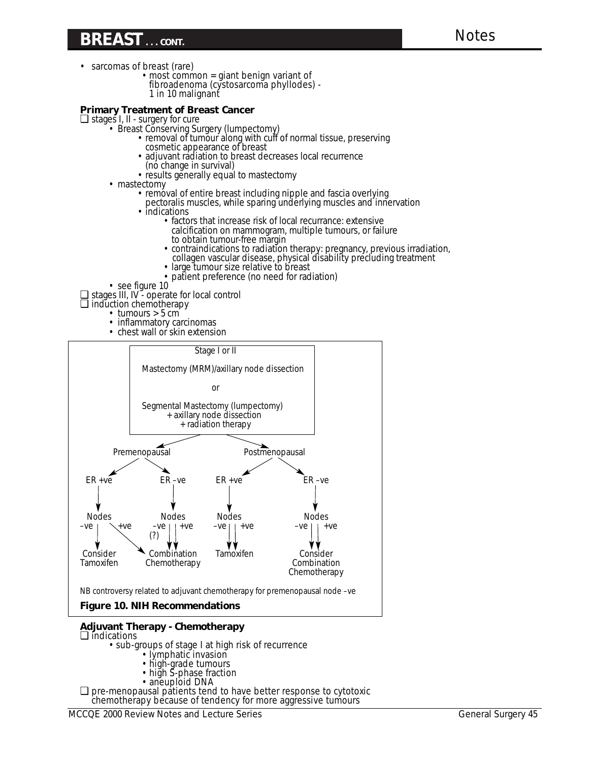## **BREAST** Notes **...** *CONT. BREAST CONT.* **<b>***BREAST CONT.*

- sarcomas of breast (rare)
	- most common = giant benign variant of

fibroadenoma (cystosarcoma phyllodes) -

1 in 10 malignant

## **Primary Treatment of Breast Cancer**<br> **Q stages I, II - surgery for cure**

- -
	- Breast Conserving Surgery (lumpectomy) removal of tumour along with cuff of normal tissue, preserving cosmetic appearance of breast
		- adjuvant radiation to breast decreases local recurrence
			- (no change in survival)
		- results generally equal to mastectomy
	-
	- mastectomy<br>• removal of entire breast including nipple and fascia overlying
		- pectoralis muscles, while sparing underlying muscles and innervation
		- indications<br>• facto factors that increase risk of local recurrance: extensive
			- calcification on mammogram, multiple tumours, or failure to obtain tumour-free margin
			- contraindications to radiation therapy: pregnancy, previous irradiation,
			- collagen vascular disease, physical disability precluding treatment
				- large tumour size relative to breast<br>patient preference (no need for radiation)
		-
	-

• see figure 10<br>  $\Box$  stages III, IV - operate for local control<br>  $\Box$  induction chemotherapy<br>
• tumours > 5 cm

- -
	- inflammatory carcinomas
	- chest wall or skin extension

![](_page_44_Figure_28.jpeg)

#### **Figure 10. NIH Recommendations**

#### **Adjuvant Therapy - Chemotherapy**

❏ indications

• sub-groups of stage I at high risk of recurrence • lymphatic invasion

- 
- high-grade tumours
- high S-phase fraction
- 

• aneuploid DNA<br>  $\Box$  pre-menopausal patients tend to have better response to cytotoxic chemotherapy because of tendency for more aggressive tumours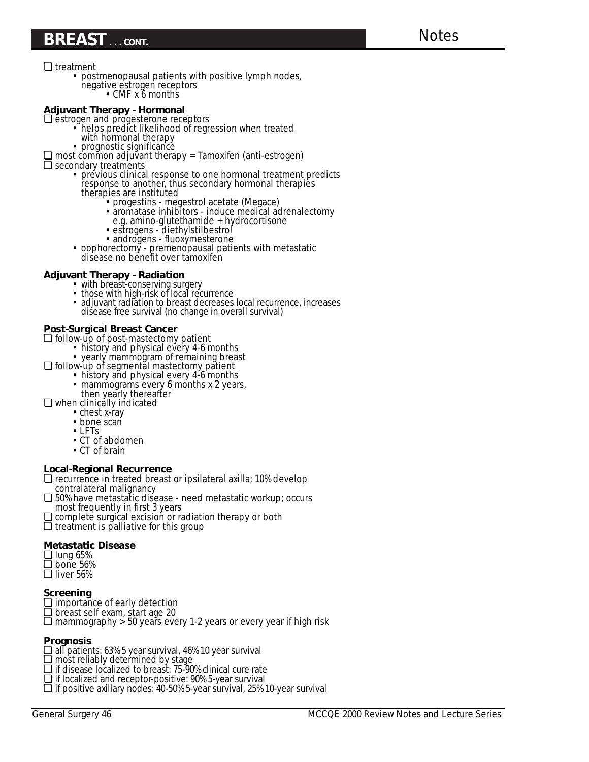## **BREAST** Notes **. . . CONT.**

❏ treatment

- postmenopausal patients with positive lymph nodes,
	- negative estrogen receptors CMF x 6 months

## **Adjuvant Therapy - Hormonal**<br> **Q** estrogen and progesterone receptors

- - helps predict likelihood of regression when treated
	- with hormonal therapy<br>• prognostic significance
	-
- 
- prognostic significance ❏ most common adjuvant therapy = Tamoxifen (anti-estrogen) ❏ secondary treatments previous clinical response to one hormonal treatment predicts response to another, thus secondary hormonal therapies
	- therapies are instituted progestins megestrol acetate (Megace)
		- aromatase inhibitors induce medical adrenalectomy
		- e.g. amino-glutethamide + hydrocortisone
		- estrogens diethylstilbestrol<br>• androgens fluoxymesterone
		-
	- oophorectomy premenopausal patients with metastatic disease no benefit over tamoxifen

- **Adjuvant Therapy Radiation** with breast-conserving surgery
	- those with high-risk of local recurrence
	- adjuvant radiation to breast decreases local recurrence, increases disease free survival (no change in overall survival)

#### **Post-Surgical Breast Cancer**

- ❏ follow-up of post-mastectomy patient history and physical every 4-6 months
	-
- □ follow-up of segmental mastectomy patient history and physical every 4-6 months
	- - mammograms every 6 months x 2 years, then yearly thereafter
	-
- $\Box$  when clinically indicated chest x-ray
	-
	- bone scan
	- LFTs
	- CT of abdomen
	- CT of brain

#### **Local-Regional Recurrence**

- ❏ recurrence in treated breast or ipsilateral axilla; 10% develop
- contralateral malignancy ❏ 50% have metastatic disease need metastatic workup; occurs
- **□** complete surgical excision or radiation therapy or both **□** treatment is palliative for this group
- 

#### **Metastatic Disease**

- 
- ❏ lung 65% ❏ bone 56%
- ❏ liver 56%

- **Screening**<br>□ importance of early detection
- 
- ❏ importance of early detection ❏ breast self exam, start age 20 ❏ mammography > 50 years every 1-2 years or every year if high risk

#### **Prognosis**

- 
- 
- ❏ all patients: 63% 5 year survival, 46% 10 year survival ❏ most reliably determined by stage ❏ if disease localized to breast: 75-90% clinical cure rate
- 
- ❏ if localized and receptor-positive: 90% 5-year survival ❏ if positive axillary nodes: 40-50% 5-year survival, 25% 10-year survival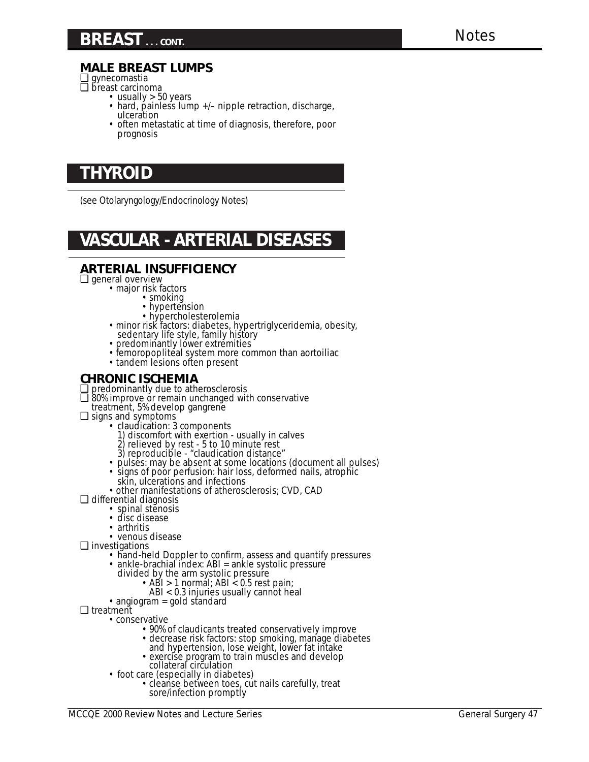### **MALE BREAST LUMPS**

- ❏ gynecomastia ❏ breast carcinoma
	- - usually > 50 years
		- hard, painless lump  $+/-$  nipple retraction, discharge, ulceration
		- often metastatic at time of diagnosis, therefore, poor prognosis

## **THYROID**

(see Otolaryngology/Endocrinology Notes)

## **VASCULAR - ARTERIAL DISEASES**

### **ARTERIAL INSUFFICIENCY**

- ❏ general overview major risk factors smoking
	- -
		-
		- hypertension<br>• hypercholesterolemia
		- hypercholesterolemia minor risk factors: diabetes, hypertriglyceridemia, obesity,
		- sedentary life style, family history
		- predominantly lower extremities
		- femoropopliteal system more common than aortoiliac
		- tandem lesions often present

- **CHRONIC ISCHEMIA**<br> **Q** predominantly due to atherosclerosis
- ❏ predominantly due to atherosclerosis ❏ 80% improve or remain unchanged with conservative
- treatment, 5% develop gangrene ❏ signs and symptoms claudication: 3 components
- -
	- 1) discomfort with exertion usually in calves
	- 2) relieved by rest 5 to 10 minute rest
	- 3) reproducible "claudication distance"
	- pulses: may be absent at some locations (document all pulses)<br>• signs of poor perfusion: hair loss deformed nails atrophic
	- signs of poor perfusion: hair loss, deformed nails, atrophic
	- skin, ulcerations and infections
	- other manifestations of atherosclerosis; CVD, CAD
- ❏ differential diagnosis spinal stenosis
	-
	- disc disease
	- arthritis
- venous disease  $\Box$  investigations
- - hand-held Doppler to confirm, assess and quantify pressures
	- ankle-brachial index: ABI = ankle systolic pressure
		-
		- divided by the arm systolic pressure<br>• ABI > 1 normal; ABI < 0.5 rest pain;
- ABI < 0.3 injuries usually cannot heal<br>• angiogram = gold standard<br> $\Box$  treatment
	-
- - conservative
		- 90% of claudicants treated conservatively improve
		- decrease risk factors: stop smoking, manage diabetes
		- and hypertension, lose weight, lower fat intake
		- exercise program to train muscles and develop
		- collateral circulation
		-
		- foot care (especially in diabetes) cleanse between toes, cut nails carefully, treat sore/infection promptly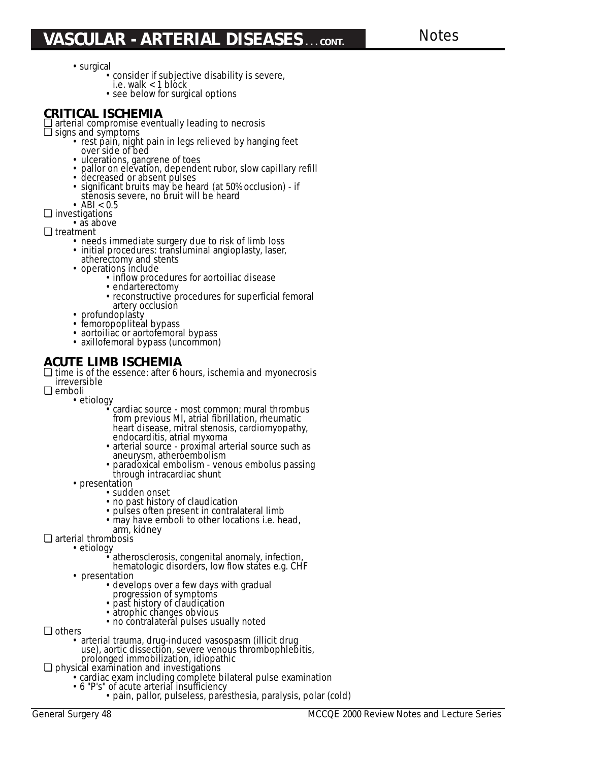## **VASCULAR - ARTERIAL DISEASES** ... cont. Notes

- 
- surgical<br>• consider if subjective disability is severe,
	- i.e. walk < 1 block
	- see below for surgical options

**CRITICAL ISCHEMIA**<br> **Q** arterial compromise eventually leading to necrosis

- 
- ❏ arterial compromise eventually leading to necrosis ❏ signs and symptoms rest pain, night pain in legs relieved by hanging feet over side of bed
	- ulcerations, gangrene of toes
	- pallor on elevation, dependent rubor, slow capillary refill
	- decreased or absent pulses
	- significant bruits may be heard (at 50% occlusion) if stenosis severe, no bruit will be heard
	- ABI  $< 0.5$
- ❏ investigations as above
- 
- ❏ treatment
	- needs immediate surgery due to risk of limb loss
	- initial procedures: transluminal angioplasty, laser,
	- atherectomy and stents<br>
	 operations include
	- - inflow procedures for aortoiliac disease
		- endarterectomy
	- reconstructive procedures for superficial femoral artery occlusion<br>profundoplasty
	-
	- femoropopliteal bypass
	- aortoiliac or aortofemoral bypass
	- axillofemoral bypass (uncommon)

### **ACUTE LIMB ISCHEMIA**

❏ time is of the essence: after 6 hours, ischemia and myonecrosis irreversible

- ❏ emboli
	- - cardiac source most common; mural thrombus from previous MI, atrial fibrillation, rheumatic heart disease, mitral stenosis, cardiomyopathy, endocarditis, atrial myxoma
		- arterial source proximal arterial source such as aneurysm, atheroembolism
		- paradoxical embolism venous embolus passing through intracardiac shunt
		-
	- presentation •<br>• sudden onset
		- no past history of claudication
		- pulses often present in contralateral limb
		- may have emboli to other locations *i.e.* head,
		-
- arm, kidney<br>□ arterial thrombosis<br>• etiology
	- - $\tilde{\bullet}$  atherosclerosis, congenital anomaly, infection, hematologic disorders, low flow states e.g. CHF
	-
	- presentation<br>• develops over a few days with gradual progression of symptoms
		- past history of claudication
		- atrophic changes obvious
- no contralateral pulses usually noted ❏ others
- - arterial trauma, drug-induced vasospasm (illicit drug
		- use), aortic dissection, severe venous thrombophlebitis,
	-
- 
- □ physical examination and investigations<br>• cardiac exam including complete bilateral pulse examination<br>• 6 "P's" of acute arterial insufficiency
	- - pain, pallor, pulseless, paresthesia, paralysis, polar (cold)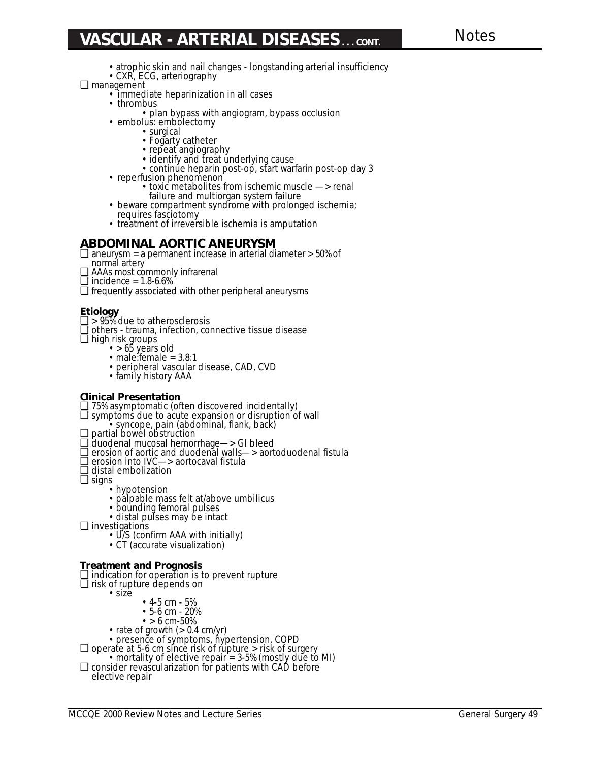## **VASCULAR - ARTERIAL DISEASES** ... cont. **Notes**

- atrophic skin and nail changes longstanding arterial insufficiency<br>• CXR, ECG, arteriography
- 
- 
- CXR, ECG, arteriography ❏ management immediate heparinization in all cases
	- thrombus
	- plan bypass with angiogram, bypass occlusion<br>• embolus: embolectomy<br>• surgical
		- -
			- Fogarty catheter
			- repeat angiography
			- identify and treat underlying cause
		-
		-
	- continue heparin post-op, start warfarin post-op day 3<br>• reperfusion phenomenon<br>• toxic metabolites from ischemic muscle —> renal<br>failure and multiorgan system failure
	- beware compartment syndrome with prolonged ischemia; requires fasciotomy
	- treatment of irreversible ischemia is amputation

### **ABDOMINAL AORTIC ANEURYSM**

- $\Box$  aneurysm = a permanent increase in arterial diameter > 50% of normal artery
- normal artery ❏ AAAs most commonly infrarenal ❏ incidence = 1.8-6.6%
- 
- ❏ frequently associated with other peripheral aneurysms

#### **Etiology**

- $\Box > 95\%$  due to atherosclerosis
- ❏ others trauma, infection, connective tissue disease
- ❏ high risk groups > 65 years old
	-
	- male: female  $= 3.8:1$
	- peripheral vascular disease, CAD, CVD
	- family history AAA

- **Clinical Presentation**<br>□ 75% asymptomatic (often discovered incidentally)
- 
- 
- 
- 
- <p>□ 75% asymptomatic (often discovered incidentally)</p>\n<p>□ symptoms due to acute expansion or disruption of wall syncope, pain (abdominal, flank, back)</p>\n<p>□ partial bowel obstruction</p>\n<p>□ duodenal mucosal hemorrhage -> GI bleed</p>\n<p>□ erosion of aortic and duodenal walls -> aortoduodenal fitsula</p>
- ❏ erosion into IVC—> aortocaval fistula
- $\Box$  distal embolization  $\Box$  signs
- - hypotension
		- palpable mass felt at/above umbilicus
		- bounding femoral pulses<br>• distal pulses may be intact
		-
- 
- □ investigations U/S (confirm AAA with initially)
	- CT (accurate visualization)

#### **Treatment and Prognosis**

- ❏ indication for operation is to prevent rupture ❏ risk of rupture depends on
	-
	- size
- 4-5 cm 5%
- 5-6 cm 20%
- $> 6$  cm-50%
- 
- rate of growth (> 0.4 cm/yr)<br>• presence of symptoms, hypertension, COPD
- 
- □ operate at 5-6 cm since risk of rupture > risk of surgery<br>• mortality of elective repair = 3-5% (mostly due to MI)<br>□ consider revascularization for patients with CAD before
- elective repair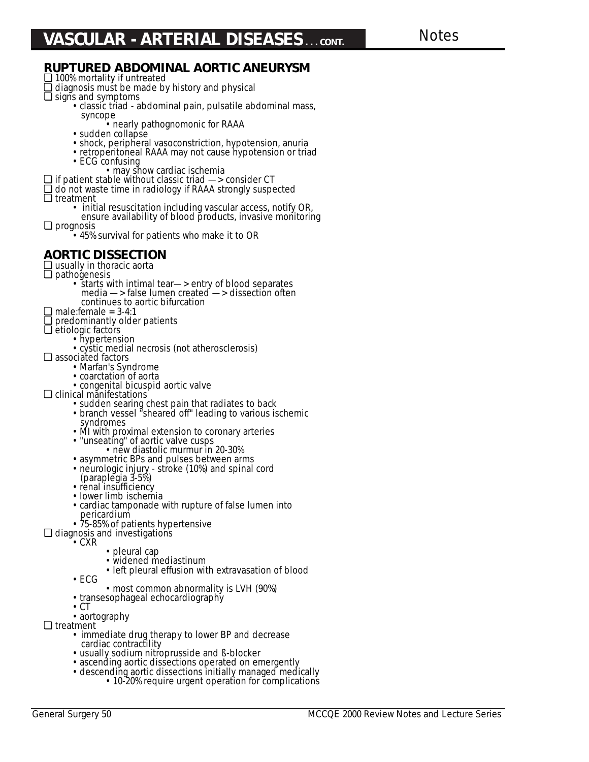## **RUPTURED ABDOMINAL AORTIC ANEURYSM**

- 
- 
- 
- ❏ 100% mortality if untreated ❏ diagnosis must be made by history and physical ❏ signs and symptoms classic triad abdominal pain, pulsatile abdominal mass, syncope<br>• nearly pathognomonic for RAAA<br>• sudden collapse
	-
	-
	- shock, peripheral vasoconstriction, hypotension, anuria
	- retroperitoneal RAAA may not cause hypotension or triad<br>• ECG confusing
	-
	-
	-
- may show cardiac ischemia<br> **□** if patient stable without classic triad —> consider CT<br>
□ do not waste time in radiology if RAAA strongly suspected<br>
□ treatment
- - initial resuscitation including vascular access, notify OR,
- 
- ensure availability of blood products, invasive monitoring ❏ prognosis 45% survival for patients who make it to OR

## **AORTIC DISSECTION**<br> **Q** usually in thoracic aorta

- 
- ❏ usually in thoracic aorta ❏ pathogenesis starts with intimal tear—> entry of blood separates media —> false lumen created —> dissection often continues to aortic bifurcation
- $\Box$  male: female = 3-4:1
- ❏ predominantly older patients ❏ etiologic factors hypertension
- -
- cystic medial necrosis (not atherosclerosis) ❏ associated factors
	- - Marfan's Syndrome
		- coarctation of aorta
- congenital bicuspid aortic valve ❏ clinical manifestations
- - sudden searing chest pain that radiates to back
	- branch vessel "sheared off" leading to various ischemic syndromes
	- MI with proximal extension to coronary arteries
		-
	- "unseating" of aortic valve cusps<br>• new diastolic murmur in 20-30%
	- asymmetric BPs and pulses between arms
	- neurologic injury stroke (10%) and spinal cord
	- (paraplegia 3-5%)
	- renal insufficiency
	- lower limb ischemia
	- cardiac tamponade with rupture of false lumen into
- pericardium<br>• 75-85% of patients hypertensive
- □ diagnosis and investigations CXR
	- - pleural cap
		- widened mediastinum
	- left pleural effusion with extravasation of blood<br>• ECG<br>• most common abnormality is LVH (90%)
	- -
	- transesophageal echocardiography
	- CT
- aortography ❏ treatment
	-
	- immediate drug therapy to lower BP and decrease cardiac contractility
	- usually sodium nitroprusside and ß-blocker
	- ascending aortic dissections operated on emergently
	- descending aortic dissections initially managed medically 10-20% require urgent operation for complications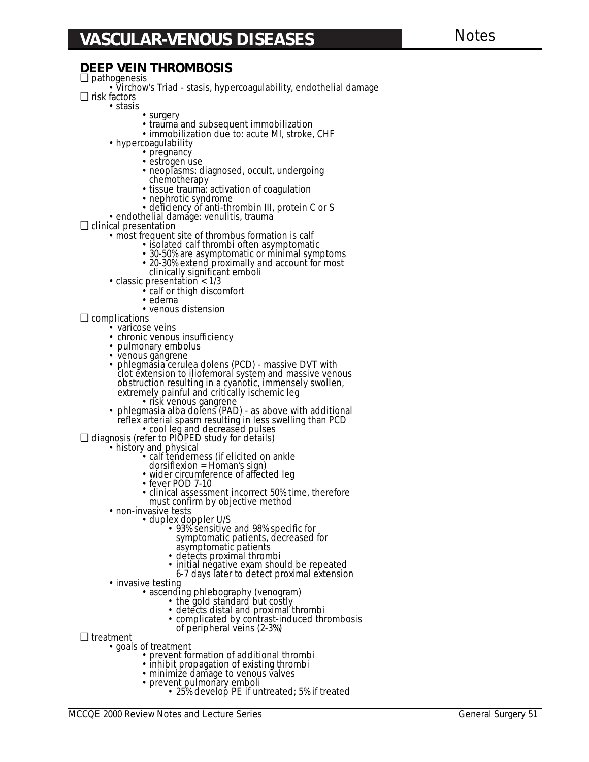- 
- ❏ pathogenesis Virchow's Triad stasis, hypercoagulability, endothelial damage ❏ risk factors
- stasis
	- surgery
		- trauma and subsequent immobilization
		- immobilization due to: acute MI, stroke, CHF
	- hypercoagulability
		- pregnancy
		- estrogen use
		- neoplasms: diagnosed, occult, undergoing chemotherapy
		- tissue trauma: activation of coagulation
		-
		- nephrotic syndrome<br>• deficiency of anti-thrombin III, protein C or S
	-

- endothelial damage: venulitis, trauma<br>
→ clinical presentation<br>
 most frequent site of thrombus formation is calf<br>
 isolated calf thrombi often asymptomatic
	- - 30-50% are asymptomatic or minimal symptoms
		- 20-30% extend proximally and account for most
	- clinically significant emboli classic presentation < 1/3 calf or thigh discomfort
		- -
			- edema
			- venous distension
- ❏ complications
	- varicose veins
	- chronic venous insufficiency
	- pulmonary embolus
	- venous gangrene
	- phlegmasia cerulea dolens (PCD) massive DVT with clot extension to iliofemoral system and massive venous obstruction resulting in a cyanotic, immensely swollen, extremely painful and critically ischemic leg
	- risk venous gangrene phlegmasia alba dolens (PAD) as above with additional<br>• phlegmasia alba dolens (PAD) as above with additional<br>• reflex arterial spasm resulting in less swelling than PCD
- **diagnosis (refer to PIOPED study for details)**<br>• history and physical calf tenderness (if elicited on ankle
	-
- -
	- dorsiflexion = Homan's sign)
	- wider circumference of affected leg
	- fever POD 7-10
	- clinical assessment incorrect 50% time, therefore
	- must confirm by objective method<br>• non-invasive tests<br>• duplex doppler U/S
	- - - duplex doppler U/S 93% sensitive and 98% specific for symptomatic patients, decreased for asymptomatic patients
				- detects proximal thrombi
				-
				- initial negative exam should be repeated<br>6-7 days later to detect proximal extension
	-
	- invasive testing<br>• ascending phlebography (venogram)<br>• the gold standard but costly
		-
		- detects distal and proximal thrombi
		- complicated by contrast-induced thrombosis
- 
- $\Box$  treatment<br>
 goals of treatment
	- prevent formation of additional thrombi
	- inhibit propagation of existing thrombi
	- minimize damage to venous valves<br>• prevent pulmonary emboli
	- - 25% develop PE if untreated; 5% if treated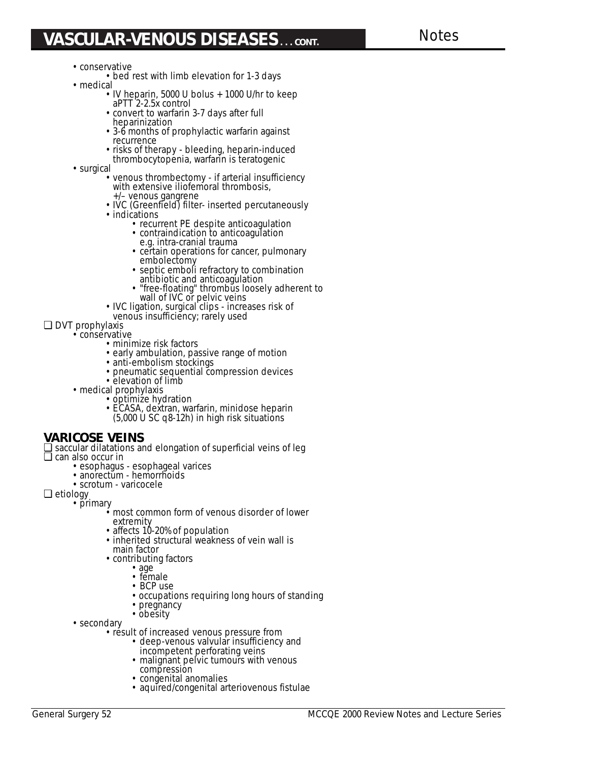## **VASCULAR-VENOUS DISEASES** ... cont. Motes

- conservative
- bed rest with limb elevation for 1-3 days medical
	- IV heparin, 5000 U bolus + 1000 U/hr to keep aPTT 2-2.5x control
	- convert to warfarin 3-7 days after full heparinization
	- 3-6 months of prophylactic warfarin against recurrence
	- risks of therapy bleeding, heparin-induced
- 
- surgical<br>• venous thrombectomy if arterial insufficiency with extensive iliofemoral thrombosis, +/– venous gangrene
	- IVC (Greenfield) filter- inserted percutaneously
	- indications
		- recurrent PE despite anticoagulation
		- contraindication to anticoagulation
		- e.g. intra-cranial trauma • certain operations for cancer, pulmonary
		- embolectomy
		- septic emboli refractory to combination antibiotic and anticoagulation
		- "free-floating" thrombus loosely adherent to
	- wall of IVC or pelvic veins<br>• IVC ligation, surgical clips increases risk of
- venous insufficiency; rarely used<br>□ DVT prophylaxis

- conservative
	- minimize risk factors
	- early ambulation, passive range of motion
	- anti-embolism stockings
	- pneumatic sequential compression devices
- elevation of limb<br>• medical prophylaxis
	- - optimize hydration
		- ECASA, dextran, warfarin, minidose heparin  $(5,000 \text{ U SC } q8-12h)$  in high risk situations

### **VARICOSE VEINS**

❏ saccular dilatations and elongation of superficial veins of leg ❏ can also occur in

- esophagus esophageal varices
- anorectum hemorrhoids
- scrotum varicocele

❏ etiology

- - $\bullet$  most common form of venous disorder of lower
	- extremity
	- affects 10-20% of population
	- inherited structural weakness of vein wall is main factor
	- contributing factors
		- age
		- female
		- BCP use
		- occupations requiring long hours of standing
		- pregnancy<br>• obesity
- 
- secondary<br>• result of increased venous pressure from<br>• deep-venous valvular insufficiency and
	- - incompetent perforating veins
		- malignant pelvic tumours with venous
	- compression • congenital anomalies
	- aquired/congenital arteriovenous fistulae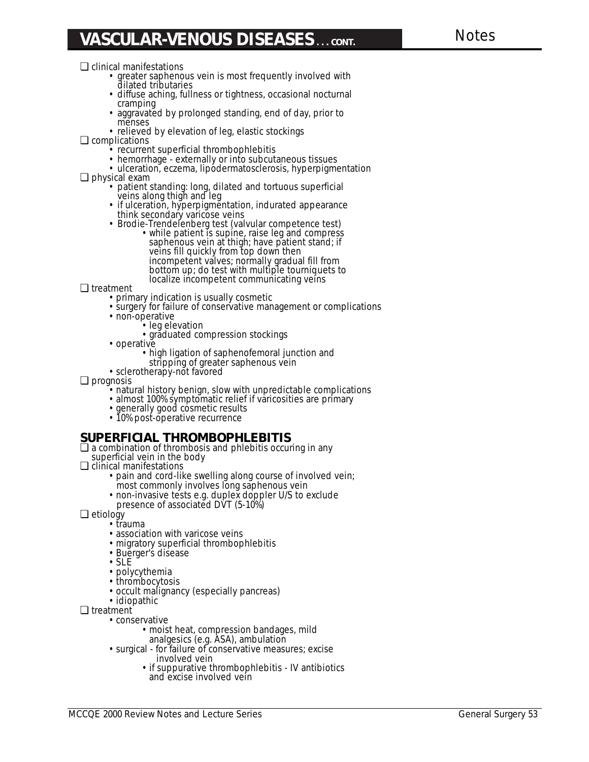## **VASCULAR-VENOUS DISEASES** ... cont. **Notes**

#### ❏ clinical manifestations

- greater saphenous vein is most frequently involved with dilated tributaries
- diffuse aching, fullness or tightness, occasional nocturnal cramping
- aggravated by prolonged standing, end of day, prior to menses
- relieved by elevation of leg, elastic stockings<br>
 recurrent superficial thrombophlebitis
	-
	-
- hemorrhage externally or into subcutaneous tissues<br>• ulceration, eczema, lipodermatosclerosis, hyperpigmentation • ulceration, eczema, lipodermatosclerosis, hyperpigmentation ❏ physical exam • patient standing: long, dilated and tortuous superficial
	- veins along thigh and leg
	- if ulceration, hyperpigmentation, indurated appearance think secondary varicose veins
	- Brodie-Trendelenberg test (valvular competence test) while patient is supine, raise leg and compress saphenous vein at thigh; have patient stand; if veins fill quickly from top down then incompetent valves; normally gradual fill from
		- bottom up; do test with multiple tourniquets to
- localize incompetent communicating veins ❏ treatment

- primary indication is usually cosmetic
- surgery for failure of conservative management or complications
- non-operative<br>• leg elevation
	-
- graduated compression stockings
- - high ligation of saphenofemoral junction and
	-
- 
- stripping of greater saphenous vein<br>
 sclerotherapy-not favored<br>
◯ prognosis<br>
 natural history benign, slow with unpredictable complications
	- almost 100% symptomatic relief if varicosities are primary
	- generally good cosmetic results
	- 10% post-operative recurrence

### **SUPERFICIAL THROMBOPHLEBITIS**

- ❏ a combination of thrombosis and phlebitis occuring in any
- superficial vein in the body ❏ clinical manifestations
- - pain and cord-like swelling along course of involved vein; most commonly involves long saphenous vein
	- non-invasive tests e.g. duplex doppler U/S to exclude
- presence of associated DVT (5-10%)<br>□ etiology

- trauma
- association with varicose veins
- migratory superficial thrombophlebitis
- Buerger's disease
- SLE
- polycythemia
- thrombocytosis
- occult malignancy (especially pancreas)

• idiopathic ❏ treatment

- - conservative
		- moist heat, compression bandages, mild
		- analgesics (e.g. ASA), ambulation
	- surgical for failure of conservative measures; excise
		- involved vein
		- if suppurative thrombophlebitis IV antibiotics and excise involved vein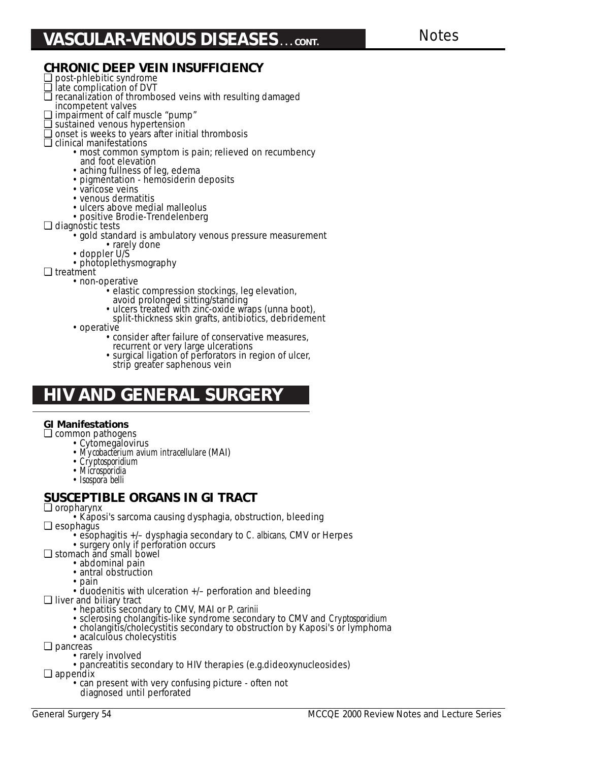## **CHRONIC DEEP VEIN INSUFFICIENCY**<br>  $\Box$  post-phlebitic syndrome

- 
- 
- ❏ post-phlebitic syndrome ❏ late complication of DVT ❏ recanalization of thrombosed veins with resulting damaged
- 
- incompetent valves ❏ impairment of calf muscle "pump" ❏ sustained venous hypertension ❏ onset is weeks to years after initial thrombosis ❏ clinical manifestations
- - most common symptom is pain; relieved on recumbency and foot elevation
		- aching fullness of leg, edema
		- pigmentation hemosiderin deposits
		- varicose veins
		- venous dermatitis
		- ulcers above medial malleolus
		-
- 
- □ diagnostic tests<br>• gold standard is ambulatory venous pressure measurement<br>• doppler U/S
	-
- photoplethysmography **Q** treatment
- 
- - non-operative elastic compression stockings, leg elevation,
		- avoid prolonged sitting/standing
		- ulcers treated with zinc-oxide wraps (unna boot),
	- split-thickness skin grafts, antibiotics, debridement<br>• operative
	- - consider after failure of conservative measures,
		- recurrent or very large ulcerations
		- surgical ligation of perforators in region of ulcer, strip greater saphenous vein

## **HIV AND GENERAL SURGERY**

#### **GI Manifestations**

- ❏ common pathogens Cytomegalovirus
	-
	- *Mycobacterium avium intracellulare* (MAI)
	- *Cryptosporidium*
	- *Microsporidia*
	- *Isospora belli*

## **SUSCEPTIBLE ORGANS IN GI TRACT**

- -
	-
- ❏ oropharynx Kaposi's sarcoma causing dysphagia, obstruction, bleeding ❏ esophagus esophagitis +/– dysphagia secondary to *C. albicans,* CMV or Herpes surgery only if perforation occurs ❏ stomach and small bowel
	-
	- - abdominal pain
		- antral obstruction
		- pain
	- - -
- duodenitis with ulceration +/– perforation and bleeding<br>□ liver and biliary tract<br>• hepatitis secondary to CMV, MAI or P. *carinii*<br>• sclerosing cholangitis-like syndrome secondary to CMV and *Cryptosporidium* 
	- cholangitis/cholecystitis secondary to obstruction by Kaposi's or lymphoma
- acalculous cholecýstitis<br>
 pancreas<br>
 rarely involved
	- -
- pancreatitis secondary to HIV therapies (e.g.dideoxynucleosides)<br>
<br>
 can present with very confusing picture often not
- - diagnosed until perforated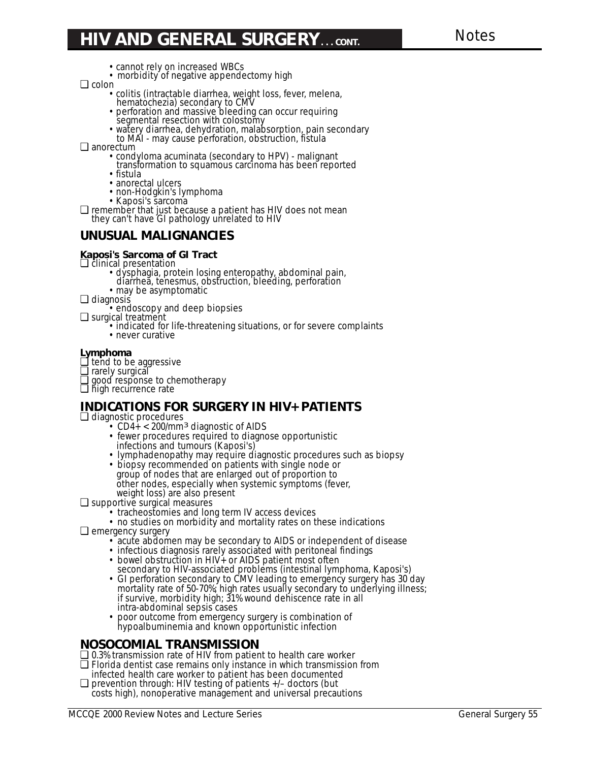## **HIV AND GENERAL SURGERY** ... cont. **Notes**

- cannot rely on increased WBCs
- morbidity of negative appendectomy high ❏ colon

- colitis (intractable diarrhea, weight loss, fever, melena, hematochezia) secondary to CMV
- perforation and massive bleeding can occur requiring segmental resection with colostomy
- watery diarrhea, dehydration, malabsorption, pain secondary to MAI - may cause perforation, obstruction, fistula ❏ anorectum

- condyloma acuminata (secondary to HPV) malignant transformation to squamous carcinoma has been reported
	- fistula
	- anorectal ulcers
	- non-Hodgkin's lymphoma<br>• Kaposi's sarcoma
	-

 $\Box$  remember that just because a patient has HIV does not mean they can't have GI pathology unrelated to HIV

### **UNUSUAL MALIGNANCIES**

## **Kaposi's Sarcoma of GI Tract**<br> **a** clinical presentation

- dysphagia, protein losing enteropathy, abdominal pain,
- diarrhea, tenesmus, obstruction, bleeding, perforation<br>• may be asymptomatic
- 
- 
- 
- 
- may be asymptomatic ❏ diagnosis endoscopy and deep biopsies ❏ surgical treatment indicated for life-threatening situations, or for severe complaints • never curative

- **Lymphoma**<br> $\Box$  tend to be aggressive
- 
- ❏ rarely surgical<br>❏ good response to chemotherapy<br>❏ high recurrence rate
- 

## **INDICATIONS FOR SURGERY IN HIV+ PATIENTS**<br>  $\Box$  diagnostic procedures

- CD4 $\hat{+}$  < 200/mm<sup>3</sup> diagnostic of AIDS
- fewer procedures required to diagnose opportunistic infections and tumours (Kaposi's)
- lymphadenopathy may require diagnostic procedures such as biopsy
- biopsy recommended on patients with single node or group of nodes that are enlarged out of proportion to other nodes, especially when systemic symptoms (fever,
- $\Box$  supportive surgical measures
	- tracheostomies and long term IV access devices
- no studies on morbidity and mortality rates on these indications ❏ emergency surgery
	- acute abdomen may be secondary to AIDS or independent of disease
	- infectious diagnosis rarely associated with peritoneal findings
	- bowel obstruction in HIV+ or AIDS patient most often
	- secondary to HIV-associated problems (intestinal lymphoma, Kaposi's)
	- GI perforation secondary to CMV leading to emergency surgery has 30 day mortality rate of 50-70%; high rates usually secondary to underlying illness; if survive, morbidity high; 31% wound dehiscence rate in all intra-abdominal sepsis cases
	- poor outcome from emergency surgery is combination of hypoalbuminemia and known opportunistic infection

### **NOSOCOMIAL TRANSMISSION**

- ❏ 0.3% transmission rate of HIV from patient to health care worker ❏ Florida dentist case remains only instance in which transmission from
- 
- infected health care worker to patient has been documented ❏ prevention through: HIV testing of patients +/– doctors (but costs high), nonoperative management and universal precautions